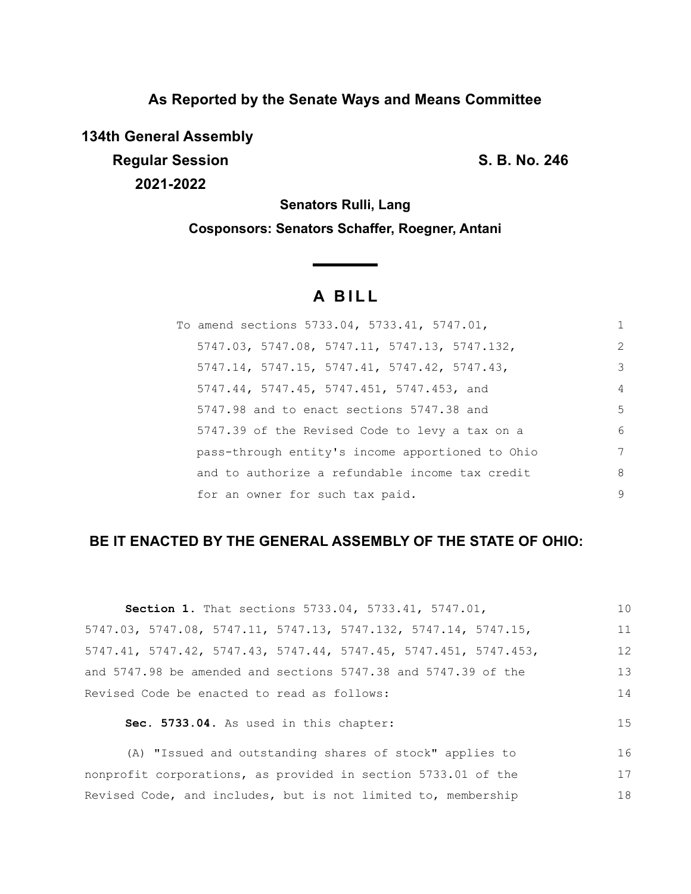# **As Reported by the Senate Ways and Means Committee**

**134th General Assembly Regular Session S. B. No. 246 2021-2022**

17 18

**Senators Rulli, Lang**

**Cosponsors: Senators Schaffer, Roegner, Antani**

<u> a shekara t</u>

# **A B I L L**

| To amend sections 5733.04, 5733.41, 5747.01,     | 1              |
|--------------------------------------------------|----------------|
| 5747.03, 5747.08, 5747.11, 5747.13, 5747.132,    | $\overline{2}$ |
| 5747.14, 5747.15, 5747.41, 5747.42, 5747.43,     | 3              |
| 5747.44, 5747.45, 5747.451, 5747.453, and        | $\overline{4}$ |
| 5747.98 and to enact sections 5747.38 and        | .5             |
| 5747.39 of the Revised Code to levy a tax on a   | 6              |
| pass-through entity's income apportioned to Ohio | 7              |
| and to authorize a refundable income tax credit  | 8              |
| for an owner for such tax paid.                  | 9              |

# **BE IT ENACTED BY THE GENERAL ASSEMBLY OF THE STATE OF OHIO:**

| <b>Section 1.</b> That sections 5733.04, 5733.41, 5747.01,       | 10 |
|------------------------------------------------------------------|----|
| 5747.03, 5747.08, 5747.11, 5747.13, 5747.132, 5747.14, 5747.15,  | 11 |
| 5747.41, 5747.42, 5747.43, 5747.44, 5747.45, 5747.451, 5747.453, | 12 |
| and 5747.98 be amended and sections 5747.38 and 5747.39 of the   | 13 |
| Revised Code be enacted to read as follows:                      | 14 |
| Sec. 5733.04. As used in this chapter:                           | 15 |
| (A) "Issued and outstanding shares of stock" applies to          | 16 |

nonprofit corporations, as provided in section 5733.01 of the Revised Code, and includes, but is not limited to, membership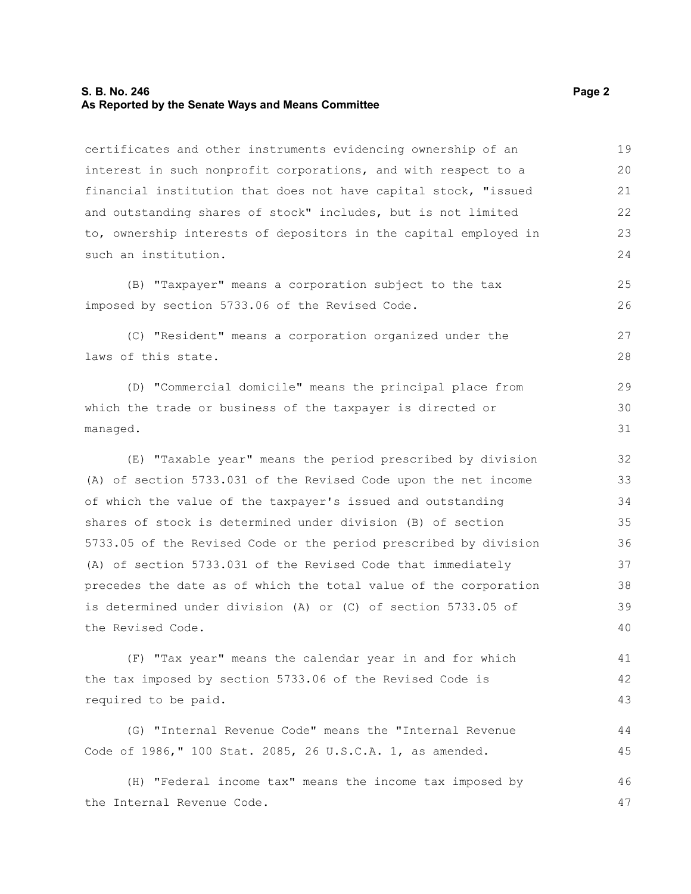#### **S. B. No. 246** Page 2 **As Reported by the Senate Ways and Means Committee**

certificates and other instruments evidencing ownership of an interest in such nonprofit corporations, and with respect to a financial institution that does not have capital stock, "issued and outstanding shares of stock" includes, but is not limited to, ownership interests of depositors in the capital employed in such an institution. (B) "Taxpayer" means a corporation subject to the tax imposed by section 5733.06 of the Revised Code. (C) "Resident" means a corporation organized under the laws of this state. (D) "Commercial domicile" means the principal place from which the trade or business of the taxpayer is directed or managed. (E) "Taxable year" means the period prescribed by division (A) of section 5733.031 of the Revised Code upon the net income of which the value of the taxpayer's issued and outstanding shares of stock is determined under division (B) of section 5733.05 of the Revised Code or the period prescribed by division (A) of section 5733.031 of the Revised Code that immediately precedes the date as of which the total value of the corporation is determined under division (A) or (C) of section 5733.05 of the Revised Code. (F) "Tax year" means the calendar year in and for which the tax imposed by section 5733.06 of the Revised Code is required to be paid. (G) "Internal Revenue Code" means the "Internal Revenue Code of 1986," 100 Stat. 2085, 26 U.S.C.A. 1, as amended. 19 20 21 22 23 24 25 26 27 28 29 30 31 32 33 34 35 36 37 38 39 40 41 42 43 44 45 46

(H) "Federal income tax" means the income tax imposed by the Internal Revenue Code.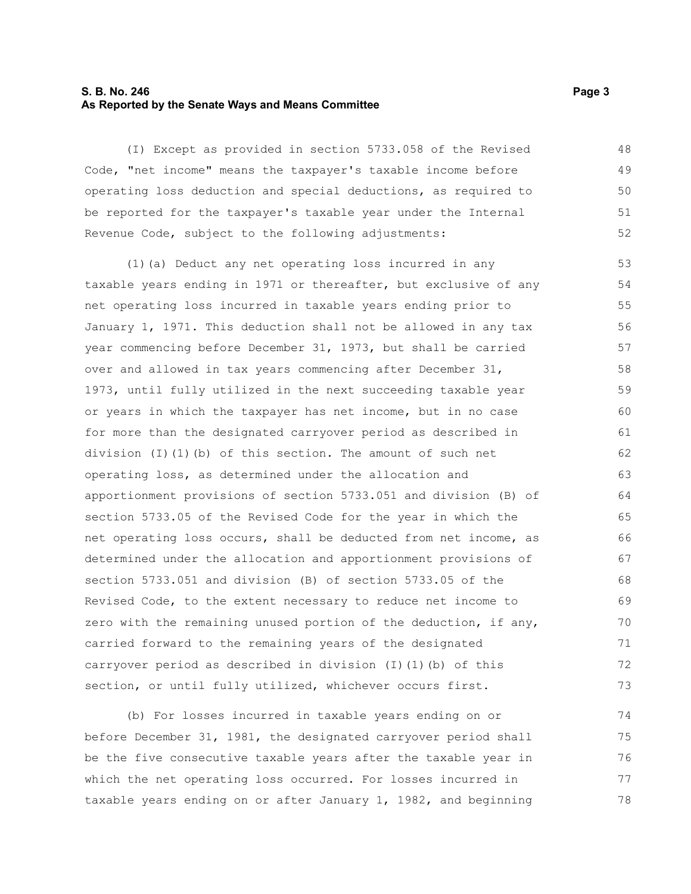# **S. B. No. 246** Page 3 **As Reported by the Senate Ways and Means Committee**

(I) Except as provided in section 5733.058 of the Revised Code, "net income" means the taxpayer's taxable income before operating loss deduction and special deductions, as required to be reported for the taxpayer's taxable year under the Internal Revenue Code, subject to the following adjustments: 48 49 50 51 52

(1)(a) Deduct any net operating loss incurred in any taxable years ending in 1971 or thereafter, but exclusive of any net operating loss incurred in taxable years ending prior to January 1, 1971. This deduction shall not be allowed in any tax year commencing before December 31, 1973, but shall be carried over and allowed in tax years commencing after December 31, 1973, until fully utilized in the next succeeding taxable year or years in which the taxpayer has net income, but in no case for more than the designated carryover period as described in division (I)(1)(b) of this section. The amount of such net operating loss, as determined under the allocation and apportionment provisions of section 5733.051 and division (B) of section 5733.05 of the Revised Code for the year in which the net operating loss occurs, shall be deducted from net income, as determined under the allocation and apportionment provisions of section 5733.051 and division (B) of section 5733.05 of the Revised Code, to the extent necessary to reduce net income to zero with the remaining unused portion of the deduction, if any, carried forward to the remaining years of the designated carryover period as described in division (I)(1)(b) of this section, or until fully utilized, whichever occurs first. 53 54 55 56 57 58 59 60 61 62 63 64 65 66 67 68 69 70 71 72 73

(b) For losses incurred in taxable years ending on or before December 31, 1981, the designated carryover period shall be the five consecutive taxable years after the taxable year in which the net operating loss occurred. For losses incurred in taxable years ending on or after January 1, 1982, and beginning 74 75 76 77 78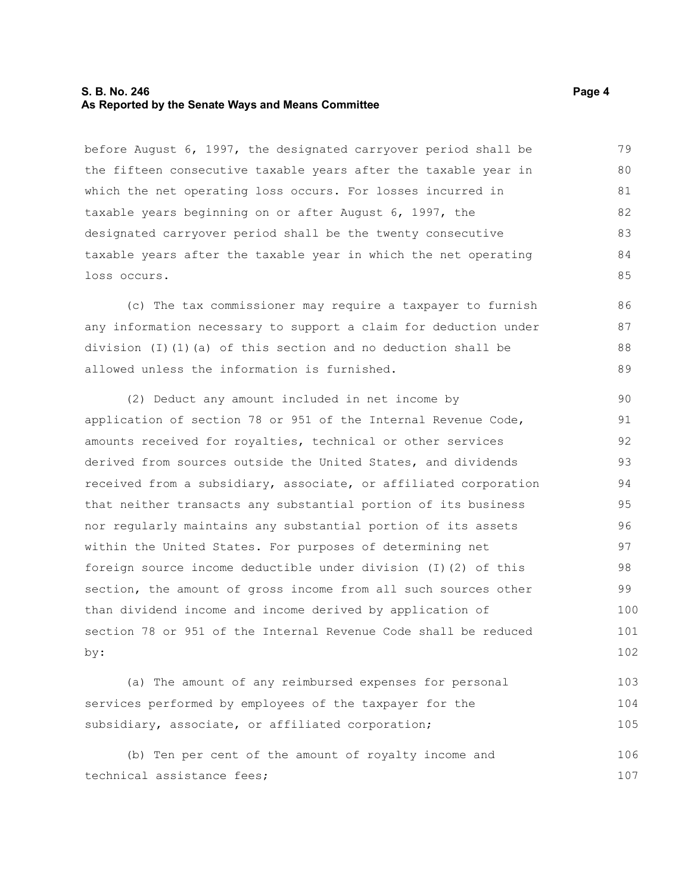## **S. B. No. 246** Page 4 **As Reported by the Senate Ways and Means Committee**

before August 6, 1997, the designated carryover period shall be the fifteen consecutive taxable years after the taxable year in which the net operating loss occurs. For losses incurred in taxable years beginning on or after August 6, 1997, the designated carryover period shall be the twenty consecutive taxable years after the taxable year in which the net operating loss occurs. 79 80 81 82 83 84 85

(c) The tax commissioner may require a taxpayer to furnish any information necessary to support a claim for deduction under division (I)(1)(a) of this section and no deduction shall be allowed unless the information is furnished.

(2) Deduct any amount included in net income by application of section 78 or 951 of the Internal Revenue Code, amounts received for royalties, technical or other services derived from sources outside the United States, and dividends received from a subsidiary, associate, or affiliated corporation that neither transacts any substantial portion of its business nor regularly maintains any substantial portion of its assets within the United States. For purposes of determining net foreign source income deductible under division (I)(2) of this section, the amount of gross income from all such sources other than dividend income and income derived by application of section 78 or 951 of the Internal Revenue Code shall be reduced by: 90 91 92 93 94 95 96 97 98 99 100 101 102

(a) The amount of any reimbursed expenses for personal services performed by employees of the taxpayer for the subsidiary, associate, or affiliated corporation; 103 104 105

(b) Ten per cent of the amount of royalty income and technical assistance fees; 106 107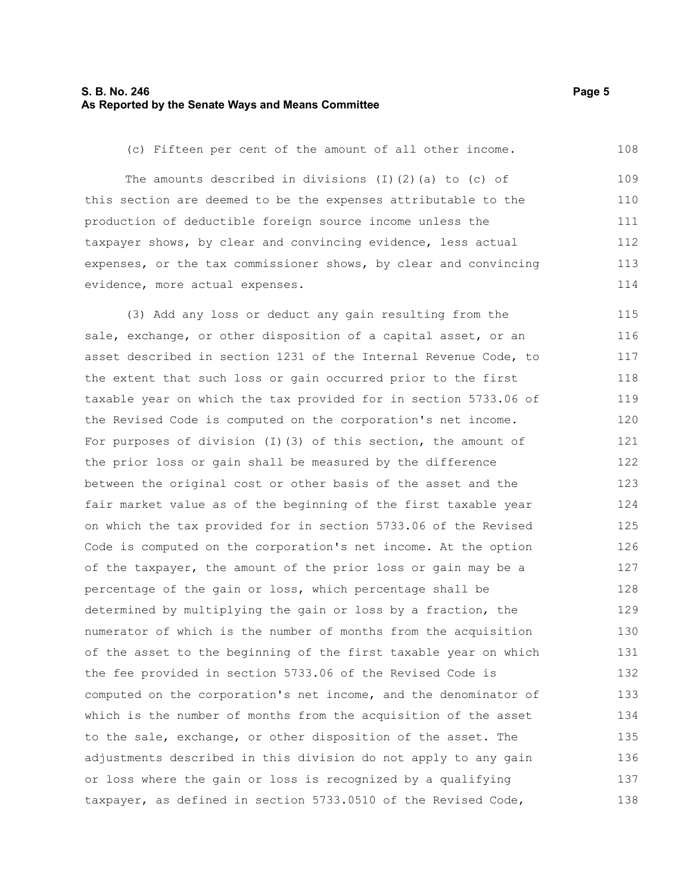# **S. B. No. 246** Page 5 **As Reported by the Senate Ways and Means Committee**

(c) Fifteen per cent of the amount of all other income. 108

The amounts described in divisions  $(I)$   $(2)$   $(a)$  to  $(c)$  of this section are deemed to be the expenses attributable to the production of deductible foreign source income unless the taxpayer shows, by clear and convincing evidence, less actual expenses, or the tax commissioner shows, by clear and convincing evidence, more actual expenses. 109 110 111 112 113 114

(3) Add any loss or deduct any gain resulting from the sale, exchange, or other disposition of a capital asset, or an asset described in section 1231 of the Internal Revenue Code, to the extent that such loss or gain occurred prior to the first taxable year on which the tax provided for in section 5733.06 of the Revised Code is computed on the corporation's net income. For purposes of division (I)(3) of this section, the amount of the prior loss or gain shall be measured by the difference between the original cost or other basis of the asset and the fair market value as of the beginning of the first taxable year on which the tax provided for in section 5733.06 of the Revised Code is computed on the corporation's net income. At the option of the taxpayer, the amount of the prior loss or gain may be a percentage of the gain or loss, which percentage shall be determined by multiplying the gain or loss by a fraction, the numerator of which is the number of months from the acquisition of the asset to the beginning of the first taxable year on which the fee provided in section 5733.06 of the Revised Code is computed on the corporation's net income, and the denominator of which is the number of months from the acquisition of the asset to the sale, exchange, or other disposition of the asset. The adjustments described in this division do not apply to any gain or loss where the gain or loss is recognized by a qualifying taxpayer, as defined in section 5733.0510 of the Revised Code, 115 116 117 118 119 120 121 122 123 124 125 126 127 128 129 130 131 132 133 134 135 136 137 138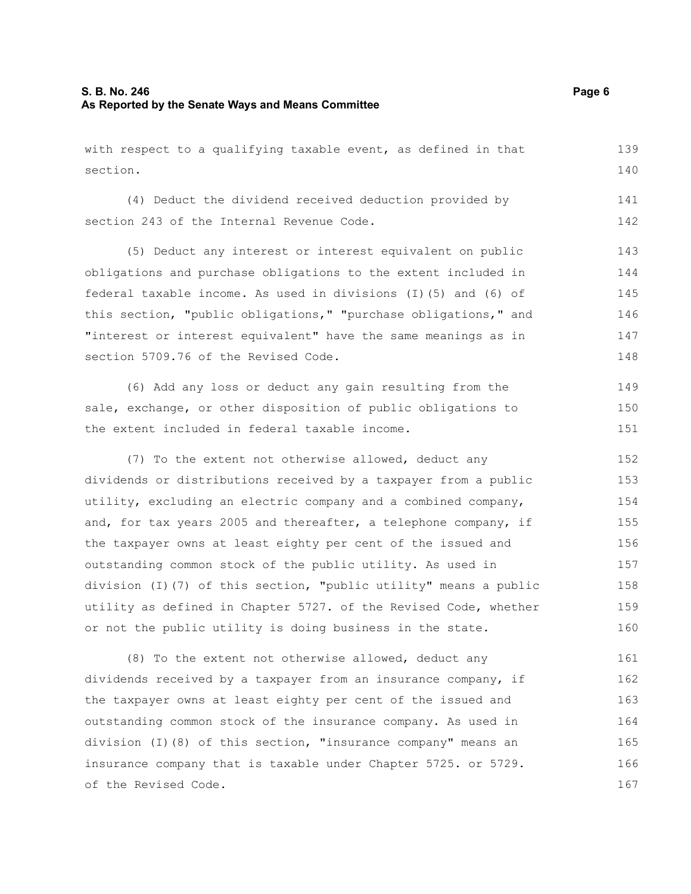with respect to a qualifying taxable event, as defined in that section. 139 140

(4) Deduct the dividend received deduction provided by section 243 of the Internal Revenue Code.

(5) Deduct any interest or interest equivalent on public obligations and purchase obligations to the extent included in federal taxable income. As used in divisions (I)(5) and (6) of this section, "public obligations," "purchase obligations," and "interest or interest equivalent" have the same meanings as in section 5709.76 of the Revised Code. 143 144 145 146 147 148

(6) Add any loss or deduct any gain resulting from the sale, exchange, or other disposition of public obligations to the extent included in federal taxable income. 149 150 151

(7) To the extent not otherwise allowed, deduct any dividends or distributions received by a taxpayer from a public utility, excluding an electric company and a combined company, and, for tax years 2005 and thereafter, a telephone company, if the taxpayer owns at least eighty per cent of the issued and outstanding common stock of the public utility. As used in division (I)(7) of this section, "public utility" means a public utility as defined in Chapter 5727. of the Revised Code, whether or not the public utility is doing business in the state. 152 153 154 155 156 157 158 159 160

(8) To the extent not otherwise allowed, deduct any dividends received by a taxpayer from an insurance company, if the taxpayer owns at least eighty per cent of the issued and outstanding common stock of the insurance company. As used in division (I)(8) of this section, "insurance company" means an insurance company that is taxable under Chapter 5725. or 5729. of the Revised Code. 161 162 163 164 165 166 167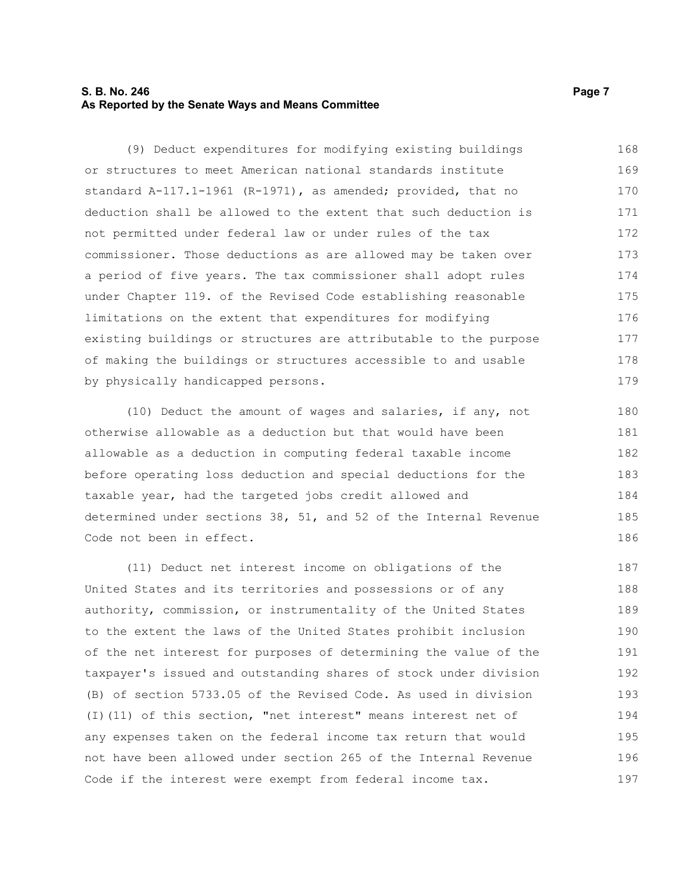# **S. B. No. 246** Page 7 **As Reported by the Senate Ways and Means Committee**

(9) Deduct expenditures for modifying existing buildings or structures to meet American national standards institute standard A-117.1-1961 (R-1971), as amended; provided, that no deduction shall be allowed to the extent that such deduction is not permitted under federal law or under rules of the tax commissioner. Those deductions as are allowed may be taken over a period of five years. The tax commissioner shall adopt rules under Chapter 119. of the Revised Code establishing reasonable limitations on the extent that expenditures for modifying existing buildings or structures are attributable to the purpose of making the buildings or structures accessible to and usable by physically handicapped persons. 168 169 170 171 172 173 174 175 176 177 178 179

(10) Deduct the amount of wages and salaries, if any, not otherwise allowable as a deduction but that would have been allowable as a deduction in computing federal taxable income before operating loss deduction and special deductions for the taxable year, had the targeted jobs credit allowed and determined under sections 38, 51, and 52 of the Internal Revenue Code not been in effect.

(11) Deduct net interest income on obligations of the United States and its territories and possessions or of any authority, commission, or instrumentality of the United States to the extent the laws of the United States prohibit inclusion of the net interest for purposes of determining the value of the taxpayer's issued and outstanding shares of stock under division (B) of section 5733.05 of the Revised Code. As used in division (I)(11) of this section, "net interest" means interest net of any expenses taken on the federal income tax return that would not have been allowed under section 265 of the Internal Revenue Code if the interest were exempt from federal income tax. 187 188 189 190 191 192 193 194 195 196 197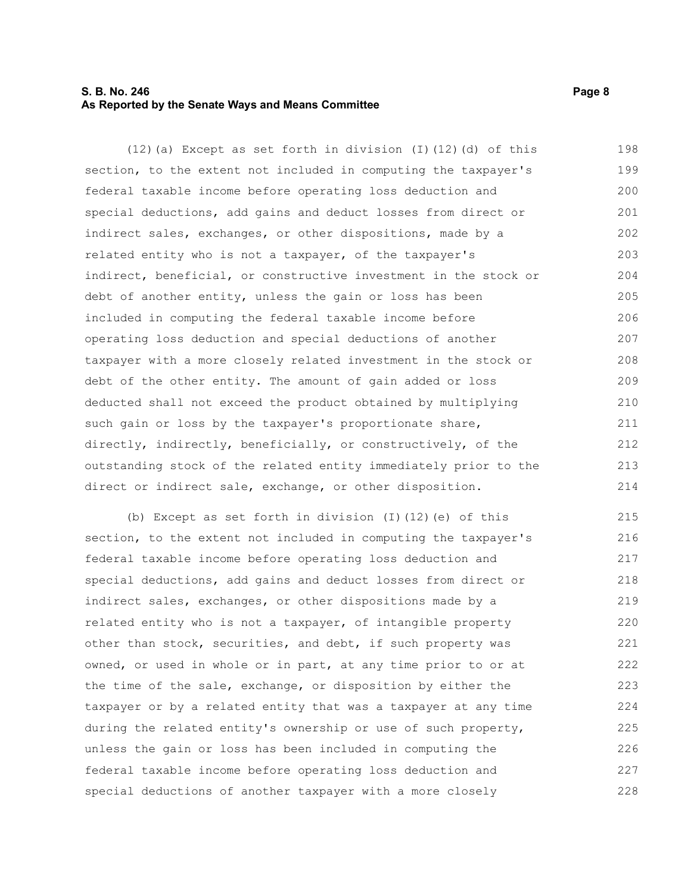# **S. B. No. 246** Page 8 **As Reported by the Senate Ways and Means Committee**

(12)(a) Except as set forth in division (I)(12)(d) of this section, to the extent not included in computing the taxpayer's federal taxable income before operating loss deduction and special deductions, add gains and deduct losses from direct or indirect sales, exchanges, or other dispositions, made by a related entity who is not a taxpayer, of the taxpayer's indirect, beneficial, or constructive investment in the stock or debt of another entity, unless the gain or loss has been included in computing the federal taxable income before operating loss deduction and special deductions of another taxpayer with a more closely related investment in the stock or debt of the other entity. The amount of gain added or loss deducted shall not exceed the product obtained by multiplying such gain or loss by the taxpayer's proportionate share, directly, indirectly, beneficially, or constructively, of the outstanding stock of the related entity immediately prior to the direct or indirect sale, exchange, or other disposition. 198 199 200 201 202 203 204 205 206 207 208 209 210 211 212 213 214

(b) Except as set forth in division (I)(12)(e) of this section, to the extent not included in computing the taxpayer's federal taxable income before operating loss deduction and special deductions, add gains and deduct losses from direct or indirect sales, exchanges, or other dispositions made by a related entity who is not a taxpayer, of intangible property other than stock, securities, and debt, if such property was owned, or used in whole or in part, at any time prior to or at the time of the sale, exchange, or disposition by either the taxpayer or by a related entity that was a taxpayer at any time during the related entity's ownership or use of such property, unless the gain or loss has been included in computing the federal taxable income before operating loss deduction and special deductions of another taxpayer with a more closely 215 216 217 218 219 220 221 222 223 224 225 226 227 228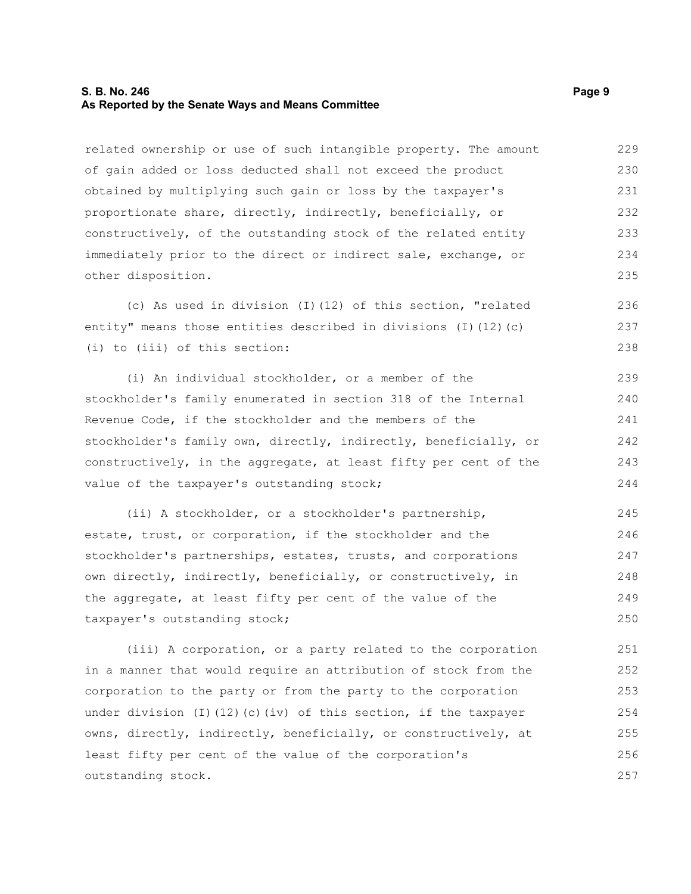# **S. B. No. 246** Page 9 **As Reported by the Senate Ways and Means Committee**

related ownership or use of such intangible property. The amount of gain added or loss deducted shall not exceed the product obtained by multiplying such gain or loss by the taxpayer's proportionate share, directly, indirectly, beneficially, or constructively, of the outstanding stock of the related entity immediately prior to the direct or indirect sale, exchange, or other disposition. 229 230 231 232 233 234 235

(c) As used in division (I)(12) of this section, "related entity" means those entities described in divisions (I)(12)(c) (i) to (iii) of this section: 236 237 238

(i) An individual stockholder, or a member of the stockholder's family enumerated in section 318 of the Internal Revenue Code, if the stockholder and the members of the stockholder's family own, directly, indirectly, beneficially, or constructively, in the aggregate, at least fifty per cent of the value of the taxpayer's outstanding stock; 239 240 241 242 243 244

(ii) A stockholder, or a stockholder's partnership, estate, trust, or corporation, if the stockholder and the stockholder's partnerships, estates, trusts, and corporations own directly, indirectly, beneficially, or constructively, in the aggregate, at least fifty per cent of the value of the taxpayer's outstanding stock; 245 246 247 248 249 250

(iii) A corporation, or a party related to the corporation in a manner that would require an attribution of stock from the corporation to the party or from the party to the corporation under division (I)(12)(c)(iv) of this section, if the taxpayer owns, directly, indirectly, beneficially, or constructively, at least fifty per cent of the value of the corporation's outstanding stock. 251 252 253 254 255 256 257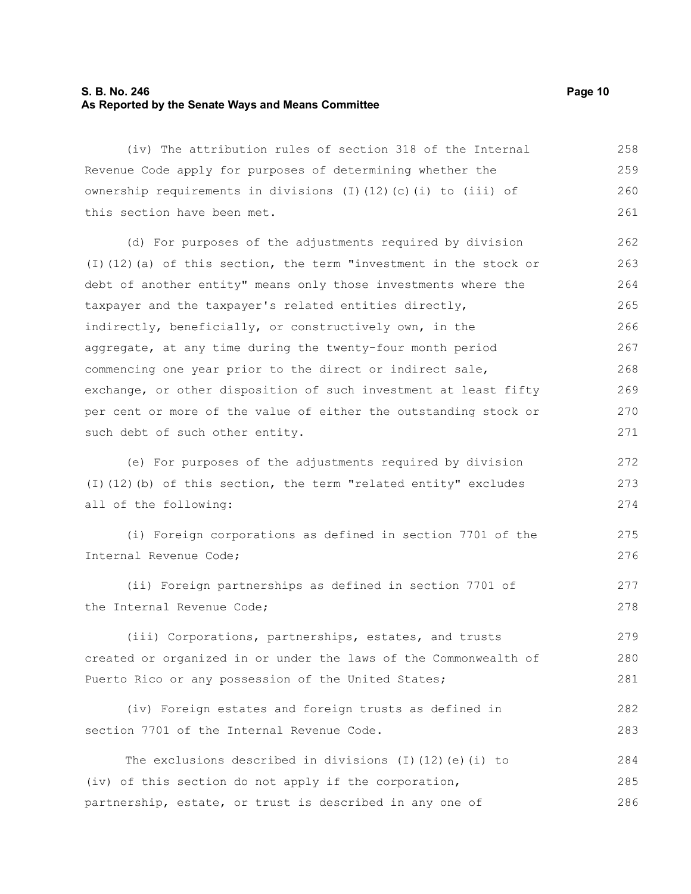# **S. B. No. 246 Page 10 As Reported by the Senate Ways and Means Committee**

(iv) The attribution rules of section 318 of the Internal Revenue Code apply for purposes of determining whether the ownership requirements in divisions (I)(12)(c)(i) to (iii) of this section have been met. 258 259 260 261

(d) For purposes of the adjustments required by division (I)(12)(a) of this section, the term "investment in the stock or debt of another entity" means only those investments where the taxpayer and the taxpayer's related entities directly, indirectly, beneficially, or constructively own, in the aggregate, at any time during the twenty-four month period commencing one year prior to the direct or indirect sale, exchange, or other disposition of such investment at least fifty per cent or more of the value of either the outstanding stock or such debt of such other entity. 262 263 264 265 266 267 268 269 270 271

(e) For purposes of the adjustments required by division (I)(12)(b) of this section, the term "related entity" excludes all of the following: 272 273 274

(i) Foreign corporations as defined in section 7701 of the Internal Revenue Code;

(ii) Foreign partnerships as defined in section 7701 of the Internal Revenue Code; 277 278

(iii) Corporations, partnerships, estates, and trusts created or organized in or under the laws of the Commonwealth of Puerto Rico or any possession of the United States;

(iv) Foreign estates and foreign trusts as defined in section 7701 of the Internal Revenue Code. 282 283

The exclusions described in divisions (I)(12)(e)(i) to (iv) of this section do not apply if the corporation, partnership, estate, or trust is described in any one of 284 285 286

275 276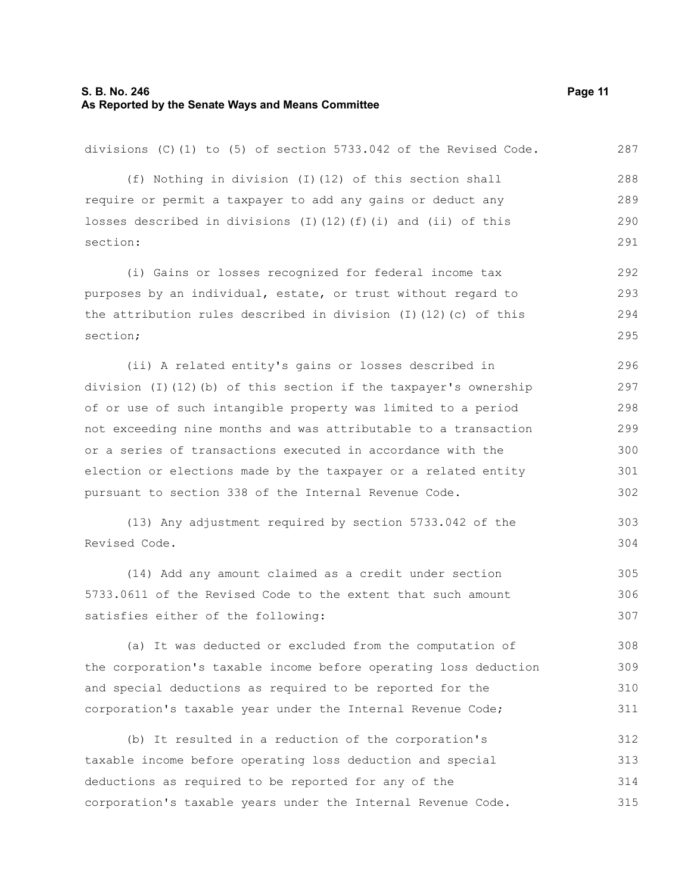#### **S. B. No. 246 Page 11 As Reported by the Senate Ways and Means Committee**

divisions (C)(1) to (5) of section 5733.042 of the Revised Code. (f) Nothing in division (I)(12) of this section shall require or permit a taxpayer to add any gains or deduct any losses described in divisions (I)(12)(f)(i) and (ii) of this section: (i) Gains or losses recognized for federal income tax purposes by an individual, estate, or trust without regard to the attribution rules described in division (I)(12)(c) of this section; (ii) A related entity's gains or losses described in 287 288 289 290 291 292 293 294 295 296

division (I)(12)(b) of this section if the taxpayer's ownership of or use of such intangible property was limited to a period not exceeding nine months and was attributable to a transaction or a series of transactions executed in accordance with the election or elections made by the taxpayer or a related entity pursuant to section 338 of the Internal Revenue Code. 297 298 299 300 301 302

(13) Any adjustment required by section 5733.042 of the Revised Code. 303 304

(14) Add any amount claimed as a credit under section 5733.0611 of the Revised Code to the extent that such amount satisfies either of the following: 305 306 307

(a) It was deducted or excluded from the computation of the corporation's taxable income before operating loss deduction and special deductions as required to be reported for the corporation's taxable year under the Internal Revenue Code; 308 309 310 311

(b) It resulted in a reduction of the corporation's taxable income before operating loss deduction and special deductions as required to be reported for any of the corporation's taxable years under the Internal Revenue Code. 312 313 314 315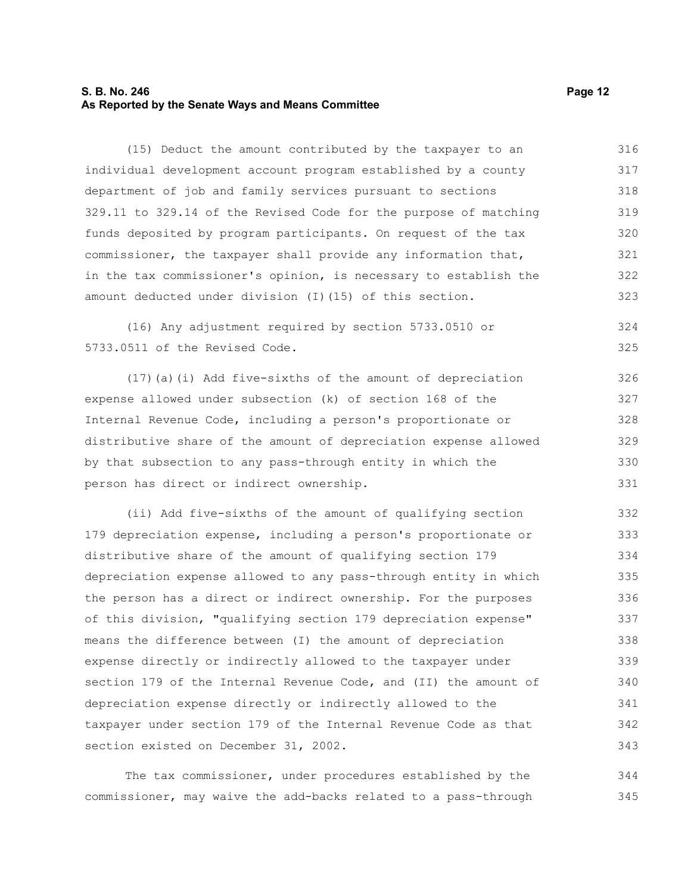## **S. B. No. 246 Page 12 As Reported by the Senate Ways and Means Committee**

(15) Deduct the amount contributed by the taxpayer to an individual development account program established by a county department of job and family services pursuant to sections 329.11 to 329.14 of the Revised Code for the purpose of matching funds deposited by program participants. On request of the tax commissioner, the taxpayer shall provide any information that, in the tax commissioner's opinion, is necessary to establish the amount deducted under division (I)(15) of this section. 316 317 318 319 320 321 322 323

(16) Any adjustment required by section 5733.0510 or 5733.0511 of the Revised Code. 324 325

(17)(a)(i) Add five-sixths of the amount of depreciation expense allowed under subsection (k) of section 168 of the Internal Revenue Code, including a person's proportionate or distributive share of the amount of depreciation expense allowed by that subsection to any pass-through entity in which the person has direct or indirect ownership. 326 327 328 329 330 331

(ii) Add five-sixths of the amount of qualifying section 179 depreciation expense, including a person's proportionate or distributive share of the amount of qualifying section 179 depreciation expense allowed to any pass-through entity in which the person has a direct or indirect ownership. For the purposes of this division, "qualifying section 179 depreciation expense" means the difference between (I) the amount of depreciation expense directly or indirectly allowed to the taxpayer under section 179 of the Internal Revenue Code, and (II) the amount of depreciation expense directly or indirectly allowed to the taxpayer under section 179 of the Internal Revenue Code as that section existed on December 31, 2002. 332 333 334 335 336 337 338 339 340 341 342 343

The tax commissioner, under procedures established by the commissioner, may waive the add-backs related to a pass-through 344 345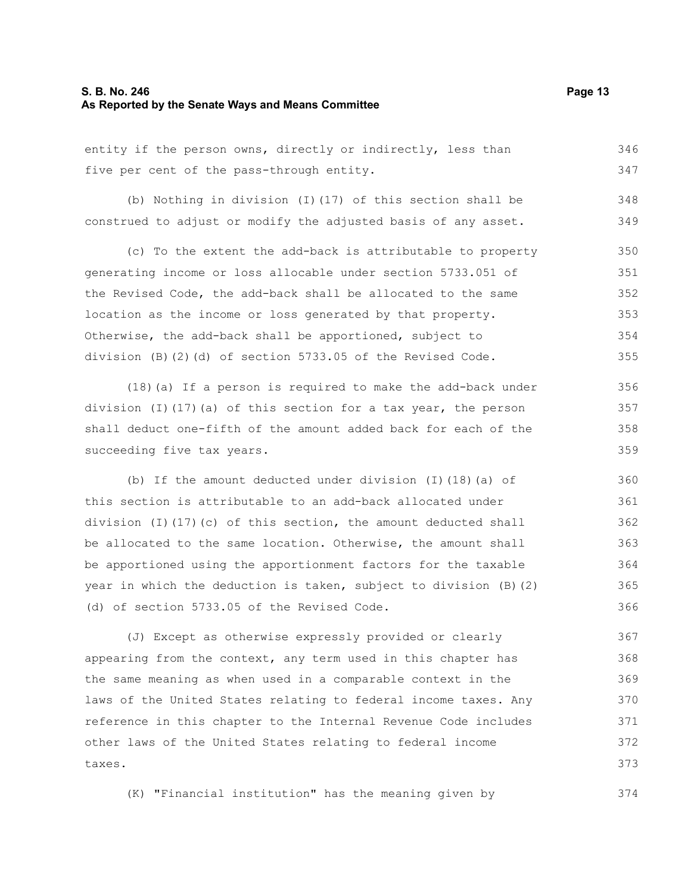#### **S. B. No. 246 Page 13 As Reported by the Senate Ways and Means Committee**

entity if the person owns, directly or indirectly, less than five per cent of the pass-through entity. 346 347

(b) Nothing in division (I)(17) of this section shall be construed to adjust or modify the adjusted basis of any asset. 348 349

(c) To the extent the add-back is attributable to property generating income or loss allocable under section 5733.051 of the Revised Code, the add-back shall be allocated to the same location as the income or loss generated by that property. Otherwise, the add-back shall be apportioned, subject to division (B)(2)(d) of section 5733.05 of the Revised Code. 350 351 352 353 354 355

(18)(a) If a person is required to make the add-back under division (I)(17)(a) of this section for a tax year, the person shall deduct one-fifth of the amount added back for each of the succeeding five tax years.

(b) If the amount deducted under division (I)(18)(a) of this section is attributable to an add-back allocated under division (I)(17)(c) of this section, the amount deducted shall be allocated to the same location. Otherwise, the amount shall be apportioned using the apportionment factors for the taxable year in which the deduction is taken, subject to division (B)(2) (d) of section 5733.05 of the Revised Code.

(J) Except as otherwise expressly provided or clearly appearing from the context, any term used in this chapter has the same meaning as when used in a comparable context in the laws of the United States relating to federal income taxes. Any reference in this chapter to the Internal Revenue Code includes other laws of the United States relating to federal income taxes. 367 368 369 370 371 372 373

(K) "Financial institution" has the meaning given by 374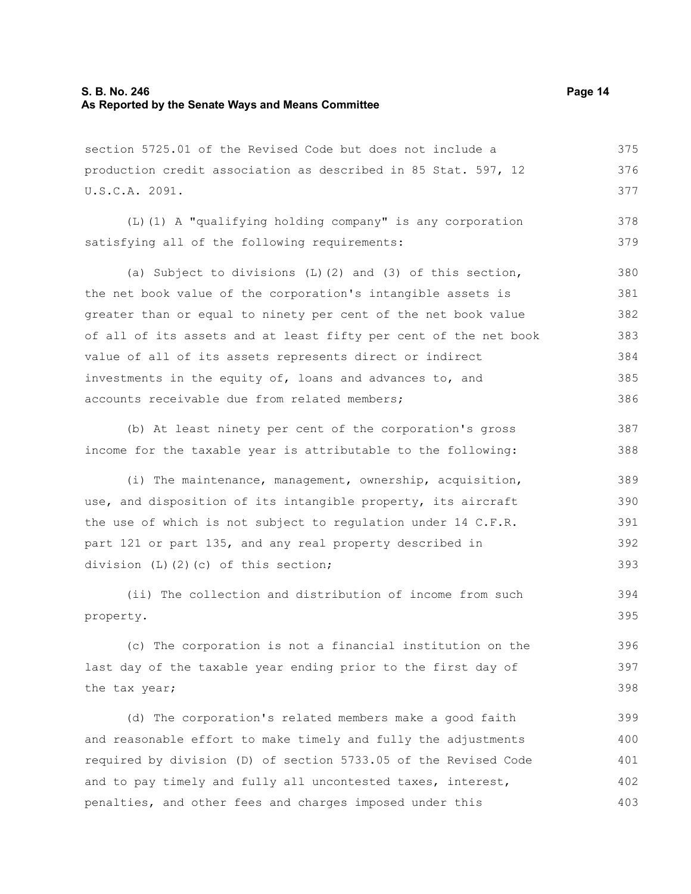# **S. B. No. 246 Page 14 As Reported by the Senate Ways and Means Committee**

section 5725.01 of the Revised Code but does not include a production credit association as described in 85 Stat. 597, 12 U.S.C.A. 2091. 375 376 377

(L)(1) A "qualifying holding company" is any corporation satisfying all of the following requirements: 378 379

(a) Subject to divisions (L)(2) and (3) of this section, the net book value of the corporation's intangible assets is greater than or equal to ninety per cent of the net book value of all of its assets and at least fifty per cent of the net book value of all of its assets represents direct or indirect investments in the equity of, loans and advances to, and accounts receivable due from related members; 380 381 382 383 384 385 386

(b) At least ninety per cent of the corporation's gross income for the taxable year is attributable to the following: 387 388

(i) The maintenance, management, ownership, acquisition, use, and disposition of its intangible property, its aircraft the use of which is not subject to regulation under 14 C.F.R. part 121 or part 135, and any real property described in division (L)(2)(c) of this section; 389 390 391 392 393

(ii) The collection and distribution of income from such property. 394 395

(c) The corporation is not a financial institution on the last day of the taxable year ending prior to the first day of the tax year; 396 397 398

(d) The corporation's related members make a good faith and reasonable effort to make timely and fully the adjustments required by division (D) of section 5733.05 of the Revised Code and to pay timely and fully all uncontested taxes, interest, penalties, and other fees and charges imposed under this 399 400 401 402 403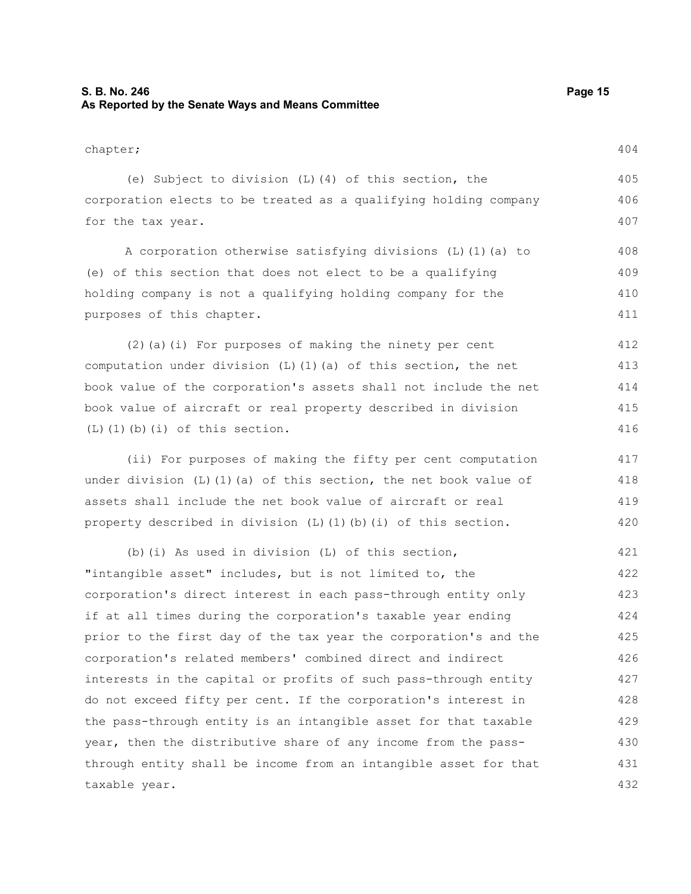# **S. B. No. 246 Page 15 As Reported by the Senate Ways and Means Committee**

chapter;

(e) Subject to division (L)(4) of this section, the corporation elects to be treated as a qualifying holding company for the tax year. 405 406 407

A corporation otherwise satisfying divisions (L)(1)(a) to (e) of this section that does not elect to be a qualifying holding company is not a qualifying holding company for the purposes of this chapter. 408 409 410 411

(2)(a)(i) For purposes of making the ninety per cent computation under division  $(L)$  (1)(a) of this section, the net book value of the corporation's assets shall not include the net book value of aircraft or real property described in division  $(L)$  $(l)$  $(b)$  $(i)$  of this section. 412 413 414 415 416

(ii) For purposes of making the fifty per cent computation under division  $(L)$  (1)(a) of this section, the net book value of assets shall include the net book value of aircraft or real property described in division (L)(1)(b)(i) of this section.

(b)(i) As used in division (L) of this section, "intangible asset" includes, but is not limited to, the corporation's direct interest in each pass-through entity only if at all times during the corporation's taxable year ending prior to the first day of the tax year the corporation's and the corporation's related members' combined direct and indirect interests in the capital or profits of such pass-through entity do not exceed fifty per cent. If the corporation's interest in the pass-through entity is an intangible asset for that taxable year, then the distributive share of any income from the passthrough entity shall be income from an intangible asset for that taxable year. 421 422 423 424 425 426 427 428 429 430 431 432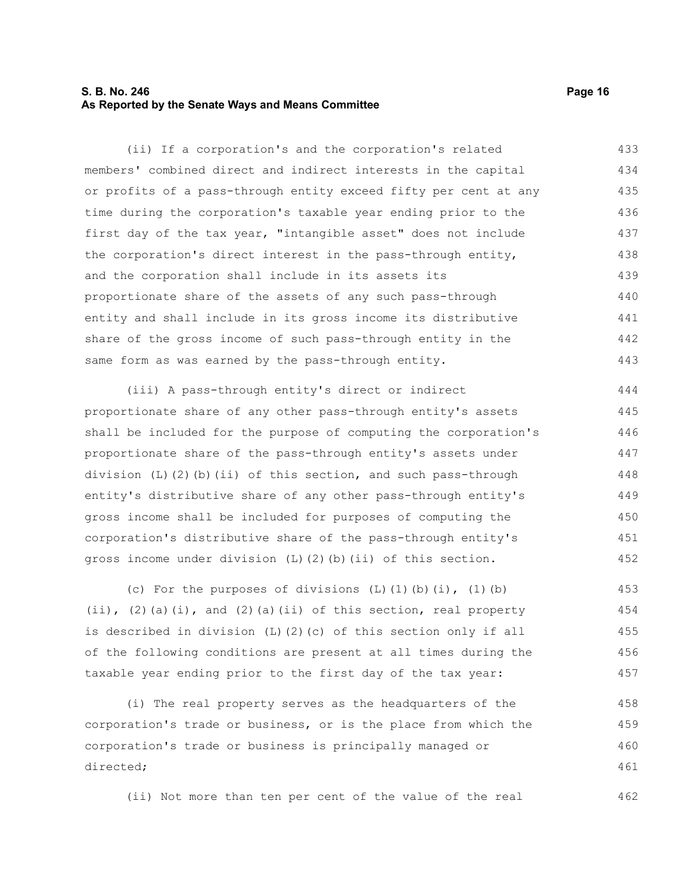# **S. B. No. 246 Page 16 As Reported by the Senate Ways and Means Committee**

(ii) If a corporation's and the corporation's related members' combined direct and indirect interests in the capital or profits of a pass-through entity exceed fifty per cent at any time during the corporation's taxable year ending prior to the first day of the tax year, "intangible asset" does not include the corporation's direct interest in the pass-through entity, and the corporation shall include in its assets its proportionate share of the assets of any such pass-through entity and shall include in its gross income its distributive share of the gross income of such pass-through entity in the same form as was earned by the pass-through entity. 433 434 435 436 437 438 439 440 441 442 443

(iii) A pass-through entity's direct or indirect proportionate share of any other pass-through entity's assets shall be included for the purpose of computing the corporation's proportionate share of the pass-through entity's assets under division (L)(2)(b)(ii) of this section, and such pass-through entity's distributive share of any other pass-through entity's gross income shall be included for purposes of computing the corporation's distributive share of the pass-through entity's gross income under division (L)(2)(b)(ii) of this section. 444 445 446 447 448 449 450 451 452

(c) For the purposes of divisions  $(L)$   $(1)$   $(b)$   $(i)$ ,  $(1)$   $(b)$ (ii), (2)(a)(i), and (2)(a)(ii) of this section, real property is described in division (L)(2)(c) of this section only if all of the following conditions are present at all times during the taxable year ending prior to the first day of the tax year: 453 454 455 456 457

(i) The real property serves as the headquarters of the corporation's trade or business, or is the place from which the corporation's trade or business is principally managed or directed; 458 459 460 461

(ii) Not more than ten per cent of the value of the real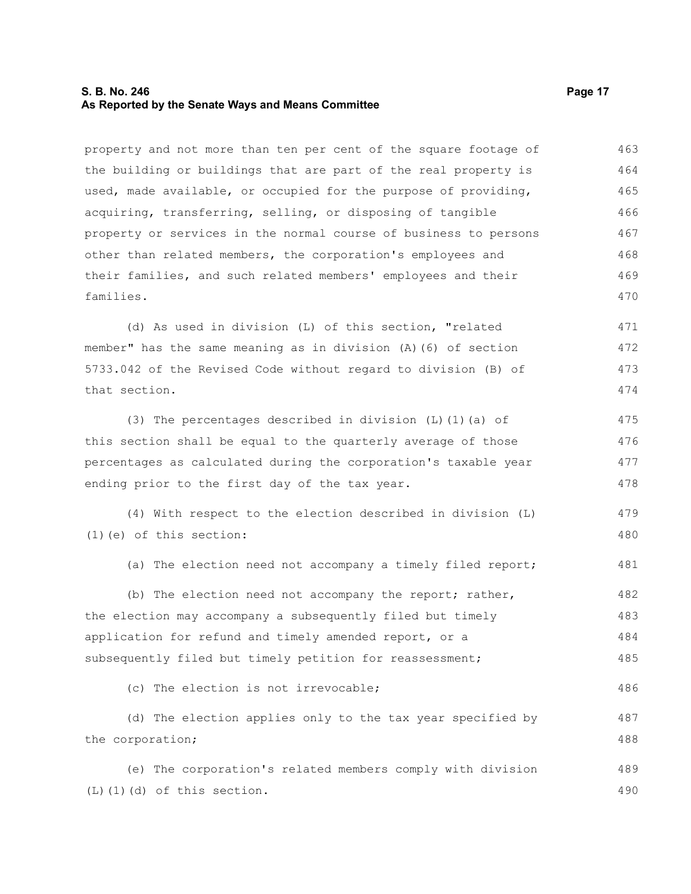# **S. B. No. 246 Page 17 As Reported by the Senate Ways and Means Committee**

property and not more than ten per cent of the square footage of the building or buildings that are part of the real property is used, made available, or occupied for the purpose of providing, acquiring, transferring, selling, or disposing of tangible property or services in the normal course of business to persons other than related members, the corporation's employees and their families, and such related members' employees and their families. 463 464 465 466 467 468 469 470

(d) As used in division (L) of this section, "related member" has the same meaning as in division (A)(6) of section 5733.042 of the Revised Code without regard to division (B) of that section. 471 472 473 474

(3) The percentages described in division (L)(1)(a) of this section shall be equal to the quarterly average of those percentages as calculated during the corporation's taxable year ending prior to the first day of the tax year. 475 476 477 478

(4) With respect to the election described in division (L) (1)(e) of this section: 479 480

(a) The election need not accompany a timely filed report; 481

(b) The election need not accompany the report; rather, the election may accompany a subsequently filed but timely application for refund and timely amended report, or a subsequently filed but timely petition for reassessment; 482 483 484 485

(c) The election is not irrevocable; 486

(d) The election applies only to the tax year specified by the corporation; 487 488

(e) The corporation's related members comply with division (L)(1)(d) of this section. 489 490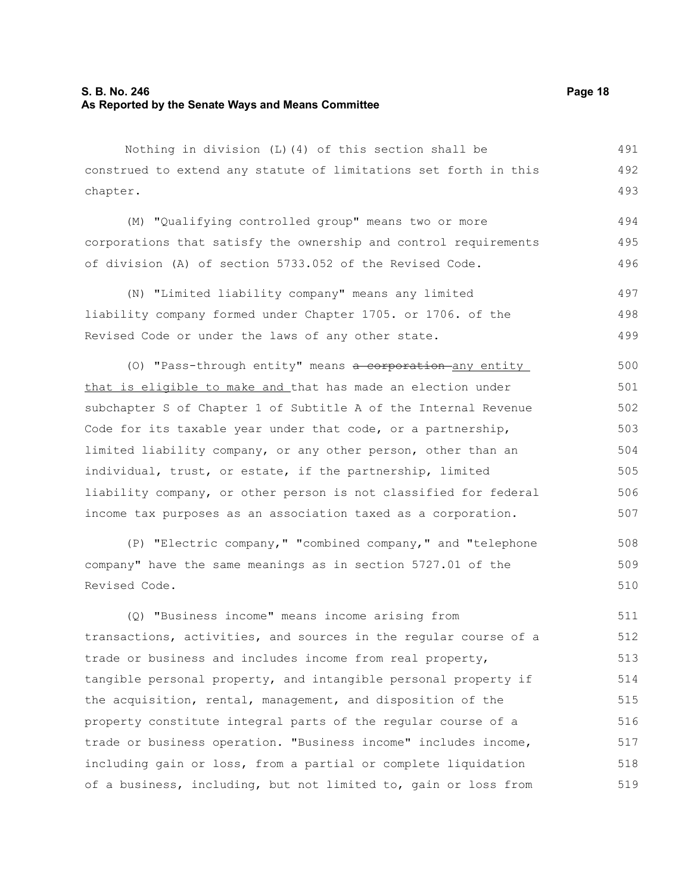# **S. B. No. 246 Page 18 As Reported by the Senate Ways and Means Committee**

Nothing in division (L)(4) of this section shall be construed to extend any statute of limitations set forth in this chapter. 491 492 493

(M) "Qualifying controlled group" means two or more corporations that satisfy the ownership and control requirements of division (A) of section 5733.052 of the Revised Code. 494 495 496

(N) "Limited liability company" means any limited liability company formed under Chapter 1705. or 1706. of the Revised Code or under the laws of any other state. 497 498 499

(0) "Pass-through entity" means a corporation any entity that is eligible to make and that has made an election under subchapter S of Chapter 1 of Subtitle A of the Internal Revenue Code for its taxable year under that code, or a partnership, limited liability company, or any other person, other than an individual, trust, or estate, if the partnership, limited liability company, or other person is not classified for federal income tax purposes as an association taxed as a corporation. 500 501 502 503 504 505 506 507

(P) "Electric company," "combined company," and "telephone company" have the same meanings as in section 5727.01 of the Revised Code. 508 509 510

(Q) "Business income" means income arising from transactions, activities, and sources in the regular course of a trade or business and includes income from real property, tangible personal property, and intangible personal property if the acquisition, rental, management, and disposition of the property constitute integral parts of the regular course of a trade or business operation. "Business income" includes income, including gain or loss, from a partial or complete liquidation of a business, including, but not limited to, gain or loss from 511 512 513 514 515 516 517 518 519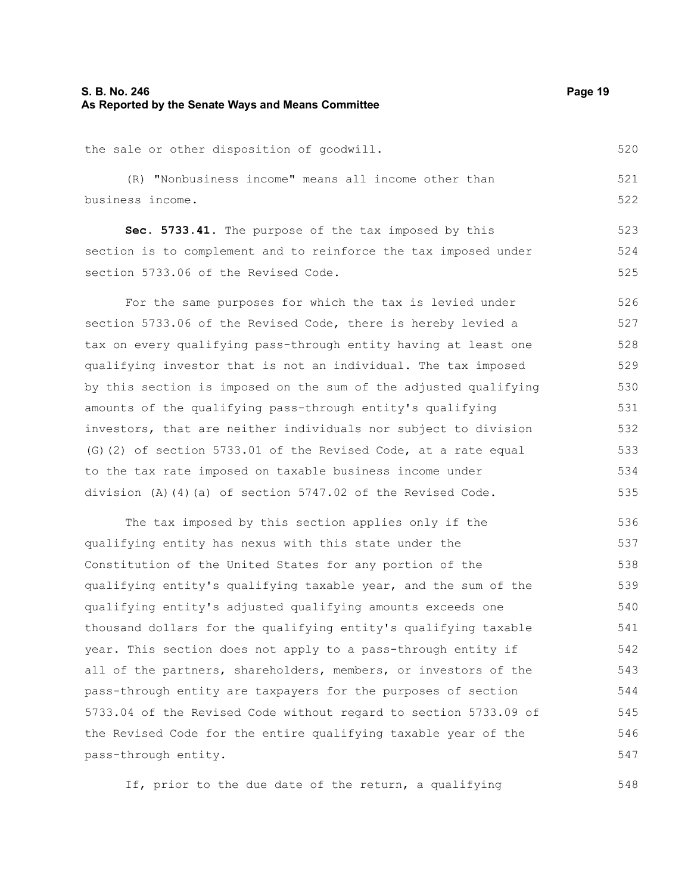(R) "Nonbusiness income" means all income other than business income.

**Sec. 5733.41.** The purpose of the tax imposed by this section is to complement and to reinforce the tax imposed under section 5733.06 of the Revised Code.

For the same purposes for which the tax is levied under section 5733.06 of the Revised Code, there is hereby levied a tax on every qualifying pass-through entity having at least one qualifying investor that is not an individual. The tax imposed by this section is imposed on the sum of the adjusted qualifying amounts of the qualifying pass-through entity's qualifying investors, that are neither individuals nor subject to division (G)(2) of section 5733.01 of the Revised Code, at a rate equal to the tax rate imposed on taxable business income under division (A)(4)(a) of section 5747.02 of the Revised Code. 526 527 528 529 530 531 532 533 534 535

The tax imposed by this section applies only if the qualifying entity has nexus with this state under the Constitution of the United States for any portion of the qualifying entity's qualifying taxable year, and the sum of the qualifying entity's adjusted qualifying amounts exceeds one thousand dollars for the qualifying entity's qualifying taxable year. This section does not apply to a pass-through entity if all of the partners, shareholders, members, or investors of the pass-through entity are taxpayers for the purposes of section 5733.04 of the Revised Code without regard to section 5733.09 of the Revised Code for the entire qualifying taxable year of the pass-through entity. 536 537 538 539 540 541 542 543 544 545 546 547

If, prior to the due date of the return, a qualifying

548

520

521 522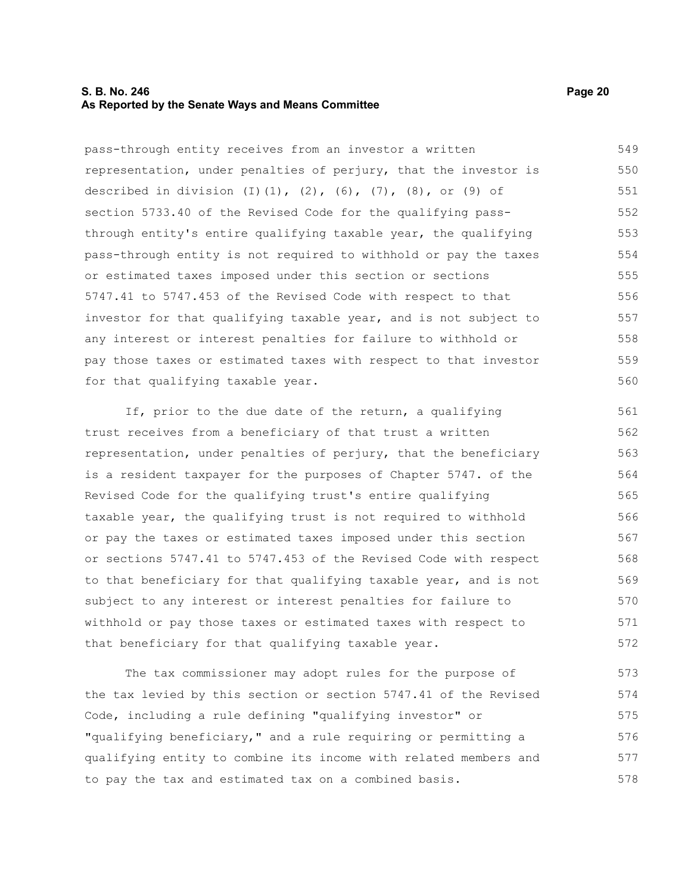#### **S. B. No. 246 Page 20 As Reported by the Senate Ways and Means Committee**

pass-through entity receives from an investor a written representation, under penalties of perjury, that the investor is described in division (I)(1), (2), (6), (7), (8), or (9) of section 5733.40 of the Revised Code for the qualifying passthrough entity's entire qualifying taxable year, the qualifying pass-through entity is not required to withhold or pay the taxes or estimated taxes imposed under this section or sections 5747.41 to 5747.453 of the Revised Code with respect to that investor for that qualifying taxable year, and is not subject to any interest or interest penalties for failure to withhold or pay those taxes or estimated taxes with respect to that investor for that qualifying taxable year. 549 550 551 552 553 554 555 556 557 558 559 560

If, prior to the due date of the return, a qualifying trust receives from a beneficiary of that trust a written representation, under penalties of perjury, that the beneficiary is a resident taxpayer for the purposes of Chapter 5747. of the Revised Code for the qualifying trust's entire qualifying taxable year, the qualifying trust is not required to withhold or pay the taxes or estimated taxes imposed under this section or sections 5747.41 to 5747.453 of the Revised Code with respect to that beneficiary for that qualifying taxable year, and is not subject to any interest or interest penalties for failure to withhold or pay those taxes or estimated taxes with respect to that beneficiary for that qualifying taxable year. 561 562 563 564 565 566 567 568 569 570 571 572

The tax commissioner may adopt rules for the purpose of the tax levied by this section or section 5747.41 of the Revised Code, including a rule defining "qualifying investor" or "qualifying beneficiary," and a rule requiring or permitting a qualifying entity to combine its income with related members and to pay the tax and estimated tax on a combined basis. 573 574 575 576 577 578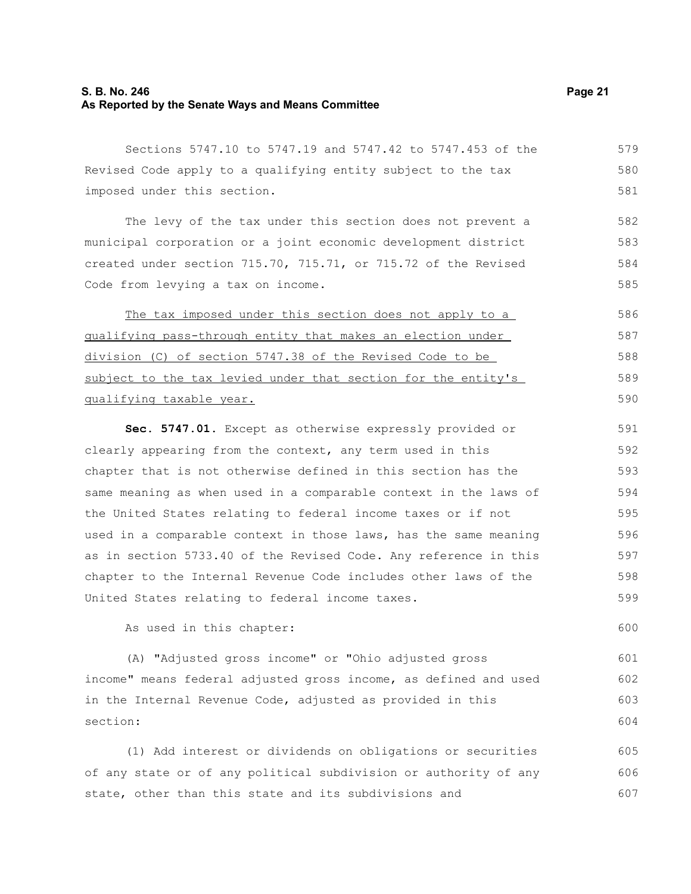# **S. B. No. 246 Page 21 As Reported by the Senate Ways and Means Committee**

Sections 5747.10 to 5747.19 and 5747.42 to 5747.453 of the Revised Code apply to a qualifying entity subject to the tax imposed under this section. 579 580 581

The levy of the tax under this section does not prevent a municipal corporation or a joint economic development district created under section 715.70, 715.71, or 715.72 of the Revised Code from levying a tax on income. 582 583 584 585

The tax imposed under this section does not apply to a qualifying pass-through entity that makes an election under division (C) of section 5747.38 of the Revised Code to be subject to the tax levied under that section for the entity's qualifying taxable year. 586 587 588 589 590

**Sec. 5747.01.** Except as otherwise expressly provided or clearly appearing from the context, any term used in this chapter that is not otherwise defined in this section has the same meaning as when used in a comparable context in the laws of the United States relating to federal income taxes or if not used in a comparable context in those laws, has the same meaning as in section 5733.40 of the Revised Code. Any reference in this chapter to the Internal Revenue Code includes other laws of the United States relating to federal income taxes. 591 592 593 594 595 596 597 598 599

As used in this chapter:

(A) "Adjusted gross income" or "Ohio adjusted gross income" means federal adjusted gross income, as defined and used in the Internal Revenue Code, adjusted as provided in this section:

(1) Add interest or dividends on obligations or securities of any state or of any political subdivision or authority of any state, other than this state and its subdivisions and 605 606 607

600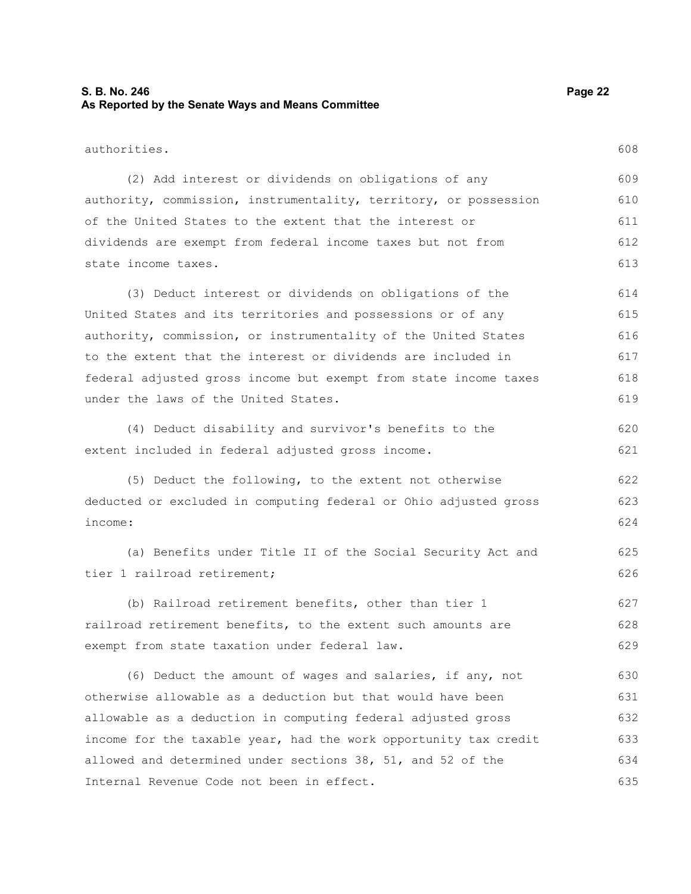# **S. B. No. 246 Page 22 As Reported by the Senate Ways and Means Committee**

authorities. (2) Add interest or dividends on obligations of any authority, commission, instrumentality, territory, or possession of the United States to the extent that the interest or dividends are exempt from federal income taxes but not from state income taxes. (3) Deduct interest or dividends on obligations of the United States and its territories and possessions or of any authority, commission, or instrumentality of the United States to the extent that the interest or dividends are included in federal adjusted gross income but exempt from state income taxes under the laws of the United States. (4) Deduct disability and survivor's benefits to the extent included in federal adjusted gross income. (5) Deduct the following, to the extent not otherwise deducted or excluded in computing federal or Ohio adjusted gross income: (a) Benefits under Title II of the Social Security Act and tier 1 railroad retirement; (b) Railroad retirement benefits, other than tier 1 railroad retirement benefits, to the extent such amounts are exempt from state taxation under federal law. (6) Deduct the amount of wages and salaries, if any, not otherwise allowable as a deduction but that would have been allowable as a deduction in computing federal adjusted gross income for the taxable year, had the work opportunity tax credit allowed and determined under sections 38, 51, and 52 of the Internal Revenue Code not been in effect. 608 609 610 611 612 613 614 615 616 617 618 619 620 621 622 623 624 625 626 627 628 629 630 631 632 633 634 635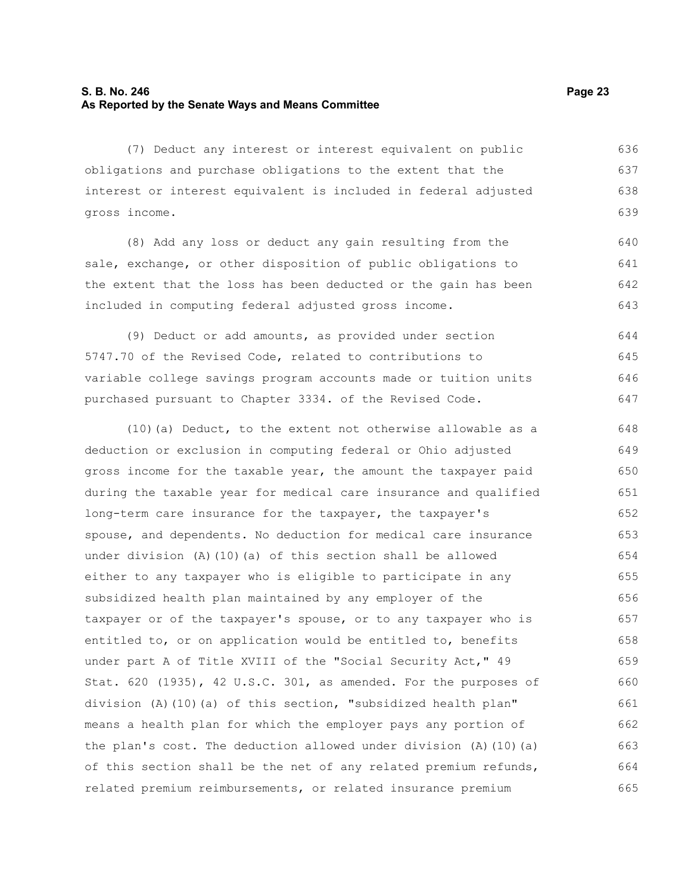# **S. B. No. 246 Page 23 As Reported by the Senate Ways and Means Committee**

(7) Deduct any interest or interest equivalent on public obligations and purchase obligations to the extent that the interest or interest equivalent is included in federal adjusted gross income. 636 637 638 639

(8) Add any loss or deduct any gain resulting from the sale, exchange, or other disposition of public obligations to the extent that the loss has been deducted or the gain has been included in computing federal adjusted gross income. 640 641 642 643

(9) Deduct or add amounts, as provided under section 5747.70 of the Revised Code, related to contributions to variable college savings program accounts made or tuition units purchased pursuant to Chapter 3334. of the Revised Code. 644 645 646 647

(10)(a) Deduct, to the extent not otherwise allowable as a deduction or exclusion in computing federal or Ohio adjusted gross income for the taxable year, the amount the taxpayer paid during the taxable year for medical care insurance and qualified long-term care insurance for the taxpayer, the taxpayer's spouse, and dependents. No deduction for medical care insurance under division (A)(10)(a) of this section shall be allowed either to any taxpayer who is eligible to participate in any subsidized health plan maintained by any employer of the taxpayer or of the taxpayer's spouse, or to any taxpayer who is entitled to, or on application would be entitled to, benefits under part A of Title XVIII of the "Social Security Act," 49 Stat. 620 (1935), 42 U.S.C. 301, as amended. For the purposes of division (A)(10)(a) of this section, "subsidized health plan" means a health plan for which the employer pays any portion of the plan's cost. The deduction allowed under division (A)(10)(a) of this section shall be the net of any related premium refunds, related premium reimbursements, or related insurance premium 648 649 650 651 652 653 654 655 656 657 658 659 660 661 662 663 664 665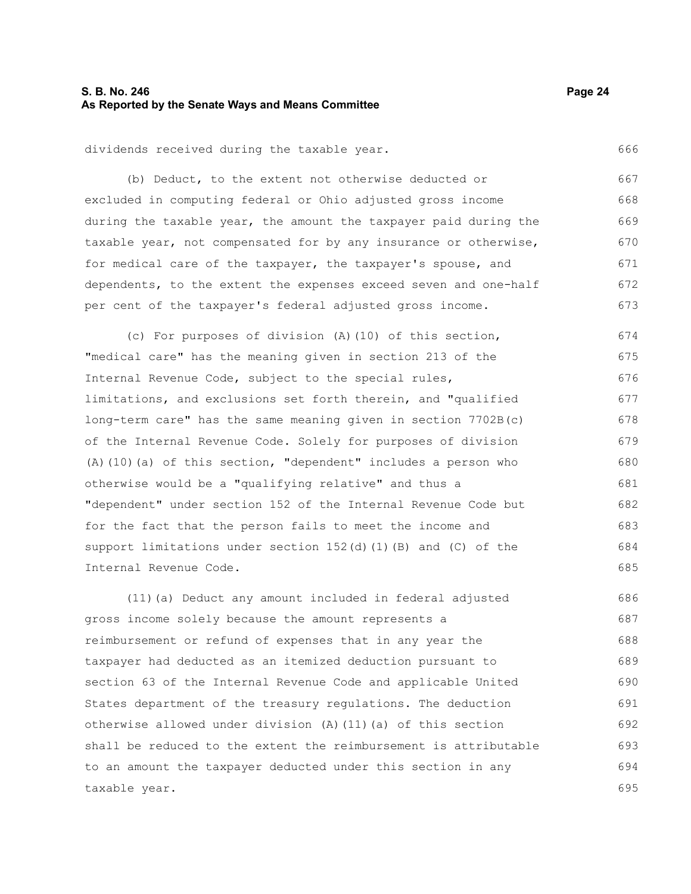# **S. B. No. 246 Page 24 As Reported by the Senate Ways and Means Committee**

dividends received during the taxable year.

(b) Deduct, to the extent not otherwise deducted or excluded in computing federal or Ohio adjusted gross income during the taxable year, the amount the taxpayer paid during the taxable year, not compensated for by any insurance or otherwise, for medical care of the taxpayer, the taxpayer's spouse, and dependents, to the extent the expenses exceed seven and one-half per cent of the taxpayer's federal adjusted gross income. 667 668 669 670 671 672 673

(c) For purposes of division (A)(10) of this section, "medical care" has the meaning given in section 213 of the Internal Revenue Code, subject to the special rules, limitations, and exclusions set forth therein, and "qualified long-term care" has the same meaning given in section 7702B(c) of the Internal Revenue Code. Solely for purposes of division (A)(10)(a) of this section, "dependent" includes a person who otherwise would be a "qualifying relative" and thus a "dependent" under section 152 of the Internal Revenue Code but for the fact that the person fails to meet the income and support limitations under section 152(d)(1)(B) and (C) of the Internal Revenue Code. 674 675 676 677 678 679 680 681 682 683 684 685

(11)(a) Deduct any amount included in federal adjusted gross income solely because the amount represents a reimbursement or refund of expenses that in any year the taxpayer had deducted as an itemized deduction pursuant to section 63 of the Internal Revenue Code and applicable United States department of the treasury regulations. The deduction otherwise allowed under division (A)(11)(a) of this section shall be reduced to the extent the reimbursement is attributable to an amount the taxpayer deducted under this section in any taxable year. 686 687 688 689 690 691 692 693 694 695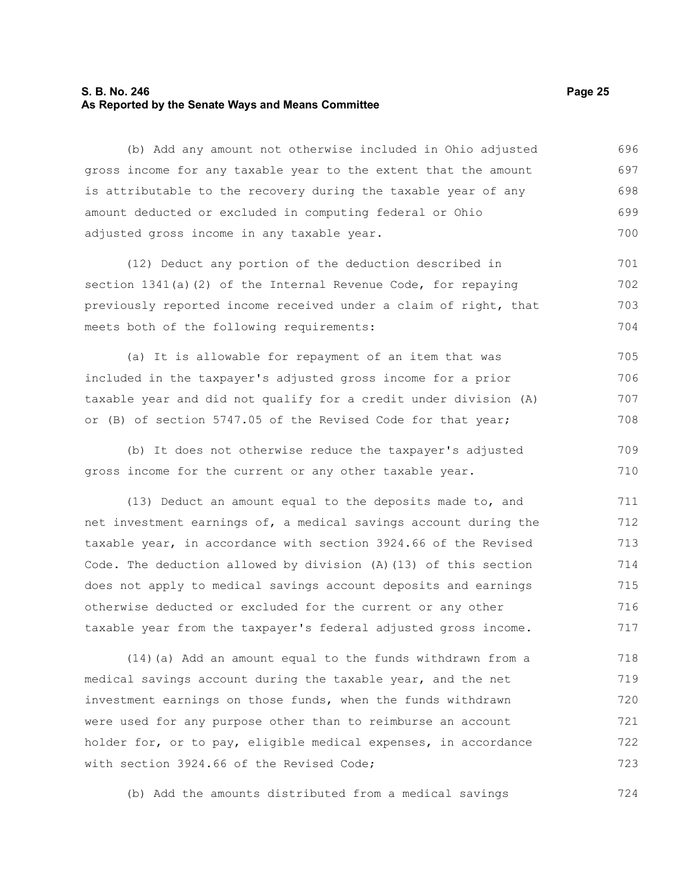## **S. B. No. 246 Page 25 As Reported by the Senate Ways and Means Committee**

(b) Add any amount not otherwise included in Ohio adjusted gross income for any taxable year to the extent that the amount is attributable to the recovery during the taxable year of any amount deducted or excluded in computing federal or Ohio adjusted gross income in any taxable year. 696 697 698 699 700

(12) Deduct any portion of the deduction described in section 1341(a)(2) of the Internal Revenue Code, for repaying previously reported income received under a claim of right, that meets both of the following requirements: 701 702 703 704

(a) It is allowable for repayment of an item that was included in the taxpayer's adjusted gross income for a prior taxable year and did not qualify for a credit under division (A) or (B) of section 5747.05 of the Revised Code for that year; 705 706 707 708

(b) It does not otherwise reduce the taxpayer's adjusted gross income for the current or any other taxable year. 709 710

(13) Deduct an amount equal to the deposits made to, and net investment earnings of, a medical savings account during the taxable year, in accordance with section 3924.66 of the Revised Code. The deduction allowed by division (A)(13) of this section does not apply to medical savings account deposits and earnings otherwise deducted or excluded for the current or any other taxable year from the taxpayer's federal adjusted gross income. 711 712 713 714 715 716 717

(14)(a) Add an amount equal to the funds withdrawn from a medical savings account during the taxable year, and the net investment earnings on those funds, when the funds withdrawn were used for any purpose other than to reimburse an account holder for, or to pay, eligible medical expenses, in accordance with section 3924.66 of the Revised Code; 718 719 720 721 722 723

(b) Add the amounts distributed from a medical savings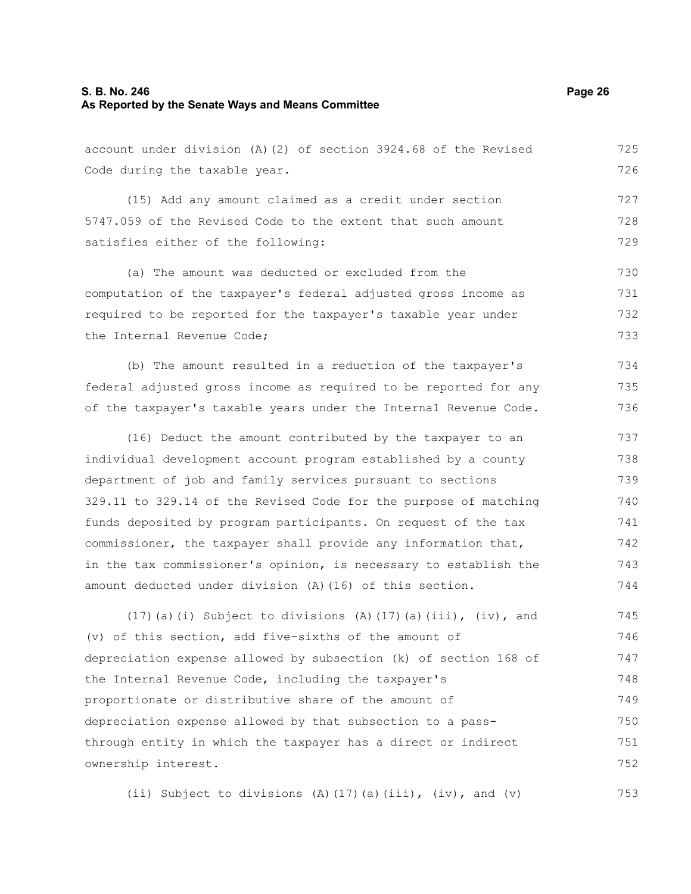# **S. B. No. 246 Page 26 As Reported by the Senate Ways and Means Committee**

account under division (A)(2) of section 3924.68 of the Revised Code during the taxable year. (15) Add any amount claimed as a credit under section 5747.059 of the Revised Code to the extent that such amount satisfies either of the following: 725 726 727 728 729

(a) The amount was deducted or excluded from the computation of the taxpayer's federal adjusted gross income as required to be reported for the taxpayer's taxable year under the Internal Revenue Code; 730 731 732 733

(b) The amount resulted in a reduction of the taxpayer's federal adjusted gross income as required to be reported for any of the taxpayer's taxable years under the Internal Revenue Code. 734 735 736

(16) Deduct the amount contributed by the taxpayer to an individual development account program established by a county department of job and family services pursuant to sections 329.11 to 329.14 of the Revised Code for the purpose of matching funds deposited by program participants. On request of the tax commissioner, the taxpayer shall provide any information that, in the tax commissioner's opinion, is necessary to establish the amount deducted under division (A)(16) of this section. 737 738 739 740 741 742 743 744

(17)(a)(i) Subject to divisions (A)(17)(a)(iii), (iv), and (v) of this section, add five-sixths of the amount of depreciation expense allowed by subsection (k) of section 168 of the Internal Revenue Code, including the taxpayer's proportionate or distributive share of the amount of depreciation expense allowed by that subsection to a passthrough entity in which the taxpayer has a direct or indirect ownership interest. 745 746 747 748 749 750 751 752

(ii) Subject to divisions (A)(17)(a)(iii), (iv), and (v) 753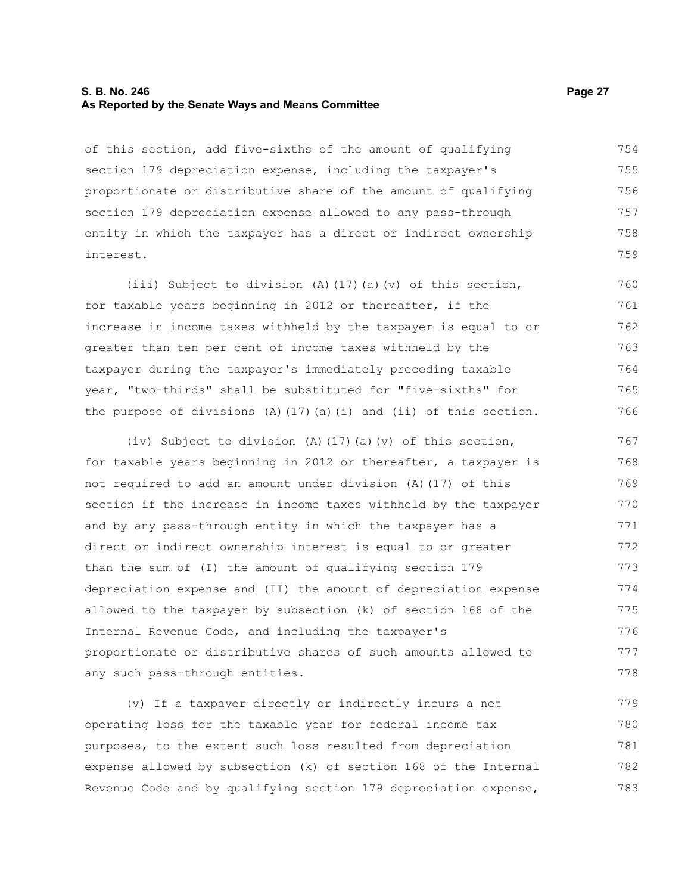#### **S. B. No. 246 Page 27 As Reported by the Senate Ways and Means Committee**

of this section, add five-sixths of the amount of qualifying section 179 depreciation expense, including the taxpayer's proportionate or distributive share of the amount of qualifying section 179 depreciation expense allowed to any pass-through entity in which the taxpayer has a direct or indirect ownership interest. 754 755 756 757 758 759

(iii) Subject to division (A)(17)(a)(v) of this section, for taxable years beginning in 2012 or thereafter, if the increase in income taxes withheld by the taxpayer is equal to or greater than ten per cent of income taxes withheld by the taxpayer during the taxpayer's immediately preceding taxable year, "two-thirds" shall be substituted for "five-sixths" for the purpose of divisions  $(A)$  (17)(a)(i) and (ii) of this section. 760 761 762 763 764 765 766

(iv) Subject to division (A)(17)(a)(v) of this section, for taxable years beginning in 2012 or thereafter, a taxpayer is not required to add an amount under division (A)(17) of this section if the increase in income taxes withheld by the taxpayer and by any pass-through entity in which the taxpayer has a direct or indirect ownership interest is equal to or greater than the sum of (I) the amount of qualifying section 179 depreciation expense and (II) the amount of depreciation expense allowed to the taxpayer by subsection (k) of section 168 of the Internal Revenue Code, and including the taxpayer's proportionate or distributive shares of such amounts allowed to any such pass-through entities. 767 768 769 770 771 772 773 774 775 776 777 778

(v) If a taxpayer directly or indirectly incurs a net operating loss for the taxable year for federal income tax purposes, to the extent such loss resulted from depreciation expense allowed by subsection (k) of section 168 of the Internal Revenue Code and by qualifying section 179 depreciation expense, 779 780 781 782 783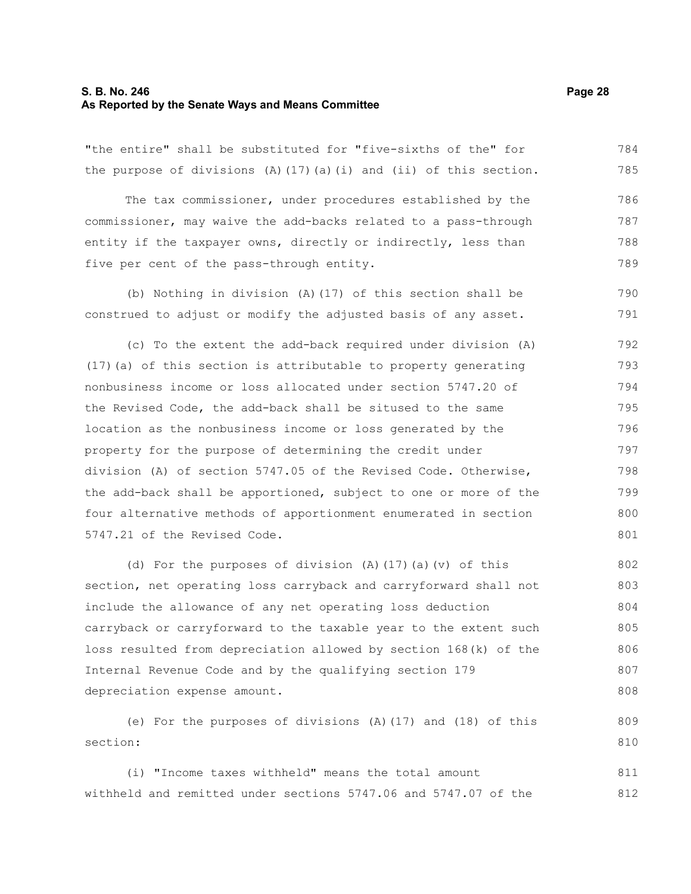#### **S. B. No. 246 Page 28 As Reported by the Senate Ways and Means Committee**

"the entire" shall be substituted for "five-sixths of the" for the purpose of divisions  $(A)$  (17)(a)(i) and (ii) of this section. 784 785

The tax commissioner, under procedures established by the commissioner, may waive the add-backs related to a pass-through entity if the taxpayer owns, directly or indirectly, less than five per cent of the pass-through entity. 786 787 788 789

(b) Nothing in division (A)(17) of this section shall be construed to adjust or modify the adjusted basis of any asset. 790 791

(c) To the extent the add-back required under division (A) (17)(a) of this section is attributable to property generating nonbusiness income or loss allocated under section 5747.20 of the Revised Code, the add-back shall be sitused to the same location as the nonbusiness income or loss generated by the property for the purpose of determining the credit under division (A) of section 5747.05 of the Revised Code. Otherwise, the add-back shall be apportioned, subject to one or more of the four alternative methods of apportionment enumerated in section 5747.21 of the Revised Code. 792 793 794 795 796 797 798 799 800 801

(d) For the purposes of division (A)(17)(a)(v) of this section, net operating loss carryback and carryforward shall not include the allowance of any net operating loss deduction carryback or carryforward to the taxable year to the extent such loss resulted from depreciation allowed by section 168(k) of the Internal Revenue Code and by the qualifying section 179 depreciation expense amount. 802 803 804 805 806 807 808

(e) For the purposes of divisions (A)(17) and (18) of this section: 809 810

(i) "Income taxes withheld" means the total amount withheld and remitted under sections 5747.06 and 5747.07 of the 811 812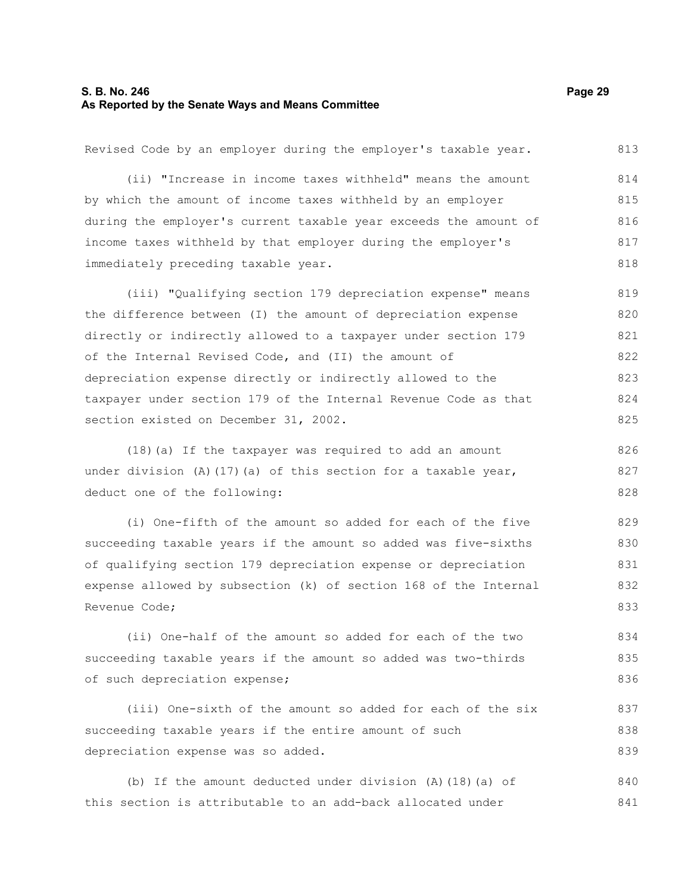# **S. B. No. 246 Page 29 As Reported by the Senate Ways and Means Committee**

(ii) "Increase in income taxes withheld" means the amount by which the amount of income taxes withheld by an employer during the employer's current taxable year exceeds the amount of income taxes withheld by that employer during the employer's immediately preceding taxable year. (iii) "Qualifying section 179 depreciation expense" means the difference between (I) the amount of depreciation expense directly or indirectly allowed to a taxpayer under section 179 of the Internal Revised Code, and (II) the amount of depreciation expense directly or indirectly allowed to the taxpayer under section 179 of the Internal Revenue Code as that section existed on December 31, 2002. 814 815 816 817 818 819 820 821 822 823 824 825

Revised Code by an employer during the employer's taxable year.

(18)(a) If the taxpayer was required to add an amount under division (A)(17)(a) of this section for a taxable year, deduct one of the following: 826 827 828

(i) One-fifth of the amount so added for each of the five succeeding taxable years if the amount so added was five-sixths of qualifying section 179 depreciation expense or depreciation expense allowed by subsection (k) of section 168 of the Internal Revenue Code; 829 830 831 832 833

(ii) One-half of the amount so added for each of the two succeeding taxable years if the amount so added was two-thirds of such depreciation expense; 834 835 836

(iii) One-sixth of the amount so added for each of the six succeeding taxable years if the entire amount of such depreciation expense was so added.

(b) If the amount deducted under division (A)(18)(a) of this section is attributable to an add-back allocated under 840 841

813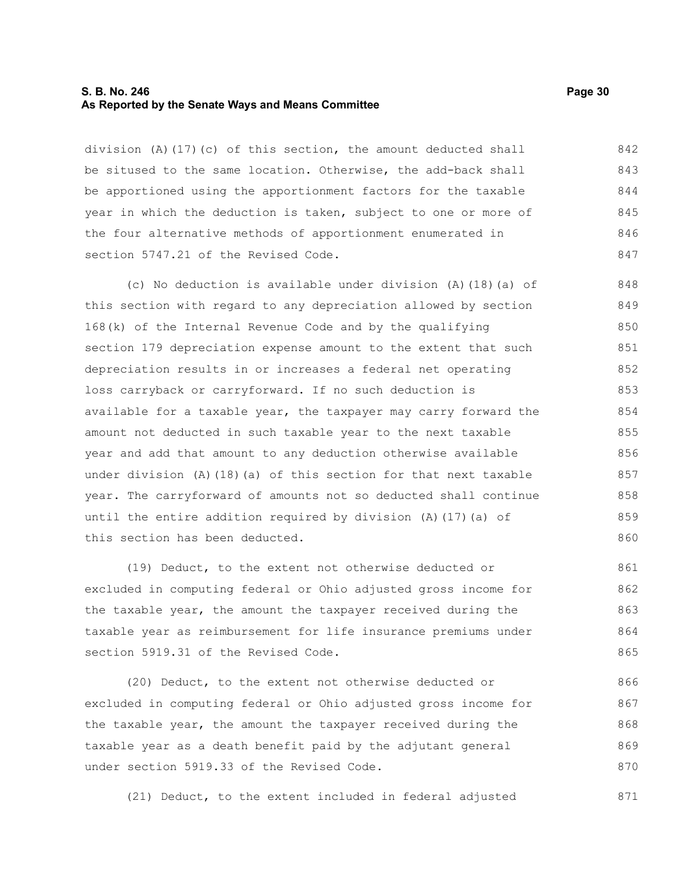#### **S. B. No. 246 Page 30 As Reported by the Senate Ways and Means Committee**

division (A)(17)(c) of this section, the amount deducted shall be sitused to the same location. Otherwise, the add-back shall be apportioned using the apportionment factors for the taxable year in which the deduction is taken, subject to one or more of the four alternative methods of apportionment enumerated in section 5747.21 of the Revised Code. 842 843 844 845 846 847

(c) No deduction is available under division (A)(18)(a) of this section with regard to any depreciation allowed by section 168(k) of the Internal Revenue Code and by the qualifying section 179 depreciation expense amount to the extent that such depreciation results in or increases a federal net operating loss carryback or carryforward. If no such deduction is available for a taxable year, the taxpayer may carry forward the amount not deducted in such taxable year to the next taxable year and add that amount to any deduction otherwise available under division  $(A)$  (18)(a) of this section for that next taxable year. The carryforward of amounts not so deducted shall continue until the entire addition required by division (A)(17)(a) of this section has been deducted. 848 849 850 851 852 853 854 855 856 857 858 859 860

(19) Deduct, to the extent not otherwise deducted or excluded in computing federal or Ohio adjusted gross income for the taxable year, the amount the taxpayer received during the taxable year as reimbursement for life insurance premiums under section 5919.31 of the Revised Code. 861 862 863 864 865

(20) Deduct, to the extent not otherwise deducted or excluded in computing federal or Ohio adjusted gross income for the taxable year, the amount the taxpayer received during the taxable year as a death benefit paid by the adjutant general under section 5919.33 of the Revised Code. 866 867 868 869 870

(21) Deduct, to the extent included in federal adjusted 871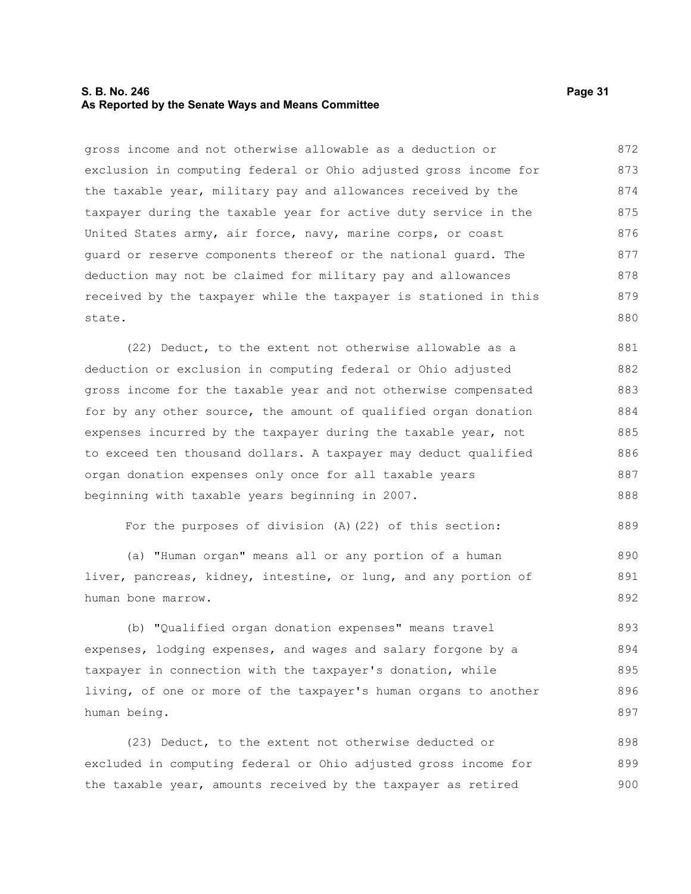## **S. B. No. 246 Page 31 As Reported by the Senate Ways and Means Committee**

gross income and not otherwise allowable as a deduction or exclusion in computing federal or Ohio adjusted gross income for the taxable year, military pay and allowances received by the taxpayer during the taxable year for active duty service in the United States army, air force, navy, marine corps, or coast guard or reserve components thereof or the national guard. The deduction may not be claimed for military pay and allowances received by the taxpayer while the taxpayer is stationed in this state. 872 873 874 875 876 877 878 879 880

(22) Deduct, to the extent not otherwise allowable as a deduction or exclusion in computing federal or Ohio adjusted gross income for the taxable year and not otherwise compensated for by any other source, the amount of qualified organ donation expenses incurred by the taxpayer during the taxable year, not to exceed ten thousand dollars. A taxpayer may deduct qualified organ donation expenses only once for all taxable years beginning with taxable years beginning in 2007. 881 882 883 884 885 886 887 888

For the purposes of division (A)(22) of this section:

(a) "Human organ" means all or any portion of a human liver, pancreas, kidney, intestine, or lung, and any portion of human bone marrow. 890 891 892

(b) "Qualified organ donation expenses" means travel expenses, lodging expenses, and wages and salary forgone by a taxpayer in connection with the taxpayer's donation, while living, of one or more of the taxpayer's human organs to another human being. 893 894 895 896 897

(23) Deduct, to the extent not otherwise deducted or excluded in computing federal or Ohio adjusted gross income for the taxable year, amounts received by the taxpayer as retired 898 899 900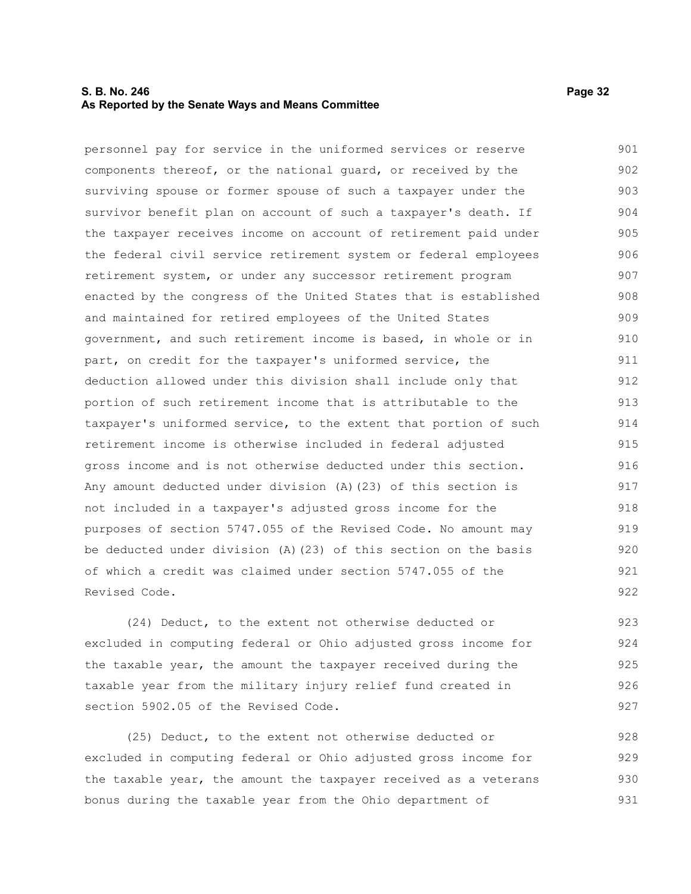## **S. B. No. 246 Page 32 As Reported by the Senate Ways and Means Committee**

personnel pay for service in the uniformed services or reserve components thereof, or the national guard, or received by the surviving spouse or former spouse of such a taxpayer under the survivor benefit plan on account of such a taxpayer's death. If the taxpayer receives income on account of retirement paid under the federal civil service retirement system or federal employees retirement system, or under any successor retirement program enacted by the congress of the United States that is established and maintained for retired employees of the United States government, and such retirement income is based, in whole or in part, on credit for the taxpayer's uniformed service, the deduction allowed under this division shall include only that portion of such retirement income that is attributable to the taxpayer's uniformed service, to the extent that portion of such retirement income is otherwise included in federal adjusted gross income and is not otherwise deducted under this section. Any amount deducted under division (A)(23) of this section is not included in a taxpayer's adjusted gross income for the purposes of section 5747.055 of the Revised Code. No amount may be deducted under division (A)(23) of this section on the basis of which a credit was claimed under section 5747.055 of the Revised Code. 901 902 903 904 905 906 907 908 909 910 911 912 913 914 915 916 917 918 919 920 921 922

(24) Deduct, to the extent not otherwise deducted or excluded in computing federal or Ohio adjusted gross income for the taxable year, the amount the taxpayer received during the taxable year from the military injury relief fund created in section 5902.05 of the Revised Code.

(25) Deduct, to the extent not otherwise deducted or excluded in computing federal or Ohio adjusted gross income for the taxable year, the amount the taxpayer received as a veterans bonus during the taxable year from the Ohio department of 928 929 930 931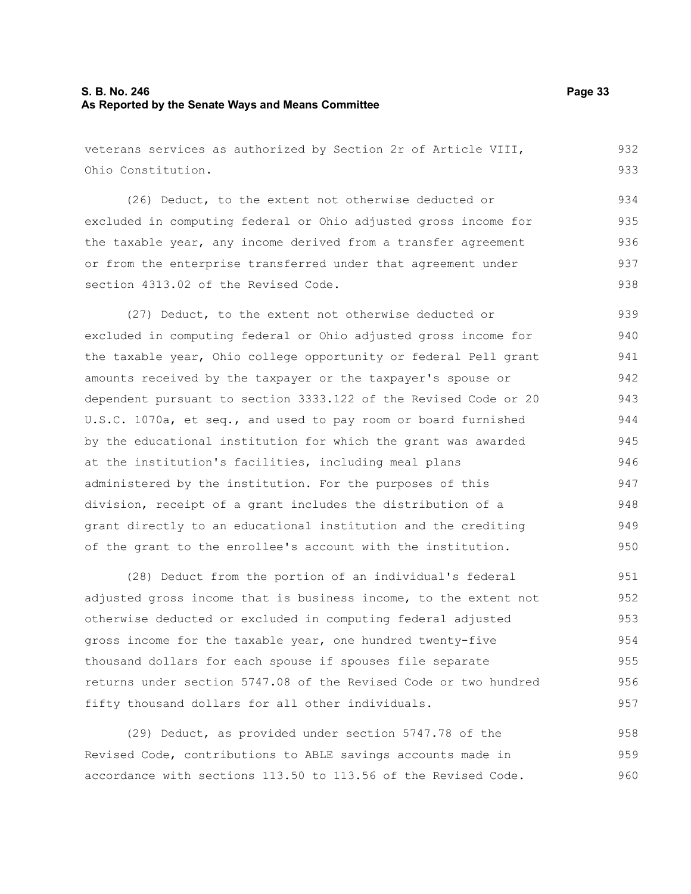# **S. B. No. 246 Page 33 As Reported by the Senate Ways and Means Committee**

veterans services as authorized by Section 2r of Article VIII, Ohio Constitution. 932 933

(26) Deduct, to the extent not otherwise deducted or excluded in computing federal or Ohio adjusted gross income for the taxable year, any income derived from a transfer agreement or from the enterprise transferred under that agreement under section 4313.02 of the Revised Code. 934 935 936 937 938

(27) Deduct, to the extent not otherwise deducted or excluded in computing federal or Ohio adjusted gross income for the taxable year, Ohio college opportunity or federal Pell grant amounts received by the taxpayer or the taxpayer's spouse or dependent pursuant to section 3333.122 of the Revised Code or 20 U.S.C. 1070a, et seq., and used to pay room or board furnished by the educational institution for which the grant was awarded at the institution's facilities, including meal plans administered by the institution. For the purposes of this division, receipt of a grant includes the distribution of a grant directly to an educational institution and the crediting of the grant to the enrollee's account with the institution. 939 940 941 942 943 944 945 946 947 948 949 950

(28) Deduct from the portion of an individual's federal adjusted gross income that is business income, to the extent not otherwise deducted or excluded in computing federal adjusted gross income for the taxable year, one hundred twenty-five thousand dollars for each spouse if spouses file separate returns under section 5747.08 of the Revised Code or two hundred fifty thousand dollars for all other individuals. 951 952 953 954 955 956 957

(29) Deduct, as provided under section 5747.78 of the Revised Code, contributions to ABLE savings accounts made in accordance with sections 113.50 to 113.56 of the Revised Code. 958 959 960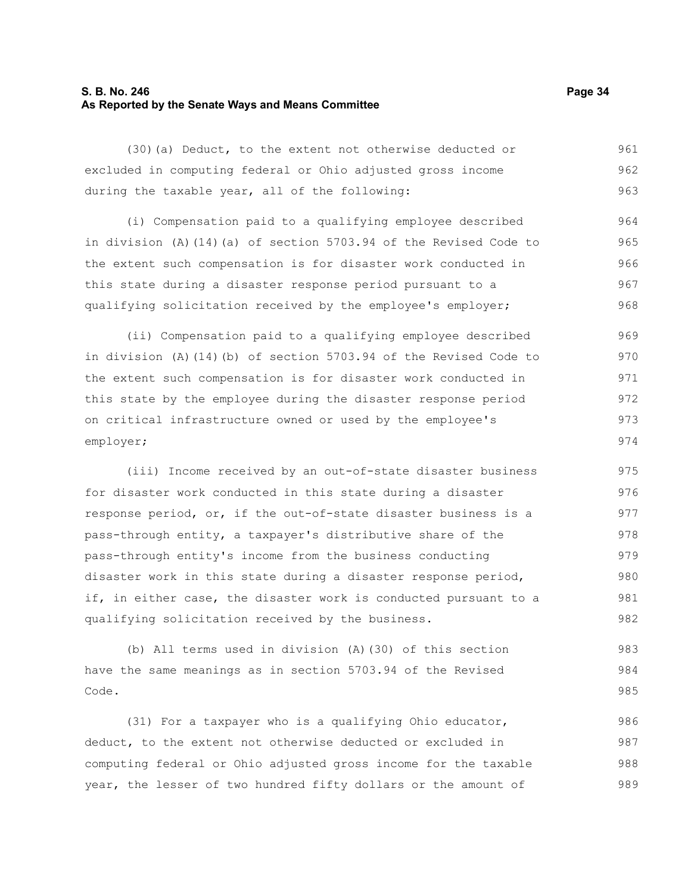# **S. B. No. 246 Page 34 As Reported by the Senate Ways and Means Committee**

(30)(a) Deduct, to the extent not otherwise deducted or excluded in computing federal or Ohio adjusted gross income during the taxable year, all of the following: 961 962 963

(i) Compensation paid to a qualifying employee described in division (A)(14)(a) of section 5703.94 of the Revised Code to the extent such compensation is for disaster work conducted in this state during a disaster response period pursuant to a qualifying solicitation received by the employee's employer; 964 965 966 967 968

(ii) Compensation paid to a qualifying employee described in division (A)(14)(b) of section 5703.94 of the Revised Code to the extent such compensation is for disaster work conducted in this state by the employee during the disaster response period on critical infrastructure owned or used by the employee's employer; 969 970 971 972 973 974

(iii) Income received by an out-of-state disaster business for disaster work conducted in this state during a disaster response period, or, if the out-of-state disaster business is a pass-through entity, a taxpayer's distributive share of the pass-through entity's income from the business conducting disaster work in this state during a disaster response period, if, in either case, the disaster work is conducted pursuant to a qualifying solicitation received by the business. 975 976 977 978 979 980 981 982

(b) All terms used in division (A)(30) of this section have the same meanings as in section 5703.94 of the Revised Code. 983 984 985

(31) For a taxpayer who is a qualifying Ohio educator, deduct, to the extent not otherwise deducted or excluded in computing federal or Ohio adjusted gross income for the taxable year, the lesser of two hundred fifty dollars or the amount of 986 987 988 989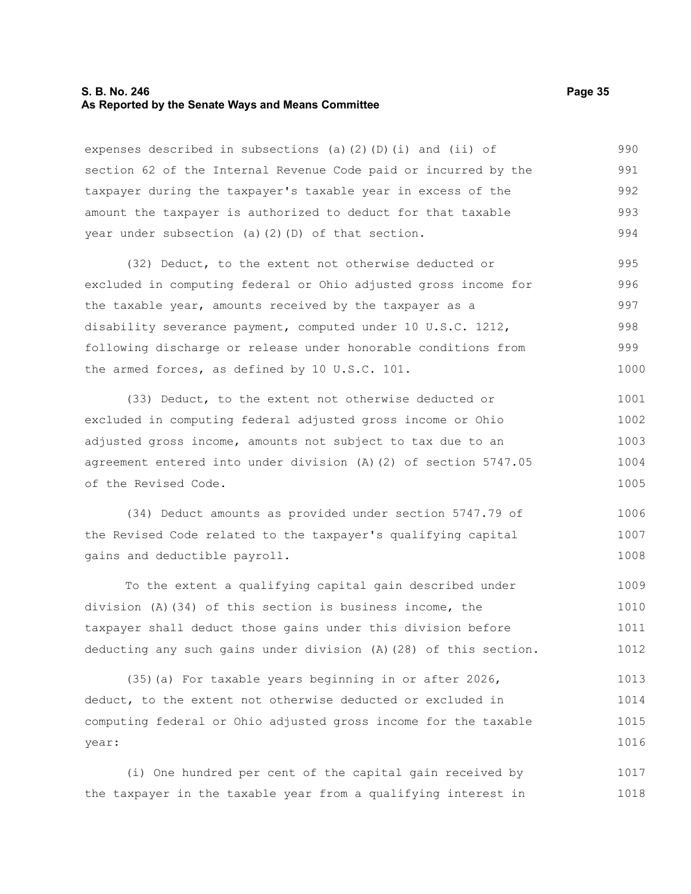#### **S. B. No. 246 Page 35 As Reported by the Senate Ways and Means Committee**

expenses described in subsections (a)(2)(D)(i) and (ii) of section 62 of the Internal Revenue Code paid or incurred by the taxpayer during the taxpayer's taxable year in excess of the amount the taxpayer is authorized to deduct for that taxable year under subsection (a)(2)(D) of that section. 990 991 992 993 994

(32) Deduct, to the extent not otherwise deducted or excluded in computing federal or Ohio adjusted gross income for the taxable year, amounts received by the taxpayer as a disability severance payment, computed under 10 U.S.C. 1212, following discharge or release under honorable conditions from the armed forces, as defined by 10 U.S.C. 101. 995 996 997 998 999 1000

(33) Deduct, to the extent not otherwise deducted or excluded in computing federal adjusted gross income or Ohio adjusted gross income, amounts not subject to tax due to an agreement entered into under division (A)(2) of section 5747.05 of the Revised Code. 1001 1002 1003 1004 1005

(34) Deduct amounts as provided under section 5747.79 of the Revised Code related to the taxpayer's qualifying capital gains and deductible payroll. 1006 1007 1008

To the extent a qualifying capital gain described under division (A)(34) of this section is business income, the taxpayer shall deduct those gains under this division before deducting any such gains under division (A)(28) of this section. 1009 1010 1011 1012

(35)(a) For taxable years beginning in or after 2026, deduct, to the extent not otherwise deducted or excluded in computing federal or Ohio adjusted gross income for the taxable year: 1013 1014 1015 1016

(i) One hundred per cent of the capital gain received by the taxpayer in the taxable year from a qualifying interest in 1017 1018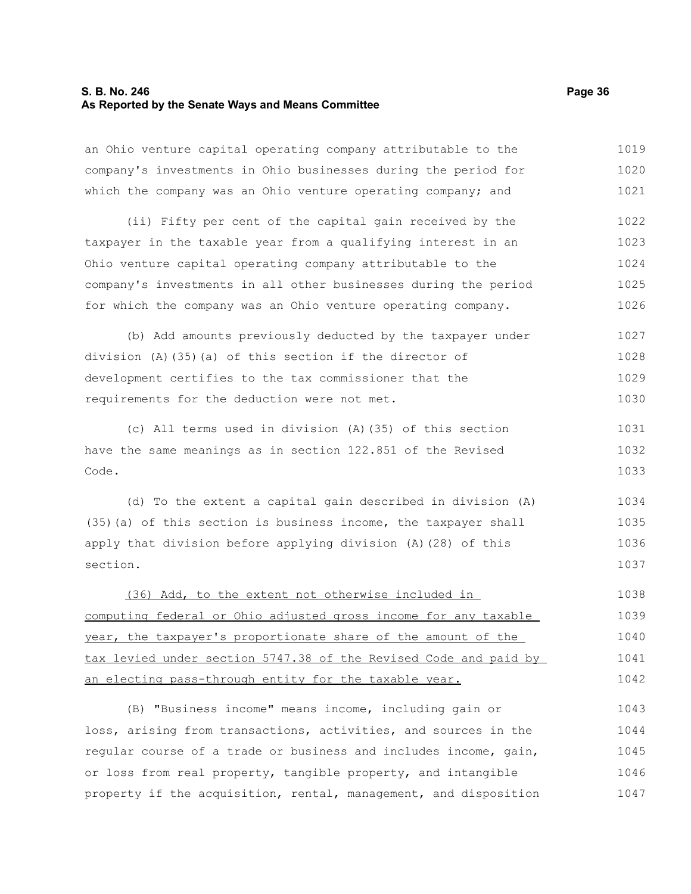#### **S. B. No. 246 Page 36 As Reported by the Senate Ways and Means Committee**

section.

an Ohio venture capital operating company attributable to the

company's investments in Ohio businesses during the period for which the company was an Ohio venture operating company; and (ii) Fifty per cent of the capital gain received by the taxpayer in the taxable year from a qualifying interest in an Ohio venture capital operating company attributable to the company's investments in all other businesses during the period for which the company was an Ohio venture operating company. (b) Add amounts previously deducted by the taxpayer under division (A)(35)(a) of this section if the director of development certifies to the tax commissioner that the requirements for the deduction were not met. (c) All terms used in division (A)(35) of this section have the same meanings as in section 122.851 of the Revised Code. (d) To the extent a capital gain described in division (A) (35)(a) of this section is business income, the taxpayer shall apply that division before applying division (A)(28) of this 1020 1021 1022 1023 1024 1025 1026 1027 1028 1029 1030 1031 1032 1033 1034 1035 1036

(36) Add, to the extent not otherwise included in computing federal or Ohio adjusted gross income for any taxable year, the taxpayer's proportionate share of the amount of the tax levied under section 5747.38 of the Revised Code and paid by an electing pass-through entity for the taxable year. 1038 1039 1040 1041 1042

(B) "Business income" means income, including gain or loss, arising from transactions, activities, and sources in the regular course of a trade or business and includes income, gain, or loss from real property, tangible property, and intangible property if the acquisition, rental, management, and disposition 1043 1044 1045 1046 1047

1019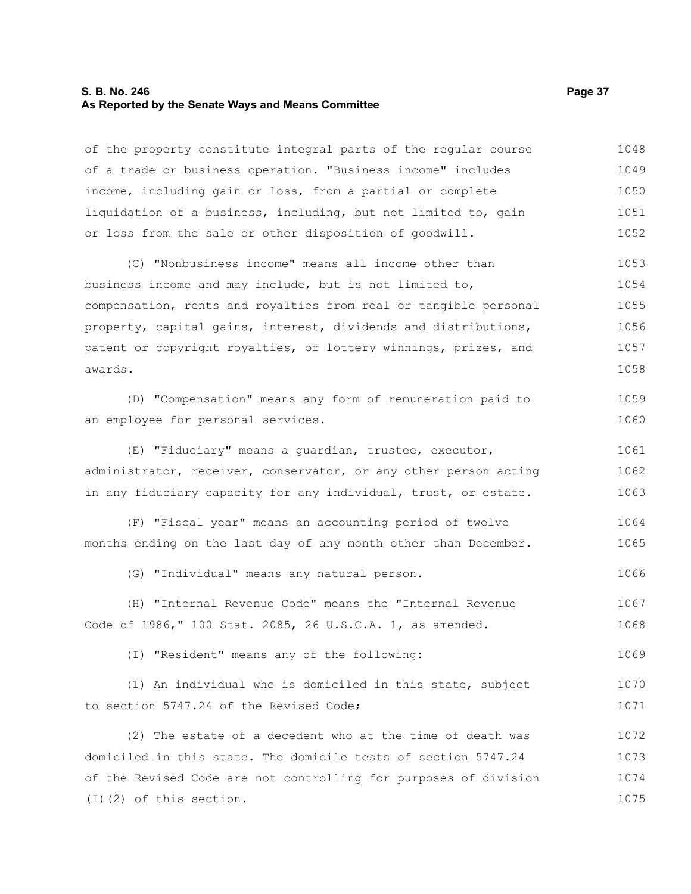#### **S. B. No. 246 Page 37 As Reported by the Senate Ways and Means Committee**

of the property constitute integral parts of the regular course of a trade or business operation. "Business income" includes income, including gain or loss, from a partial or complete liquidation of a business, including, but not limited to, gain or loss from the sale or other disposition of goodwill. 1048 1049 1050 1051 1052

(C) "Nonbusiness income" means all income other than business income and may include, but is not limited to, compensation, rents and royalties from real or tangible personal property, capital gains, interest, dividends and distributions, patent or copyright royalties, or lottery winnings, prizes, and awards. 1053 1054 1055 1056 1057 1058

(D) "Compensation" means any form of remuneration paid to an employee for personal services. 1059 1060

(E) "Fiduciary" means a guardian, trustee, executor, administrator, receiver, conservator, or any other person acting in any fiduciary capacity for any individual, trust, or estate. 1061 1062 1063

(F) "Fiscal year" means an accounting period of twelve months ending on the last day of any month other than December. 1064 1065

(G) "Individual" means any natural person. 1066

(H) "Internal Revenue Code" means the "Internal Revenue Code of 1986," 100 Stat. 2085, 26 U.S.C.A. 1, as amended. 1067 1068

(I) "Resident" means any of the following: 1069

(1) An individual who is domiciled in this state, subject to section 5747.24 of the Revised Code; 1070 1071

(2) The estate of a decedent who at the time of death was domiciled in this state. The domicile tests of section 5747.24 of the Revised Code are not controlling for purposes of division (I)(2) of this section. 1072 1073 1074 1075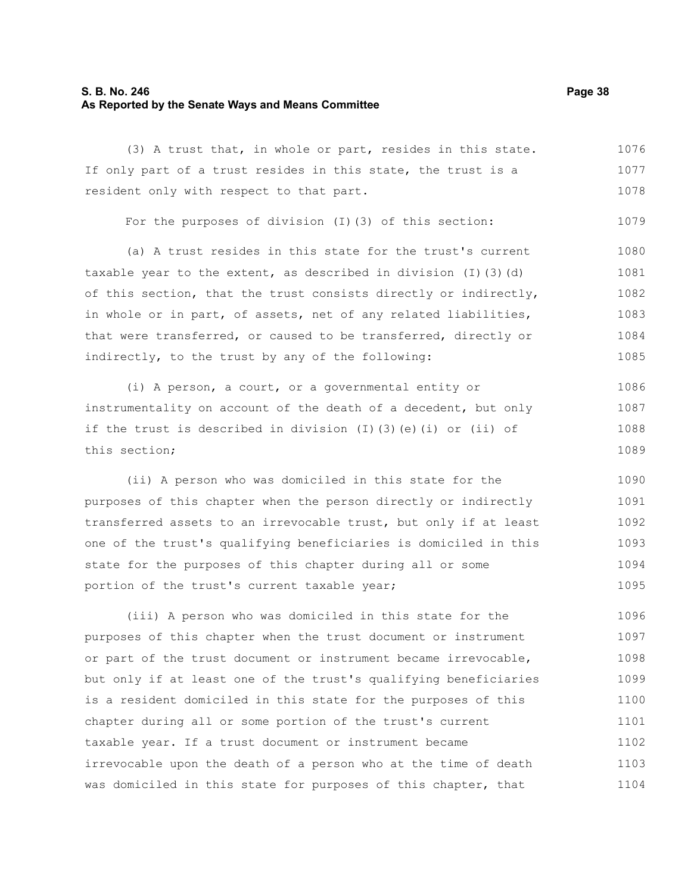### **S. B. No. 246 Page 38 As Reported by the Senate Ways and Means Committee**

(3) A trust that, in whole or part, resides in this state. If only part of a trust resides in this state, the trust is a resident only with respect to that part. For the purposes of division (I)(3) of this section: (a) A trust resides in this state for the trust's current taxable year to the extent, as described in division  $(I)$  (3)(d) of this section, that the trust consists directly or indirectly, in whole or in part, of assets, net of any related liabilities, that were transferred, or caused to be transferred, directly or indirectly, to the trust by any of the following: (i) A person, a court, or a governmental entity or instrumentality on account of the death of a decedent, but only if the trust is described in division (I)(3)(e)(i) or (ii) of this section; (ii) A person who was domiciled in this state for the purposes of this chapter when the person directly or indirectly transferred assets to an irrevocable trust, but only if at least one of the trust's qualifying beneficiaries is domiciled in this 1077 1078 1079 1080 1081 1082 1083 1084 1085 1086 1087 1088 1089 1090 1091 1092 1093

(iii) A person who was domiciled in this state for the purposes of this chapter when the trust document or instrument or part of the trust document or instrument became irrevocable, but only if at least one of the trust's qualifying beneficiaries is a resident domiciled in this state for the purposes of this chapter during all or some portion of the trust's current taxable year. If a trust document or instrument became irrevocable upon the death of a person who at the time of death was domiciled in this state for purposes of this chapter, that 1096 1097 1098 1099 1100 1101 1102 1103 1104

state for the purposes of this chapter during all or some

portion of the trust's current taxable year;

1076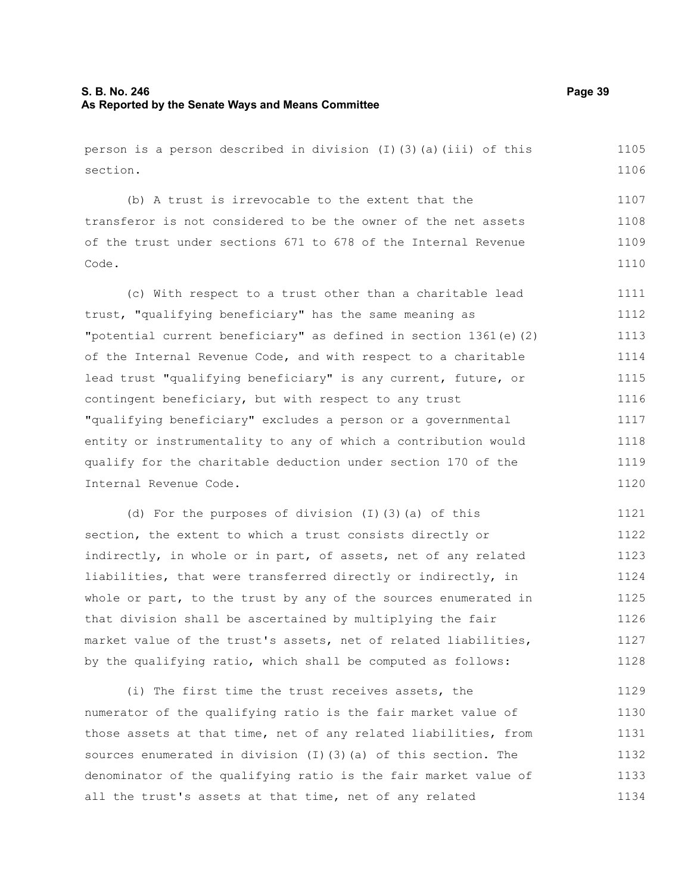person is a person described in division  $(I)(3)(a)(iii)$  of this section.

(b) A trust is irrevocable to the extent that the transferor is not considered to be the owner of the net assets of the trust under sections 671 to 678 of the Internal Revenue Code. 1107 1108 1109 1110

(c) With respect to a trust other than a charitable lead trust, "qualifying beneficiary" has the same meaning as "potential current beneficiary" as defined in section 1361(e)(2) of the Internal Revenue Code, and with respect to a charitable lead trust "qualifying beneficiary" is any current, future, or contingent beneficiary, but with respect to any trust "qualifying beneficiary" excludes a person or a governmental entity or instrumentality to any of which a contribution would qualify for the charitable deduction under section 170 of the Internal Revenue Code. 1111 1112 1113 1114 1115 1116 1117 1118 1119 1120

(d) For the purposes of division (I)(3)(a) of this section, the extent to which a trust consists directly or indirectly, in whole or in part, of assets, net of any related liabilities, that were transferred directly or indirectly, in whole or part, to the trust by any of the sources enumerated in that division shall be ascertained by multiplying the fair market value of the trust's assets, net of related liabilities, by the qualifying ratio, which shall be computed as follows: 1121 1122 1123 1124 1125 1126 1127 1128

(i) The first time the trust receives assets, the numerator of the qualifying ratio is the fair market value of those assets at that time, net of any related liabilities, from sources enumerated in division (I)(3)(a) of this section. The denominator of the qualifying ratio is the fair market value of all the trust's assets at that time, net of any related 1129 1130 1131 1132 1133 1134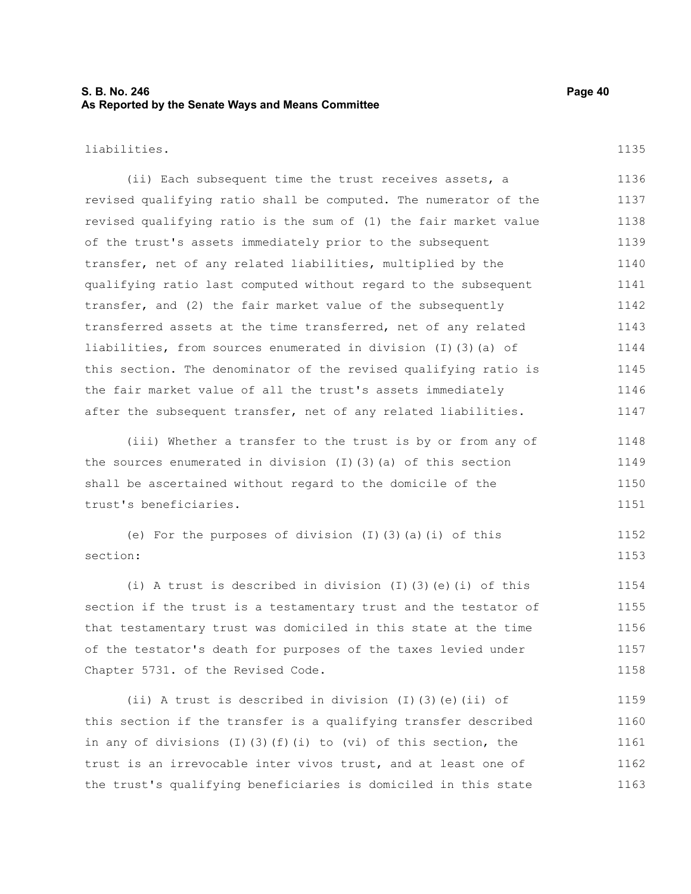## **S. B. No. 246 Page 40 As Reported by the Senate Ways and Means Committee**

liabilities.

(ii) Each subsequent time the trust receives assets, a revised qualifying ratio shall be computed. The numerator of the revised qualifying ratio is the sum of (1) the fair market value of the trust's assets immediately prior to the subsequent transfer, net of any related liabilities, multiplied by the qualifying ratio last computed without regard to the subsequent transfer, and (2) the fair market value of the subsequently transferred assets at the time transferred, net of any related liabilities, from sources enumerated in division (I)(3)(a) of this section. The denominator of the revised qualifying ratio is the fair market value of all the trust's assets immediately after the subsequent transfer, net of any related liabilities. 1136 1137 1138 1139 1140 1141 1142 1143 1144 1145 1146 1147

(iii) Whether a transfer to the trust is by or from any of the sources enumerated in division (I)(3)(a) of this section shall be ascertained without regard to the domicile of the trust's beneficiaries. 1148 1149 1150 1151

(e) For the purposes of division (I)(3)(a)(i) of this section: 1152 1153

(i) A trust is described in division (I)(3)(e)(i) of this section if the trust is a testamentary trust and the testator of that testamentary trust was domiciled in this state at the time of the testator's death for purposes of the taxes levied under Chapter 5731. of the Revised Code. 1154 1155 1156 1157 1158

(ii) A trust is described in division (I)(3)(e)(ii) of this section if the transfer is a qualifying transfer described in any of divisions (I)(3)(f)(i) to (vi) of this section, the trust is an irrevocable inter vivos trust, and at least one of the trust's qualifying beneficiaries is domiciled in this state 1159 1160 1161 1162 1163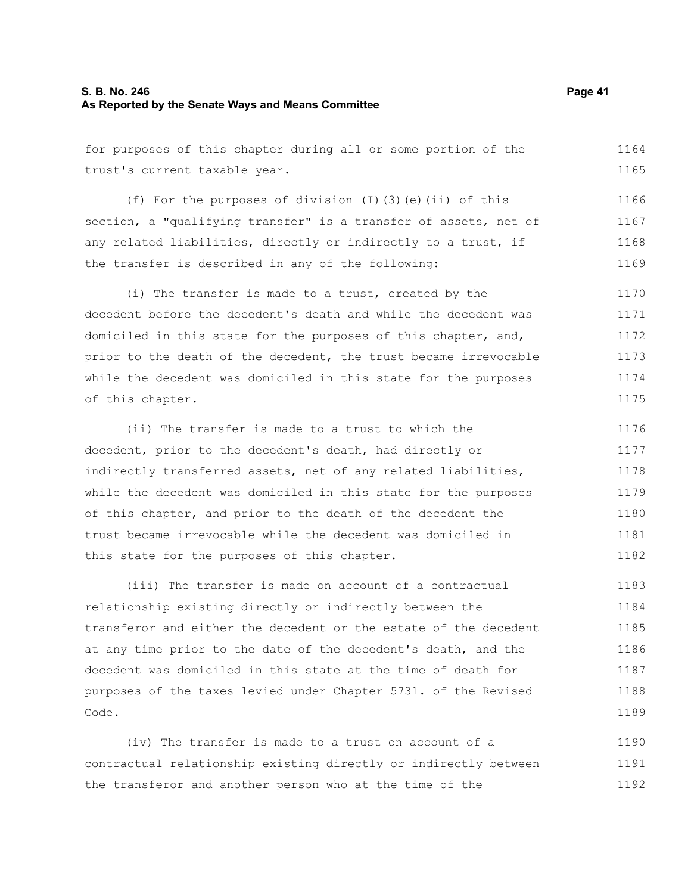### **S. B. No. 246 Page 41 As Reported by the Senate Ways and Means Committee**

for purposes of this chapter during all or some portion of the trust's current taxable year. 1164 1165

(f) For the purposes of division (I)(3)(e)(ii) of this section, a "qualifying transfer" is a transfer of assets, net of any related liabilities, directly or indirectly to a trust, if the transfer is described in any of the following: 1166 1167 1168 1169

(i) The transfer is made to a trust, created by the decedent before the decedent's death and while the decedent was domiciled in this state for the purposes of this chapter, and, prior to the death of the decedent, the trust became irrevocable while the decedent was domiciled in this state for the purposes of this chapter. 1170 1171 1172 1173 1174 1175

(ii) The transfer is made to a trust to which the decedent, prior to the decedent's death, had directly or indirectly transferred assets, net of any related liabilities, while the decedent was domiciled in this state for the purposes of this chapter, and prior to the death of the decedent the trust became irrevocable while the decedent was domiciled in this state for the purposes of this chapter. 1176 1177 1178 1179 1180 1181 1182

(iii) The transfer is made on account of a contractual relationship existing directly or indirectly between the transferor and either the decedent or the estate of the decedent at any time prior to the date of the decedent's death, and the decedent was domiciled in this state at the time of death for purposes of the taxes levied under Chapter 5731. of the Revised Code. 1183 1184 1185 1186 1187 1188 1189

(iv) The transfer is made to a trust on account of a contractual relationship existing directly or indirectly between the transferor and another person who at the time of the 1190 1191 1192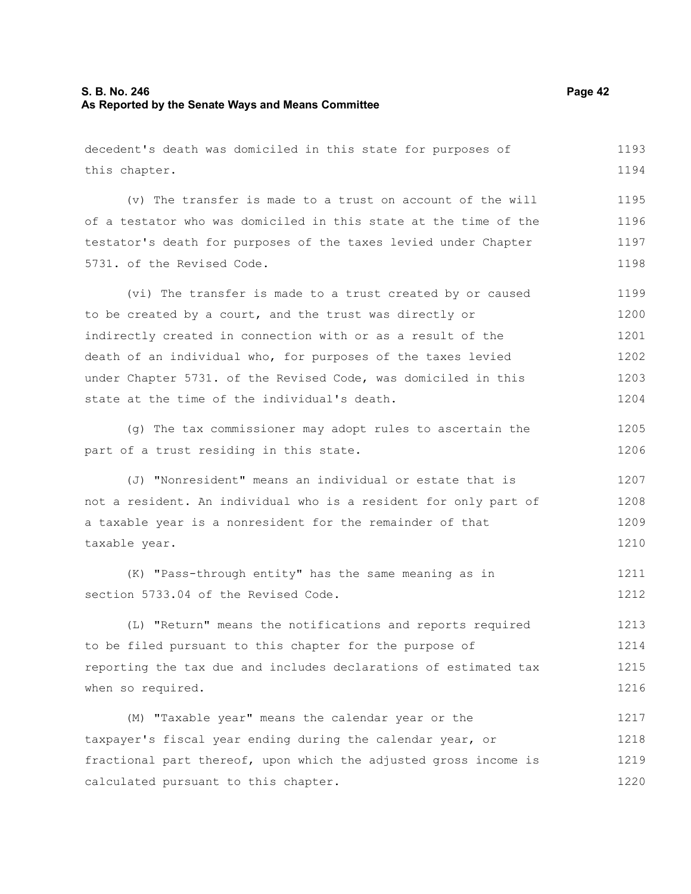### **S. B. No. 246 Page 42 As Reported by the Senate Ways and Means Committee**

decedent's death was domiciled in this state for purposes of this chapter. (v) The transfer is made to a trust on account of the will of a testator who was domiciled in this state at the time of the testator's death for purposes of the taxes levied under Chapter 5731. of the Revised Code. (vi) The transfer is made to a trust created by or caused to be created by a court, and the trust was directly or indirectly created in connection with or as a result of the death of an individual who, for purposes of the taxes levied under Chapter 5731. of the Revised Code, was domiciled in this state at the time of the individual's death. (g) The tax commissioner may adopt rules to ascertain the part of a trust residing in this state. (J) "Nonresident" means an individual or estate that is not a resident. An individual who is a resident for only part of a taxable year is a nonresident for the remainder of that taxable year. (K) "Pass-through entity" has the same meaning as in section 5733.04 of the Revised Code. (L) "Return" means the notifications and reports required to be filed pursuant to this chapter for the purpose of reporting the tax due and includes declarations of estimated tax when so required. (M) "Taxable year" means the calendar year or the taxpayer's fiscal year ending during the calendar year, or fractional part thereof, upon which the adjusted gross income is calculated pursuant to this chapter. 1193 1194 1195 1196 1197 1198 1199 1200 1201 1202 1203 1204 1205 1206 1207 1208 1209 1210 1211 1212 1213 1214 1215 1216 1217 1218 1219 1220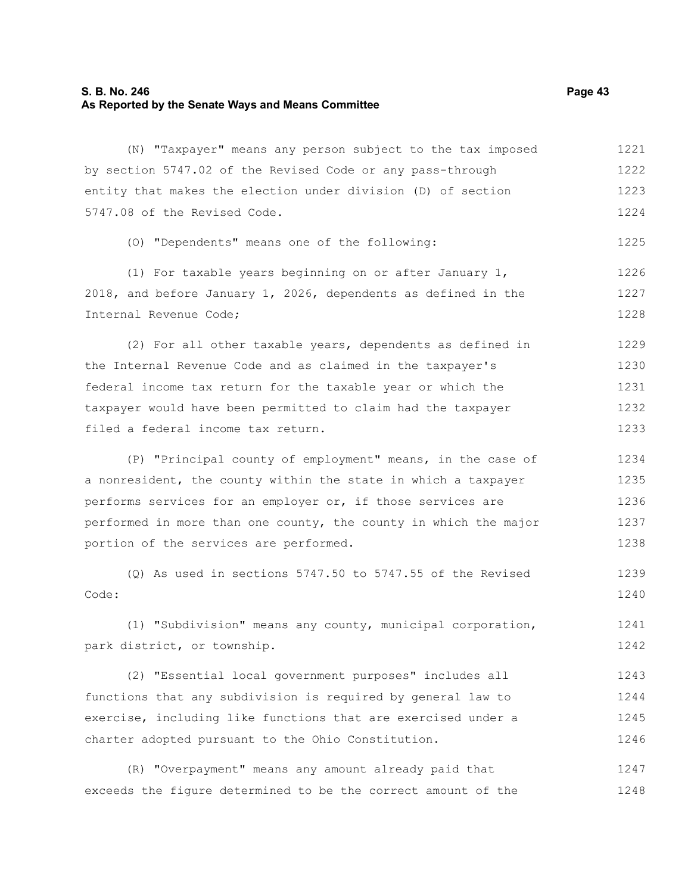# **S. B. No. 246 Page 43 As Reported by the Senate Ways and Means Committee**

| (N) "Taxpayer" means any person subject to the tax imposed       | 1221 |
|------------------------------------------------------------------|------|
| by section 5747.02 of the Revised Code or any pass-through       | 1222 |
| entity that makes the election under division (D) of section     | 1223 |
| 5747.08 of the Revised Code.                                     | 1224 |
| (0) "Dependents" means one of the following:                     | 1225 |
| (1) For taxable years beginning on or after January 1,           | 1226 |
| 2018, and before January 1, 2026, dependents as defined in the   | 1227 |
| Internal Revenue Code;                                           | 1228 |
| (2) For all other taxable years, dependents as defined in        | 1229 |
| the Internal Revenue Code and as claimed in the taxpayer's       | 1230 |
| federal income tax return for the taxable year or which the      | 1231 |
| taxpayer would have been permitted to claim had the taxpayer     | 1232 |
| filed a federal income tax return.                               | 1233 |
| (P) "Principal county of employment" means, in the case of       | 1234 |
| a nonresident, the county within the state in which a taxpayer   | 1235 |
| performs services for an employer or, if those services are      | 1236 |
| performed in more than one county, the county in which the major | 1237 |
| portion of the services are performed.                           | 1238 |
| $(Q)$ As used in sections 5747.50 to 5747.55 of the Revised      | 1239 |
| Code:                                                            | 1240 |
| (1) "Subdivision" means any county, municipal corporation,       | 1241 |
| park district, or township.                                      | 1242 |
| (2) "Essential local government purposes" includes all           | 1243 |
| functions that any subdivision is required by general law to     | 1244 |
| exercise, including like functions that are exercised under a    | 1245 |
| charter adopted pursuant to the Ohio Constitution.               | 1246 |
| "Overpayment" means any amount already paid that<br>(R)          | 1247 |

exceeds the figure determined to be the correct amount of the 1248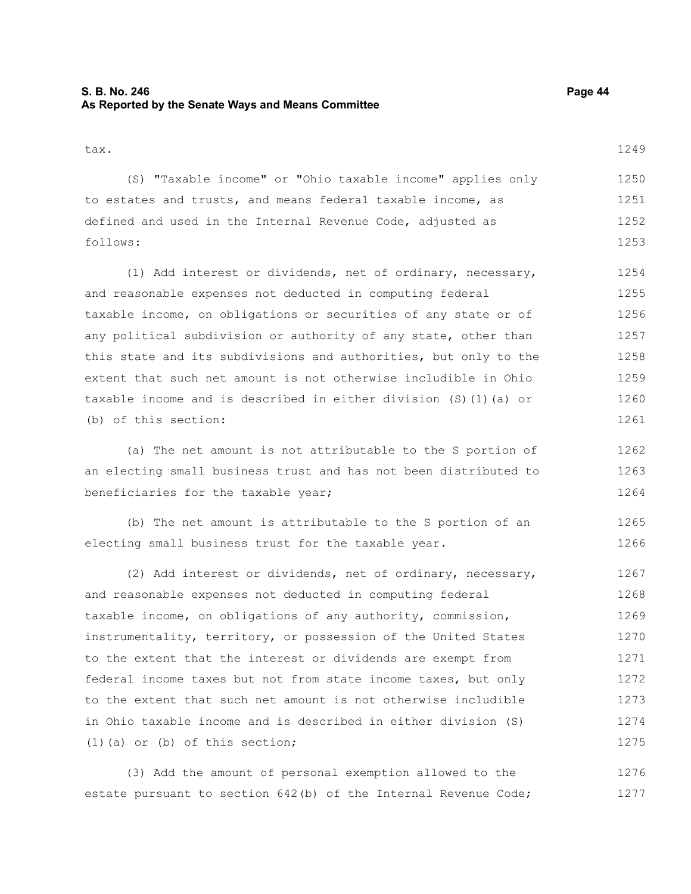## **S. B. No. 246 Page 44 As Reported by the Senate Ways and Means Committee**

tax.

(S) "Taxable income" or "Ohio taxable income" applies only to estates and trusts, and means federal taxable income, as defined and used in the Internal Revenue Code, adjusted as follows: 1250 1251 1252 1253

(1) Add interest or dividends, net of ordinary, necessary, and reasonable expenses not deducted in computing federal taxable income, on obligations or securities of any state or of any political subdivision or authority of any state, other than this state and its subdivisions and authorities, but only to the extent that such net amount is not otherwise includible in Ohio taxable income and is described in either division (S)(1)(a) or (b) of this section: 1254 1255 1256 1257 1258 1259 1260 1261

(a) The net amount is not attributable to the S portion of an electing small business trust and has not been distributed to beneficiaries for the taxable year; 1262 1263 1264

(b) The net amount is attributable to the S portion of an electing small business trust for the taxable year. 1265 1266

(2) Add interest or dividends, net of ordinary, necessary, and reasonable expenses not deducted in computing federal taxable income, on obligations of any authority, commission, instrumentality, territory, or possession of the United States to the extent that the interest or dividends are exempt from federal income taxes but not from state income taxes, but only to the extent that such net amount is not otherwise includible in Ohio taxable income and is described in either division (S) (1)(a) or (b) of this section; 1267 1268 1269 1270 1271 1272 1273 1274 1275

(3) Add the amount of personal exemption allowed to the estate pursuant to section 642(b) of the Internal Revenue Code; 1276 1277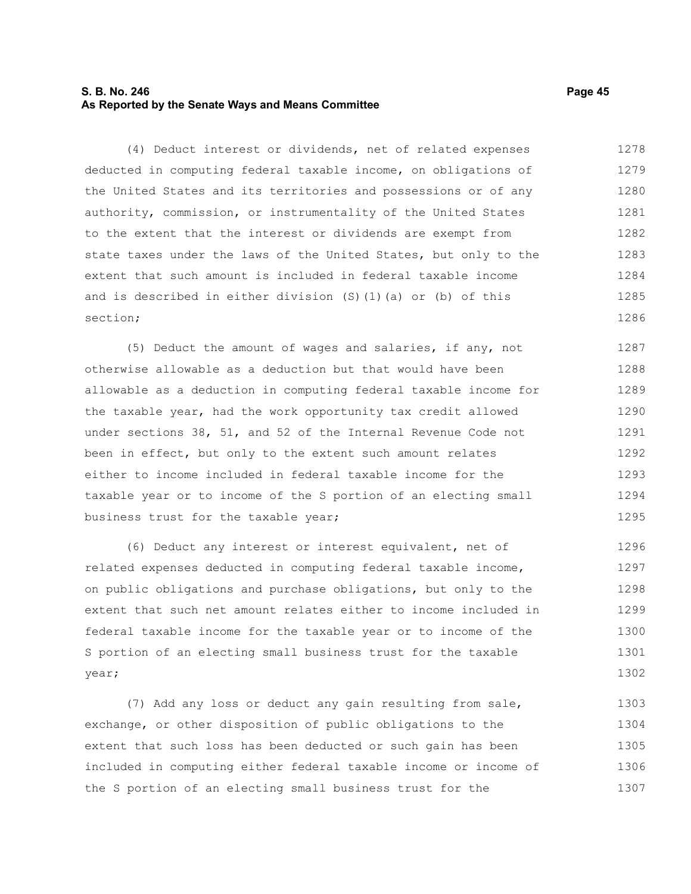### **S. B. No. 246 Page 45 As Reported by the Senate Ways and Means Committee**

(4) Deduct interest or dividends, net of related expenses deducted in computing federal taxable income, on obligations of the United States and its territories and possessions or of any authority, commission, or instrumentality of the United States to the extent that the interest or dividends are exempt from state taxes under the laws of the United States, but only to the extent that such amount is included in federal taxable income and is described in either division (S)(1)(a) or (b) of this section; 1278 1279 1280 1281 1282 1283 1284 1285 1286

(5) Deduct the amount of wages and salaries, if any, not otherwise allowable as a deduction but that would have been allowable as a deduction in computing federal taxable income for the taxable year, had the work opportunity tax credit allowed under sections 38, 51, and 52 of the Internal Revenue Code not been in effect, but only to the extent such amount relates either to income included in federal taxable income for the taxable year or to income of the S portion of an electing small business trust for the taxable year; 1287 1288 1289 1290 1291 1292 1293 1294 1295

(6) Deduct any interest or interest equivalent, net of related expenses deducted in computing federal taxable income, on public obligations and purchase obligations, but only to the extent that such net amount relates either to income included in federal taxable income for the taxable year or to income of the S portion of an electing small business trust for the taxable year; 1296 1297 1298 1299 1300 1301 1302

(7) Add any loss or deduct any gain resulting from sale, exchange, or other disposition of public obligations to the extent that such loss has been deducted or such gain has been included in computing either federal taxable income or income of the S portion of an electing small business trust for the 1303 1304 1305 1306 1307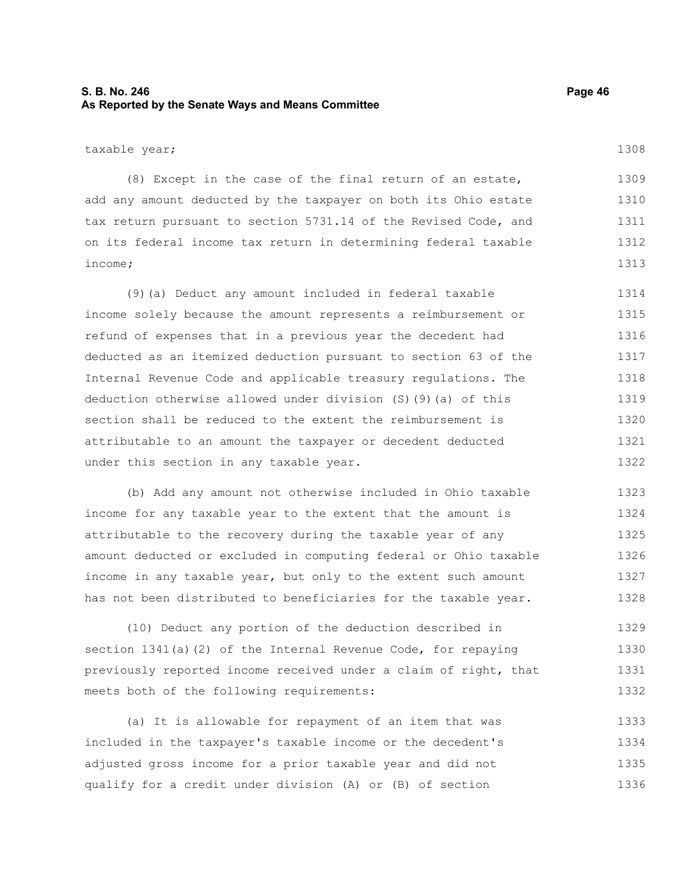## **S. B. No. 246 Page 46 As Reported by the Senate Ways and Means Committee**

(8) Except in the case of the final return of an estate, add any amount deducted by the taxpayer on both its Ohio estate tax return pursuant to section 5731.14 of the Revised Code, and on its federal income tax return in determining federal taxable income; 1309 1310 1311 1312 1313

(9)(a) Deduct any amount included in federal taxable income solely because the amount represents a reimbursement or refund of expenses that in a previous year the decedent had deducted as an itemized deduction pursuant to section 63 of the Internal Revenue Code and applicable treasury regulations. The deduction otherwise allowed under division (S)(9)(a) of this section shall be reduced to the extent the reimbursement is attributable to an amount the taxpayer or decedent deducted under this section in any taxable year. 1314 1315 1316 1317 1318 1319 1320 1321 1322

(b) Add any amount not otherwise included in Ohio taxable income for any taxable year to the extent that the amount is attributable to the recovery during the taxable year of any amount deducted or excluded in computing federal or Ohio taxable income in any taxable year, but only to the extent such amount has not been distributed to beneficiaries for the taxable year. 1323 1324 1325 1326 1327 1328

(10) Deduct any portion of the deduction described in section 1341(a)(2) of the Internal Revenue Code, for repaying previously reported income received under a claim of right, that meets both of the following requirements: 1329 1330 1331 1332

(a) It is allowable for repayment of an item that was included in the taxpayer's taxable income or the decedent's adjusted gross income for a prior taxable year and did not qualify for a credit under division (A) or (B) of section 1333 1334 1335 1336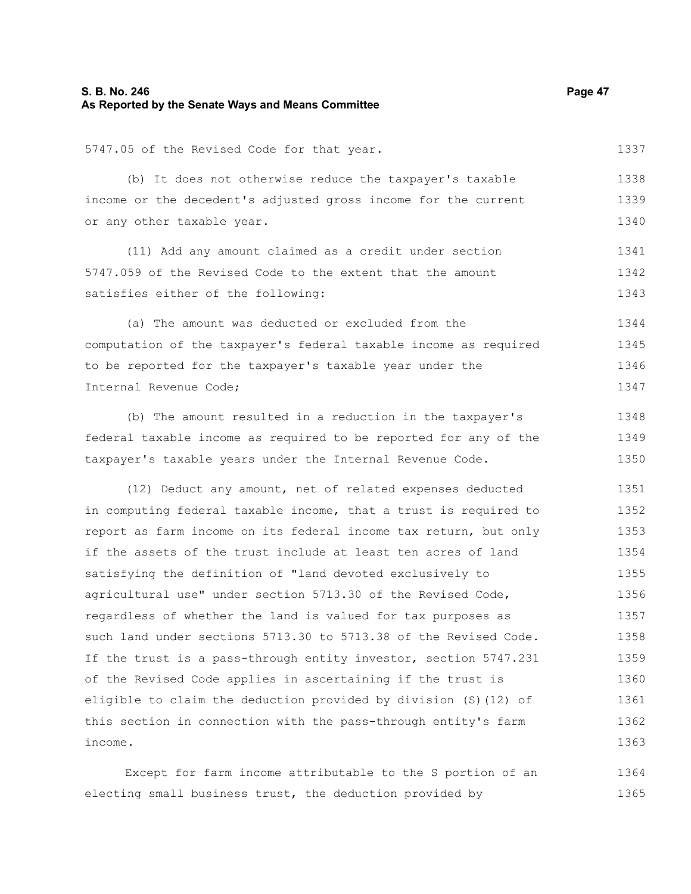### **S. B. No. 246 Page 47 As Reported by the Senate Ways and Means Committee**

5747.05 of the Revised Code for that year.

(b) It does not otherwise reduce the taxpayer's taxable income or the decedent's adjusted gross income for the current or any other taxable year. 1338 1339 1340

(11) Add any amount claimed as a credit under section 5747.059 of the Revised Code to the extent that the amount satisfies either of the following: 1341 1342 1343

(a) The amount was deducted or excluded from the computation of the taxpayer's federal taxable income as required to be reported for the taxpayer's taxable year under the Internal Revenue Code; 1344 1345 1346 1347

(b) The amount resulted in a reduction in the taxpayer's federal taxable income as required to be reported for any of the taxpayer's taxable years under the Internal Revenue Code. 1348 1349 1350

(12) Deduct any amount, net of related expenses deducted in computing federal taxable income, that a trust is required to report as farm income on its federal income tax return, but only if the assets of the trust include at least ten acres of land satisfying the definition of "land devoted exclusively to agricultural use" under section 5713.30 of the Revised Code, regardless of whether the land is valued for tax purposes as such land under sections 5713.30 to 5713.38 of the Revised Code. If the trust is a pass-through entity investor, section 5747.231 of the Revised Code applies in ascertaining if the trust is eligible to claim the deduction provided by division (S)(12) of this section in connection with the pass-through entity's farm income. 1351 1352 1353 1354 1355 1356 1357 1358 1359 1360 1361 1362 1363

Except for farm income attributable to the S portion of an electing small business trust, the deduction provided by 1364 1365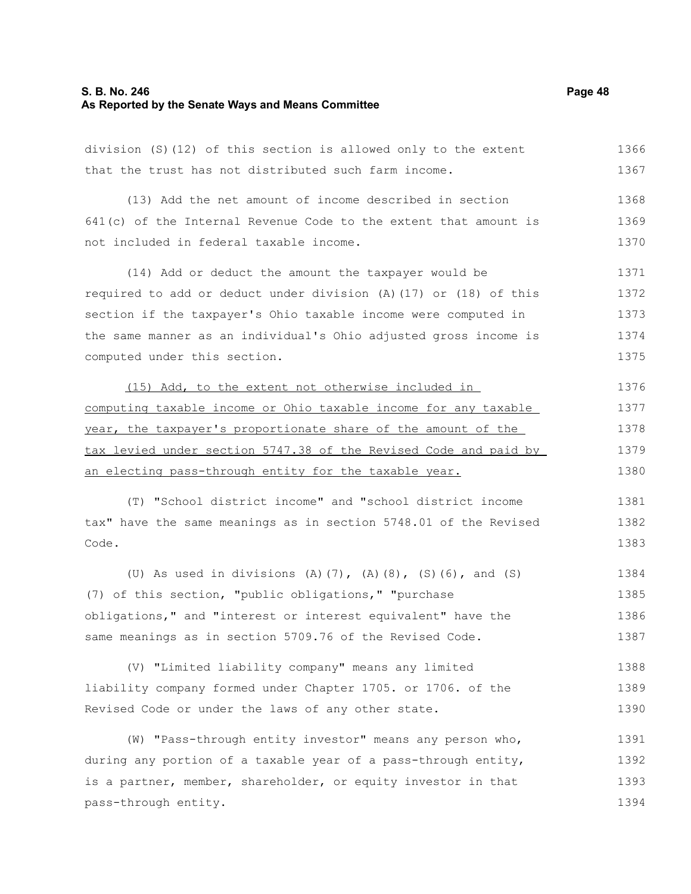#### **S. B. No. 246 Page 48 As Reported by the Senate Ways and Means Committee**

division (S)(12) of this section is allowed only to the extent that the trust has not distributed such farm income. (13) Add the net amount of income described in section 641(c) of the Internal Revenue Code to the extent that amount is not included in federal taxable income. (14) Add or deduct the amount the taxpayer would be required to add or deduct under division (A)(17) or (18) of this section if the taxpayer's Ohio taxable income were computed in the same manner as an individual's Ohio adjusted gross income is computed under this section. (15) Add, to the extent not otherwise included in computing taxable income or Ohio taxable income for any taxable year, the taxpayer's proportionate share of the amount of the tax levied under section 5747.38 of the Revised Code and paid by an electing pass-through entity for the taxable year. (T) "School district income" and "school district income tax" have the same meanings as in section 5748.01 of the Revised Code. (U) As used in divisions (A)(7), (A)(8), (S)(6), and (S) (7) of this section, "public obligations," "purchase obligations," and "interest or interest equivalent" have the same meanings as in section 5709.76 of the Revised Code. (V) "Limited liability company" means any limited liability company formed under Chapter 1705. or 1706. of the Revised Code or under the laws of any other state. 1366 1367 1368 1369 1370 1371 1372 1373 1374 1375 1376 1377 1378 1379 1380 1381 1382 1383 1384 1385 1386 1387 1388 1389 1390

(W) "Pass-through entity investor" means any person who, during any portion of a taxable year of a pass-through entity, is a partner, member, shareholder, or equity investor in that pass-through entity. 1391 1392 1393 1394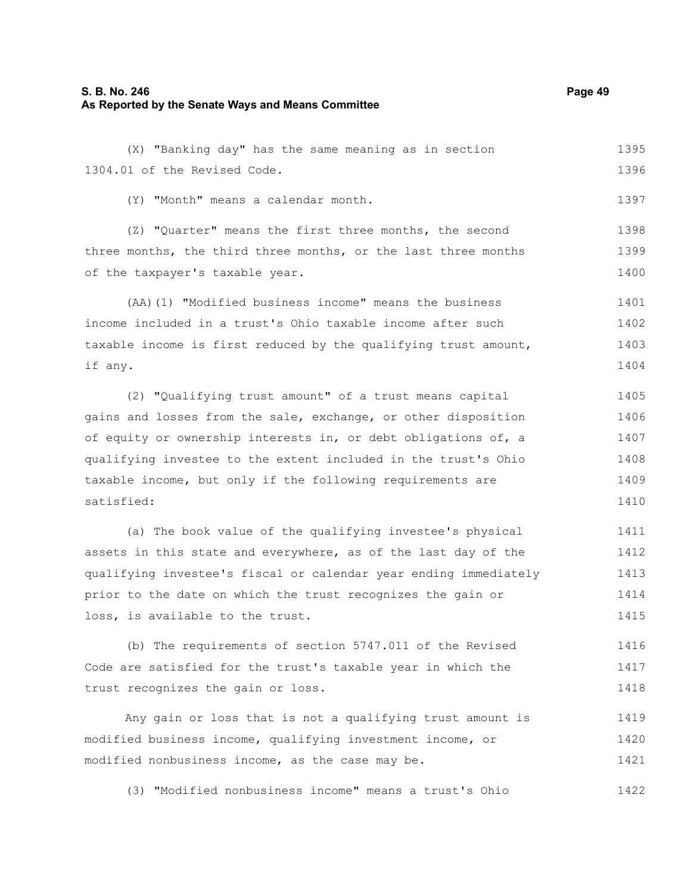### **S. B. No. 246 Page 49 As Reported by the Senate Ways and Means Committee**

(X) "Banking day" has the same meaning as in section 1304.01 of the Revised Code. 1395 1396

(Y) "Month" means a calendar month.

(Z) "Quarter" means the first three months, the second three months, the third three months, or the last three months of the taxpayer's taxable year. 1398 1399 1400

(AA)(1) "Modified business income" means the business income included in a trust's Ohio taxable income after such taxable income is first reduced by the qualifying trust amount, if any. 1401 1402 1403 1404

(2) "Qualifying trust amount" of a trust means capital gains and losses from the sale, exchange, or other disposition of equity or ownership interests in, or debt obligations of, a qualifying investee to the extent included in the trust's Ohio taxable income, but only if the following requirements are satisfied: 1405 1406 1407 1408 1409 1410

(a) The book value of the qualifying investee's physical assets in this state and everywhere, as of the last day of the qualifying investee's fiscal or calendar year ending immediately prior to the date on which the trust recognizes the gain or loss, is available to the trust. 1411 1412 1413 1414 1415

(b) The requirements of section 5747.011 of the Revised Code are satisfied for the trust's taxable year in which the trust recognizes the gain or loss. 1416 1417 1418

Any gain or loss that is not a qualifying trust amount is modified business income, qualifying investment income, or modified nonbusiness income, as the case may be. 1419 1420 1421

(3) "Modified nonbusiness income" means a trust's Ohio 1422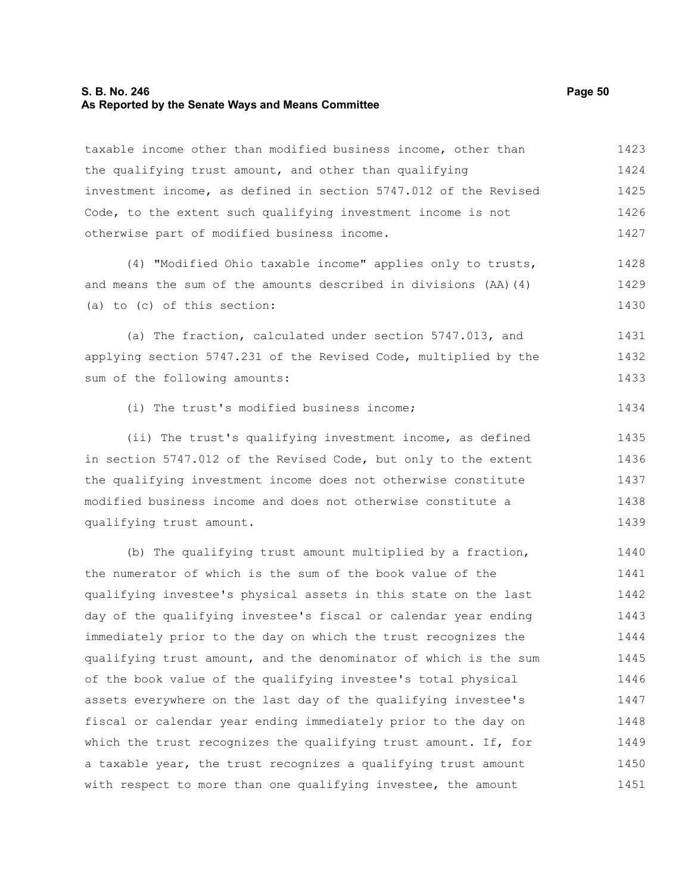#### **S. B. No. 246 Page 50 As Reported by the Senate Ways and Means Committee**

taxable income other than modified business income, other than the qualifying trust amount, and other than qualifying investment income, as defined in section 5747.012 of the Revised Code, to the extent such qualifying investment income is not otherwise part of modified business income. (4) "Modified Ohio taxable income" applies only to trusts, and means the sum of the amounts described in divisions (AA)(4) (a) to (c) of this section: (a) The fraction, calculated under section 5747.013, and applying section 5747.231 of the Revised Code, multiplied by the sum of the following amounts: (i) The trust's modified business income; (ii) The trust's qualifying investment income, as defined in section 5747.012 of the Revised Code, but only to the extent the qualifying investment income does not otherwise constitute modified business income and does not otherwise constitute a qualifying trust amount. (b) The qualifying trust amount multiplied by a fraction, the numerator of which is the sum of the book value of the qualifying investee's physical assets in this state on the last day of the qualifying investee's fiscal or calendar year ending immediately prior to the day on which the trust recognizes the qualifying trust amount, and the denominator of which is the sum of the book value of the qualifying investee's total physical assets everywhere on the last day of the qualifying investee's fiscal or calendar year ending immediately prior to the day on which the trust recognizes the qualifying trust amount. If, for a taxable year, the trust recognizes a qualifying trust amount with respect to more than one qualifying investee, the amount 1423 1424 1425 1426 1427 1428 1429 1430 1431 1432 1433 1434 1435 1436 1437 1438 1439 1440 1441 1442 1443 1444 1445 1446 1447 1448 1449 1450 1451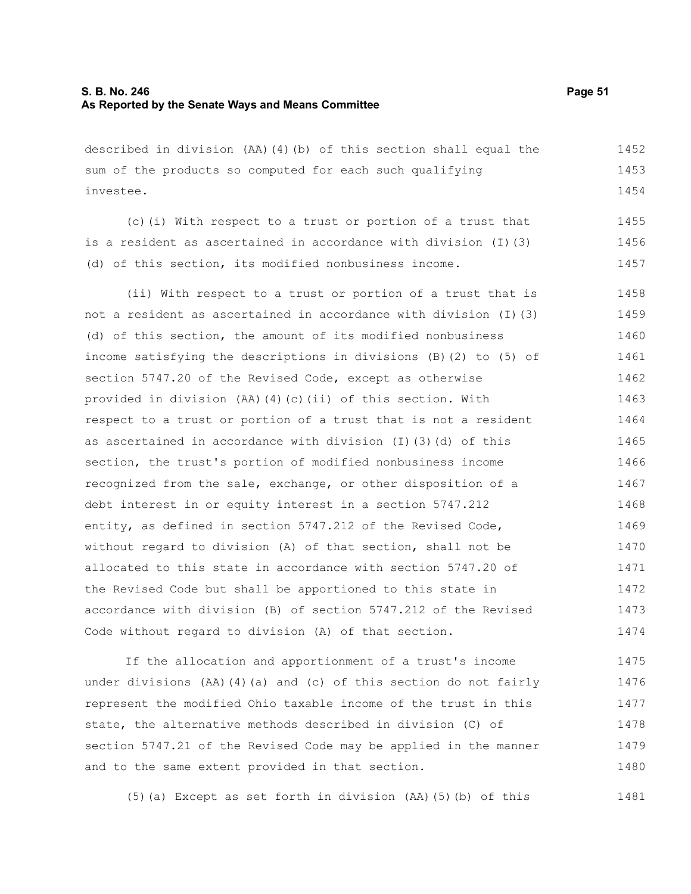### **S. B. No. 246 Page 51 As Reported by the Senate Ways and Means Committee**

described in division (AA)(4)(b) of this section shall equal the sum of the products so computed for each such qualifying investee. 1452 1453 1454

(c)(i) With respect to a trust or portion of a trust that is a resident as ascertained in accordance with division (I)(3) (d) of this section, its modified nonbusiness income. 1455 1456 1457

(ii) With respect to a trust or portion of a trust that is not a resident as ascertained in accordance with division (I)(3) (d) of this section, the amount of its modified nonbusiness income satisfying the descriptions in divisions (B)(2) to (5) of section 5747.20 of the Revised Code, except as otherwise provided in division (AA)(4)(c)(ii) of this section. With respect to a trust or portion of a trust that is not a resident as ascertained in accordance with division (I)(3)(d) of this section, the trust's portion of modified nonbusiness income recognized from the sale, exchange, or other disposition of a debt interest in or equity interest in a section 5747.212 entity, as defined in section 5747.212 of the Revised Code, without regard to division (A) of that section, shall not be allocated to this state in accordance with section 5747.20 of the Revised Code but shall be apportioned to this state in accordance with division (B) of section 5747.212 of the Revised Code without regard to division (A) of that section. 1458 1459 1460 1461 1462 1463 1464 1465 1466 1467 1468 1469 1470 1471 1472 1473 1474

If the allocation and apportionment of a trust's income under divisions (AA)(4)(a) and (c) of this section do not fairly represent the modified Ohio taxable income of the trust in this state, the alternative methods described in division (C) of section 5747.21 of the Revised Code may be applied in the manner and to the same extent provided in that section. 1475 1476 1477 1478 1479 1480

(5)(a) Except as set forth in division (AA)(5)(b) of this 1481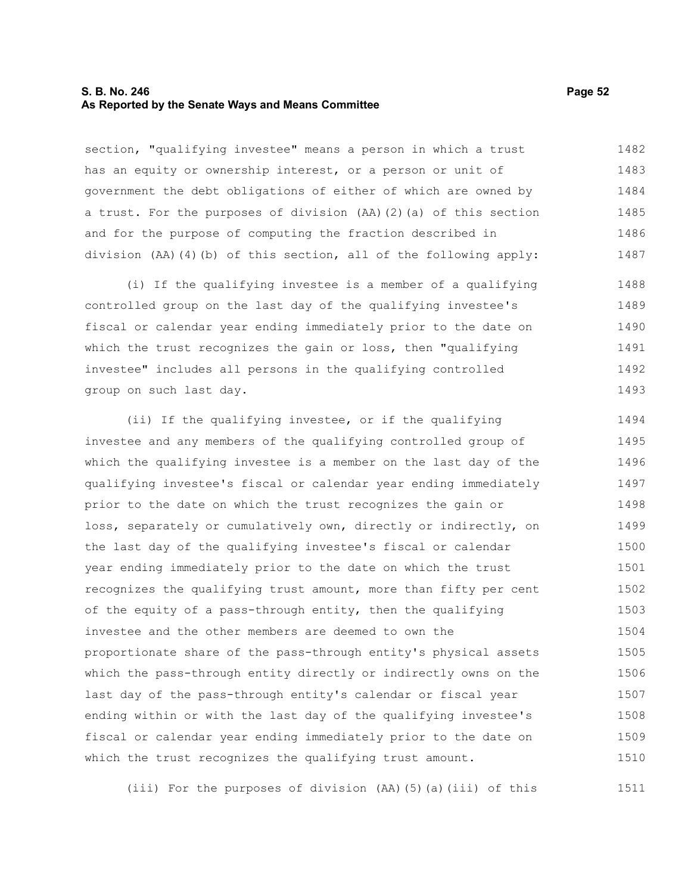### **S. B. No. 246 Page 52 As Reported by the Senate Ways and Means Committee**

section, "qualifying investee" means a person in which a trust has an equity or ownership interest, or a person or unit of government the debt obligations of either of which are owned by a trust. For the purposes of division (AA)(2)(a) of this section and for the purpose of computing the fraction described in division (AA)(4)(b) of this section, all of the following apply: 1482 1483 1484 1485 1486 1487

(i) If the qualifying investee is a member of a qualifying controlled group on the last day of the qualifying investee's fiscal or calendar year ending immediately prior to the date on which the trust recognizes the gain or loss, then "qualifying investee" includes all persons in the qualifying controlled group on such last day. 1488 1489 1490 1491 1492 1493

(ii) If the qualifying investee, or if the qualifying investee and any members of the qualifying controlled group of which the qualifying investee is a member on the last day of the qualifying investee's fiscal or calendar year ending immediately prior to the date on which the trust recognizes the gain or loss, separately or cumulatively own, directly or indirectly, on the last day of the qualifying investee's fiscal or calendar year ending immediately prior to the date on which the trust recognizes the qualifying trust amount, more than fifty per cent of the equity of a pass-through entity, then the qualifying investee and the other members are deemed to own the proportionate share of the pass-through entity's physical assets which the pass-through entity directly or indirectly owns on the last day of the pass-through entity's calendar or fiscal year ending within or with the last day of the qualifying investee's fiscal or calendar year ending immediately prior to the date on which the trust recognizes the qualifying trust amount. 1494 1495 1496 1497 1498 1499 1500 1501 1502 1503 1504 1505 1506 1507 1508 1509 1510

(iii) For the purposes of division (AA)(5)(a)(iii) of this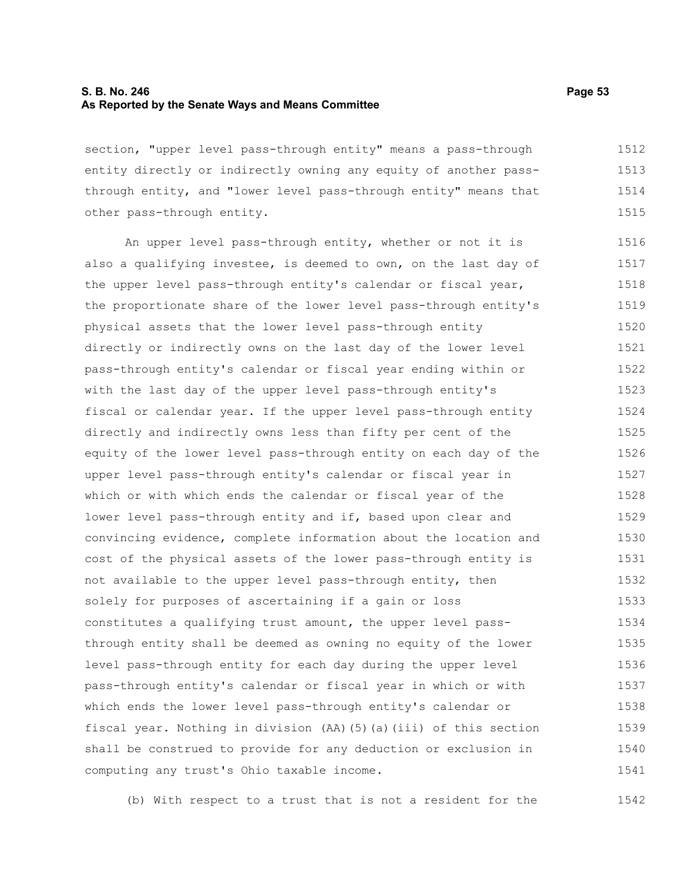### **S. B. No. 246 Page 53 As Reported by the Senate Ways and Means Committee**

section, "upper level pass-through entity" means a pass-through entity directly or indirectly owning any equity of another passthrough entity, and "lower level pass-through entity" means that other pass-through entity. 1512 1513 1514 1515

An upper level pass-through entity, whether or not it is also a qualifying investee, is deemed to own, on the last day of the upper level pass-through entity's calendar or fiscal year, the proportionate share of the lower level pass-through entity's physical assets that the lower level pass-through entity directly or indirectly owns on the last day of the lower level pass-through entity's calendar or fiscal year ending within or with the last day of the upper level pass-through entity's fiscal or calendar year. If the upper level pass-through entity directly and indirectly owns less than fifty per cent of the equity of the lower level pass-through entity on each day of the upper level pass-through entity's calendar or fiscal year in which or with which ends the calendar or fiscal year of the lower level pass-through entity and if, based upon clear and convincing evidence, complete information about the location and cost of the physical assets of the lower pass-through entity is not available to the upper level pass-through entity, then solely for purposes of ascertaining if a gain or loss constitutes a qualifying trust amount, the upper level passthrough entity shall be deemed as owning no equity of the lower level pass-through entity for each day during the upper level pass-through entity's calendar or fiscal year in which or with which ends the lower level pass-through entity's calendar or fiscal year. Nothing in division (AA)(5)(a)(iii) of this section shall be construed to provide for any deduction or exclusion in computing any trust's Ohio taxable income. 1516 1517 1518 1519 1520 1521 1522 1523 1524 1525 1526 1527 1528 1529 1530 1531 1532 1533 1534 1535 1536 1537 1538 1539 1540 1541

(b) With respect to a trust that is not a resident for the 1542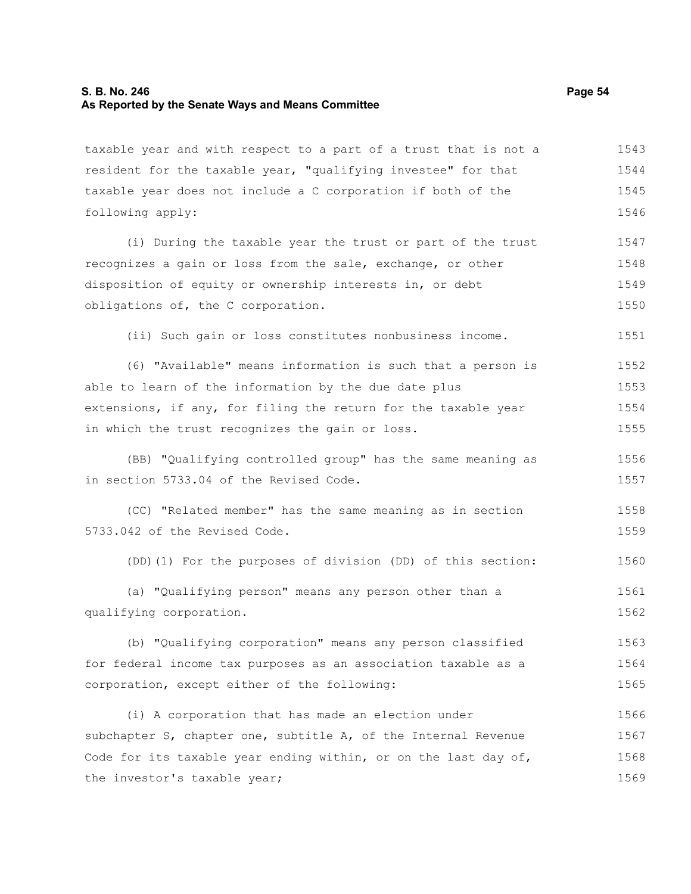### **S. B. No. 246 Page 54 As Reported by the Senate Ways and Means Committee**

taxable year and with respect to a part of a trust that is not a resident for the taxable year, "qualifying investee" for that taxable year does not include a C corporation if both of the following apply: (i) During the taxable year the trust or part of the trust recognizes a gain or loss from the sale, exchange, or other disposition of equity or ownership interests in, or debt obligations of, the C corporation. (ii) Such gain or loss constitutes nonbusiness income. (6) "Available" means information is such that a person is able to learn of the information by the due date plus extensions, if any, for filing the return for the taxable year in which the trust recognizes the gain or loss. (BB) "Qualifying controlled group" has the same meaning as in section 5733.04 of the Revised Code. (CC) "Related member" has the same meaning as in section 5733.042 of the Revised Code. (DD)(1) For the purposes of division (DD) of this section: (a) "Qualifying person" means any person other than a qualifying corporation. (b) "Qualifying corporation" means any person classified for federal income tax purposes as an association taxable as a corporation, except either of the following: (i) A corporation that has made an election under subchapter S, chapter one, subtitle A, of the Internal Revenue Code for its taxable year ending within, or on the last day of, the investor's taxable year; 1543 1544 1545 1546 1547 1548 1549 1550 1551 1552 1553 1554 1555 1556 1557 1558 1559 1560 1561 1562 1563 1564 1565 1566 1567 1568 1569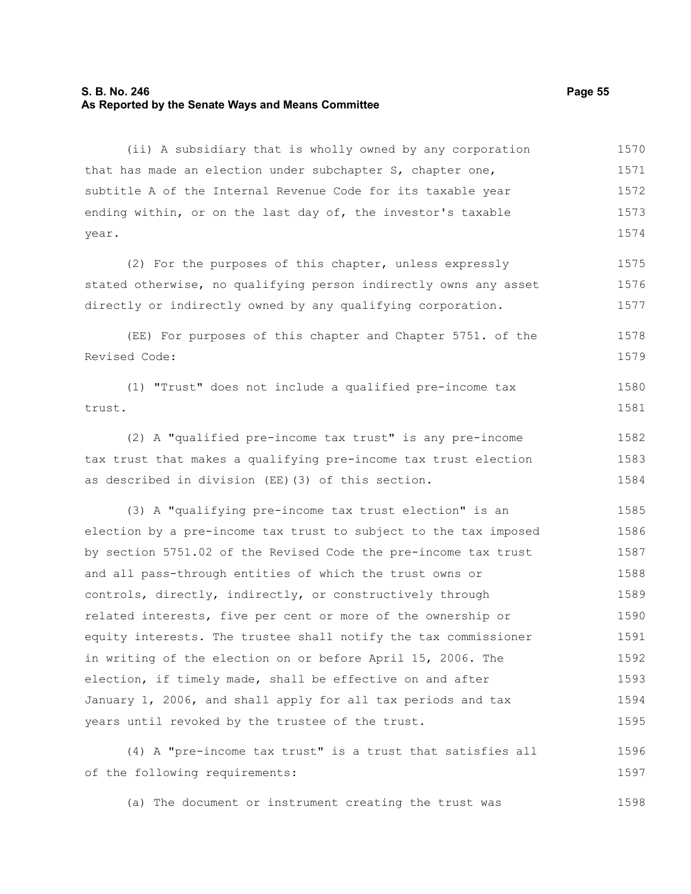### **S. B. No. 246 Page 55 As Reported by the Senate Ways and Means Committee**

(ii) A subsidiary that is wholly owned by any corporation that has made an election under subchapter S, chapter one, subtitle A of the Internal Revenue Code for its taxable year ending within, or on the last day of, the investor's taxable year. 1570 1571 1572 1573 1574

(2) For the purposes of this chapter, unless expressly stated otherwise, no qualifying person indirectly owns any asset directly or indirectly owned by any qualifying corporation. 1575 1576 1577

(EE) For purposes of this chapter and Chapter 5751. of the Revised Code: 1578 1579

(1) "Trust" does not include a qualified pre-income tax trust. 1580 1581

(2) A "qualified pre-income tax trust" is any pre-income tax trust that makes a qualifying pre-income tax trust election as described in division (EE)(3) of this section. 1582 1583 1584

(3) A "qualifying pre-income tax trust election" is an election by a pre-income tax trust to subject to the tax imposed by section 5751.02 of the Revised Code the pre-income tax trust and all pass-through entities of which the trust owns or controls, directly, indirectly, or constructively through related interests, five per cent or more of the ownership or equity interests. The trustee shall notify the tax commissioner in writing of the election on or before April 15, 2006. The election, if timely made, shall be effective on and after January 1, 2006, and shall apply for all tax periods and tax years until revoked by the trustee of the trust. 1585 1586 1587 1588 1589 1590 1591 1592 1593 1594 1595

(4) A "pre-income tax trust" is a trust that satisfies all of the following requirements: 1596 1597

(a) The document or instrument creating the trust was 1598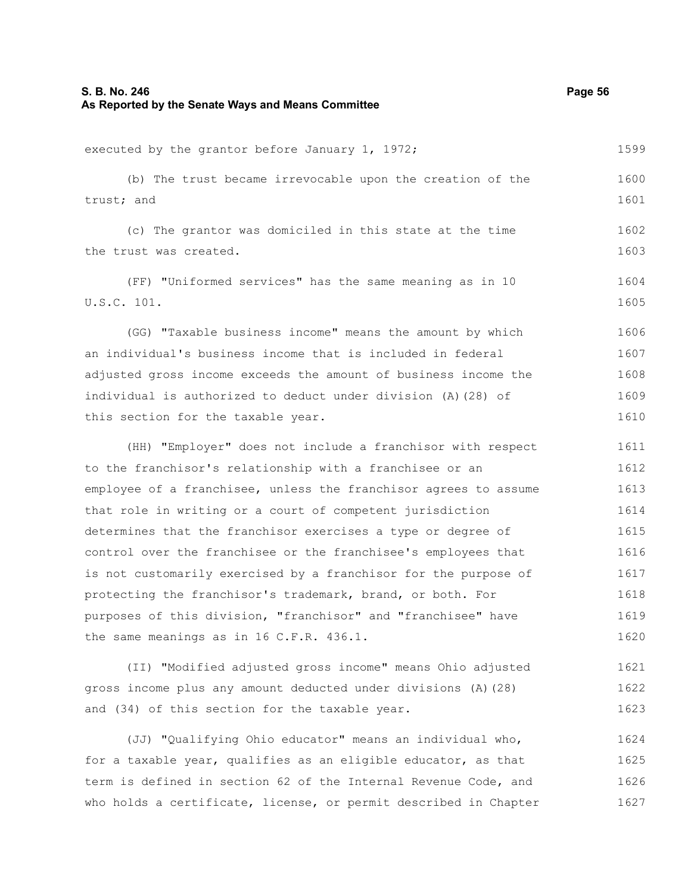executed by the grantor before January 1, 1972; (b) The trust became irrevocable upon the creation of the trust; and (c) The grantor was domiciled in this state at the time the trust was created. (FF) "Uniformed services" has the same meaning as in 10 U.S.C. 101. (GG) "Taxable business income" means the amount by which an individual's business income that is included in federal adjusted gross income exceeds the amount of business income the individual is authorized to deduct under division (A)(28) of this section for the taxable year. (HH) "Employer" does not include a franchisor with respect to the franchisor's relationship with a franchisee or an employee of a franchisee, unless the franchisor agrees to assume that role in writing or a court of competent jurisdiction determines that the franchisor exercises a type or degree of control over the franchisee or the franchisee's employees that 1599 1600 1601 1602 1603 1604 1605 1606 1607 1608 1609 1610 1611 1612 1613 1614 1615 1616

is not customarily exercised by a franchisor for the purpose of protecting the franchisor's trademark, brand, or both. For purposes of this division, "franchisor" and "franchisee" have the same meanings as in 16 C.F.R. 436.1. 1617 1618 1619 1620

(II) "Modified adjusted gross income" means Ohio adjusted gross income plus any amount deducted under divisions (A)(28) and (34) of this section for the taxable year. 1621 1622 1623

(JJ) "Qualifying Ohio educator" means an individual who, for a taxable year, qualifies as an eligible educator, as that term is defined in section 62 of the Internal Revenue Code, and who holds a certificate, license, or permit described in Chapter 1624 1625 1626 1627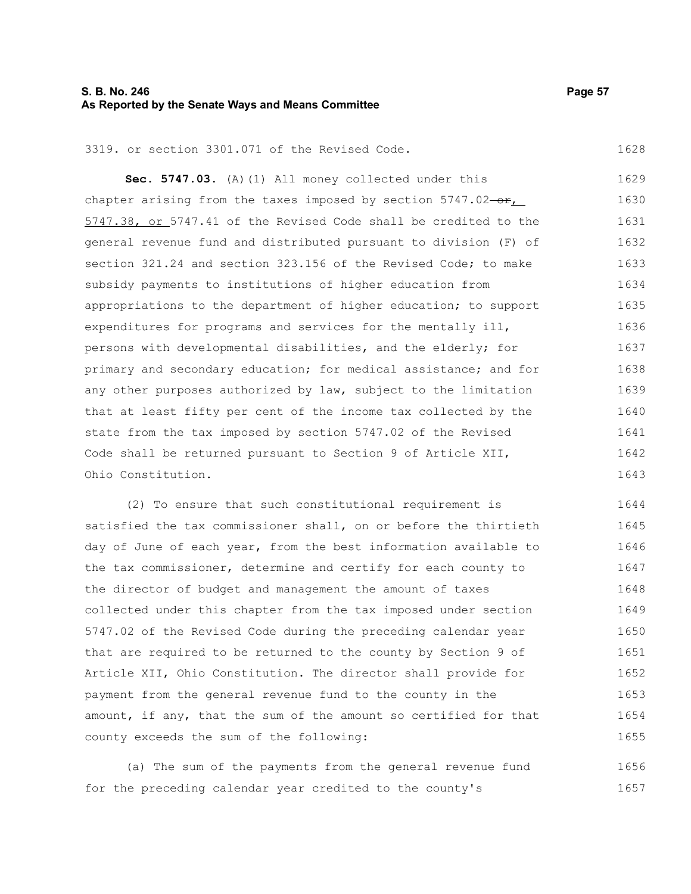### **S. B. No. 246 Page 57 As Reported by the Senate Ways and Means Committee**

#### 3319. or section 3301.071 of the Revised Code.

**Sec. 5747.03.** (A)(1) All money collected under this chapter arising from the taxes imposed by section  $5747.02-\text{er}$ , 5747.38, or 5747.41 of the Revised Code shall be credited to the general revenue fund and distributed pursuant to division (F) of section 321.24 and section 323.156 of the Revised Code: to make subsidy payments to institutions of higher education from appropriations to the department of higher education; to support expenditures for programs and services for the mentally ill, persons with developmental disabilities, and the elderly; for primary and secondary education; for medical assistance; and for any other purposes authorized by law, subject to the limitation that at least fifty per cent of the income tax collected by the state from the tax imposed by section 5747.02 of the Revised Code shall be returned pursuant to Section 9 of Article XII, Ohio Constitution. 1629 1630 1631 1632 1633 1634 1635 1636 1637 1638 1639 1640 1641 1642 1643

(2) To ensure that such constitutional requirement is satisfied the tax commissioner shall, on or before the thirtieth day of June of each year, from the best information available to the tax commissioner, determine and certify for each county to the director of budget and management the amount of taxes collected under this chapter from the tax imposed under section 5747.02 of the Revised Code during the preceding calendar year that are required to be returned to the county by Section 9 of Article XII, Ohio Constitution. The director shall provide for payment from the general revenue fund to the county in the amount, if any, that the sum of the amount so certified for that county exceeds the sum of the following: 1644 1645 1646 1647 1648 1649 1650 1651 1652 1653 1654 1655

(a) The sum of the payments from the general revenue fund for the preceding calendar year credited to the county's 1656 1657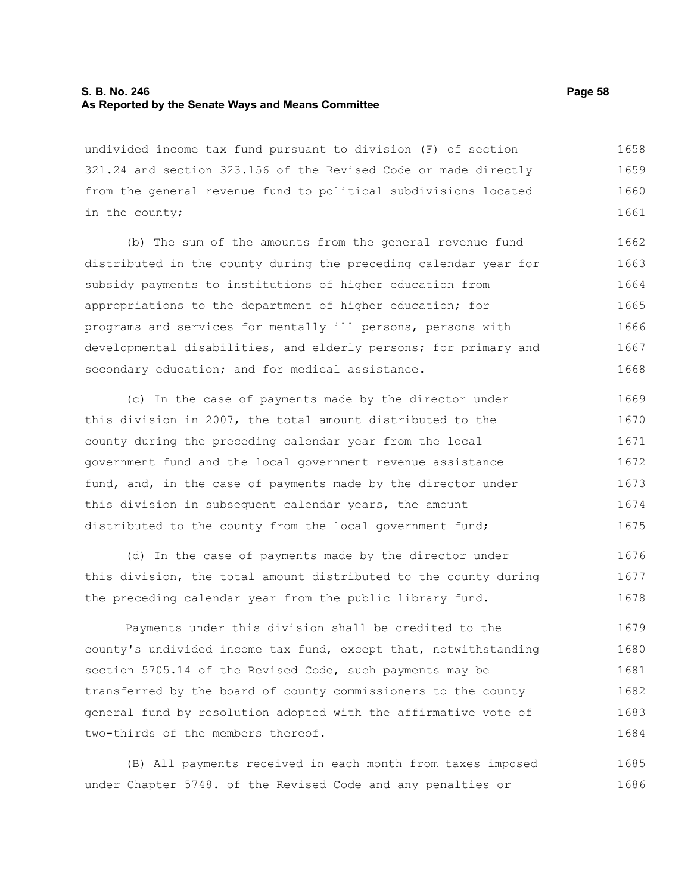### **S. B. No. 246 Page 58 As Reported by the Senate Ways and Means Committee**

undivided income tax fund pursuant to division (F) of section 321.24 and section 323.156 of the Revised Code or made directly from the general revenue fund to political subdivisions located in the county; 1658 1659 1660 1661

(b) The sum of the amounts from the general revenue fund distributed in the county during the preceding calendar year for subsidy payments to institutions of higher education from appropriations to the department of higher education; for programs and services for mentally ill persons, persons with developmental disabilities, and elderly persons; for primary and secondary education; and for medical assistance. 1662 1663 1664 1665 1666 1667 1668

(c) In the case of payments made by the director under this division in 2007, the total amount distributed to the county during the preceding calendar year from the local government fund and the local government revenue assistance fund, and, in the case of payments made by the director under this division in subsequent calendar years, the amount distributed to the county from the local government fund; 1669 1670 1671 1672 1673 1674 1675

(d) In the case of payments made by the director under this division, the total amount distributed to the county during the preceding calendar year from the public library fund. 1676 1677 1678

Payments under this division shall be credited to the county's undivided income tax fund, except that, notwithstanding section 5705.14 of the Revised Code, such payments may be transferred by the board of county commissioners to the county general fund by resolution adopted with the affirmative vote of two-thirds of the members thereof. 1679 1680 1681 1682 1683 1684

(B) All payments received in each month from taxes imposed under Chapter 5748. of the Revised Code and any penalties or 1685 1686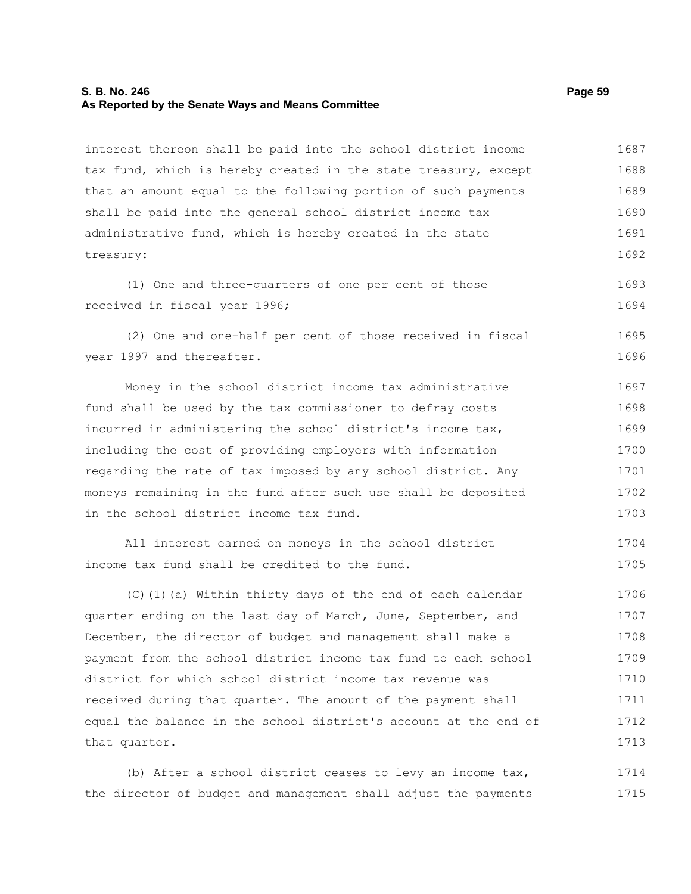#### **S. B. No. 246 Page 59 As Reported by the Senate Ways and Means Committee**

interest thereon shall be paid into the school district income tax fund, which is hereby created in the state treasury, except that an amount equal to the following portion of such payments shall be paid into the general school district income tax administrative fund, which is hereby created in the state treasury: 1687 1688 1689 1690 1691 1692

(1) One and three-quarters of one per cent of those received in fiscal year 1996; 1693 1694

(2) One and one-half per cent of those received in fiscal year 1997 and thereafter. 1695 1696

Money in the school district income tax administrative fund shall be used by the tax commissioner to defray costs incurred in administering the school district's income tax, including the cost of providing employers with information regarding the rate of tax imposed by any school district. Any moneys remaining in the fund after such use shall be deposited in the school district income tax fund. 1697 1698 1699 1700 1701 1702 1703

```
All interest earned on moneys in the school district
income tax fund shall be credited to the fund. 
                                                                            1704
                                                                            1705
```
(C)(1)(a) Within thirty days of the end of each calendar quarter ending on the last day of March, June, September, and December, the director of budget and management shall make a payment from the school district income tax fund to each school district for which school district income tax revenue was received during that quarter. The amount of the payment shall equal the balance in the school district's account at the end of that quarter. 1706 1707 1708 1709 1710 1711 1712 1713

(b) After a school district ceases to levy an income tax, the director of budget and management shall adjust the payments 1714 1715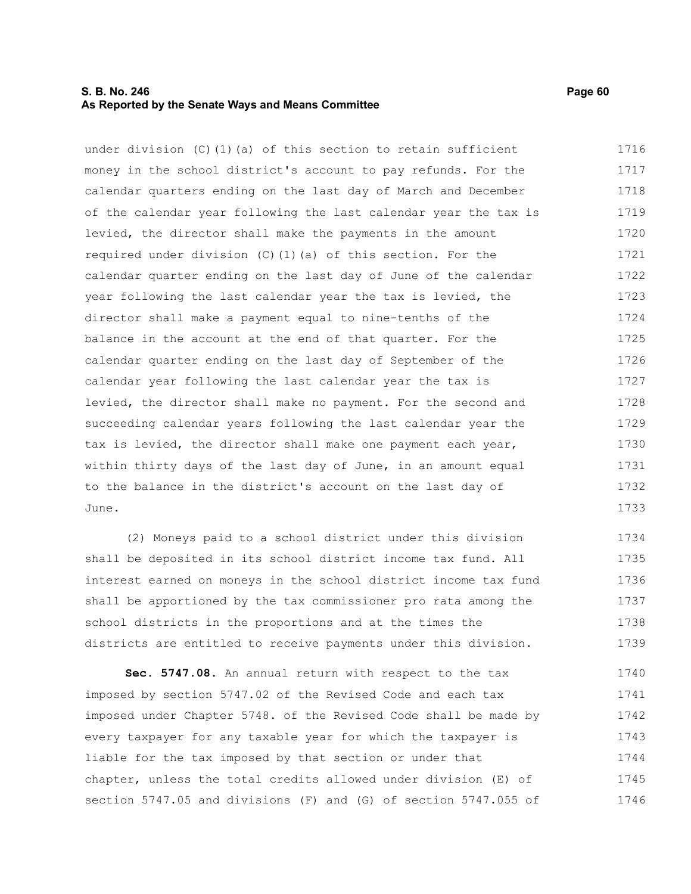### **S. B. No. 246 Page 60 As Reported by the Senate Ways and Means Committee**

under division (C)(1)(a) of this section to retain sufficient money in the school district's account to pay refunds. For the calendar quarters ending on the last day of March and December of the calendar year following the last calendar year the tax is levied, the director shall make the payments in the amount required under division (C)(1)(a) of this section. For the calendar quarter ending on the last day of June of the calendar year following the last calendar year the tax is levied, the director shall make a payment equal to nine-tenths of the balance in the account at the end of that quarter. For the calendar quarter ending on the last day of September of the calendar year following the last calendar year the tax is levied, the director shall make no payment. For the second and succeeding calendar years following the last calendar year the tax is levied, the director shall make one payment each year, within thirty days of the last day of June, in an amount equal to the balance in the district's account on the last day of June. 1716 1717 1718 1719 1720 1721 1722 1723 1724 1725 1726 1727 1728 1729 1730 1731 1732 1733

(2) Moneys paid to a school district under this division shall be deposited in its school district income tax fund. All interest earned on moneys in the school district income tax fund shall be apportioned by the tax commissioner pro rata among the school districts in the proportions and at the times the districts are entitled to receive payments under this division. 1734 1735 1736 1737 1738 1739

**Sec. 5747.08.** An annual return with respect to the tax imposed by section 5747.02 of the Revised Code and each tax imposed under Chapter 5748. of the Revised Code shall be made by every taxpayer for any taxable year for which the taxpayer is liable for the tax imposed by that section or under that chapter, unless the total credits allowed under division (E) of section 5747.05 and divisions (F) and (G) of section 5747.055 of 1740 1741 1742 1743 1744 1745 1746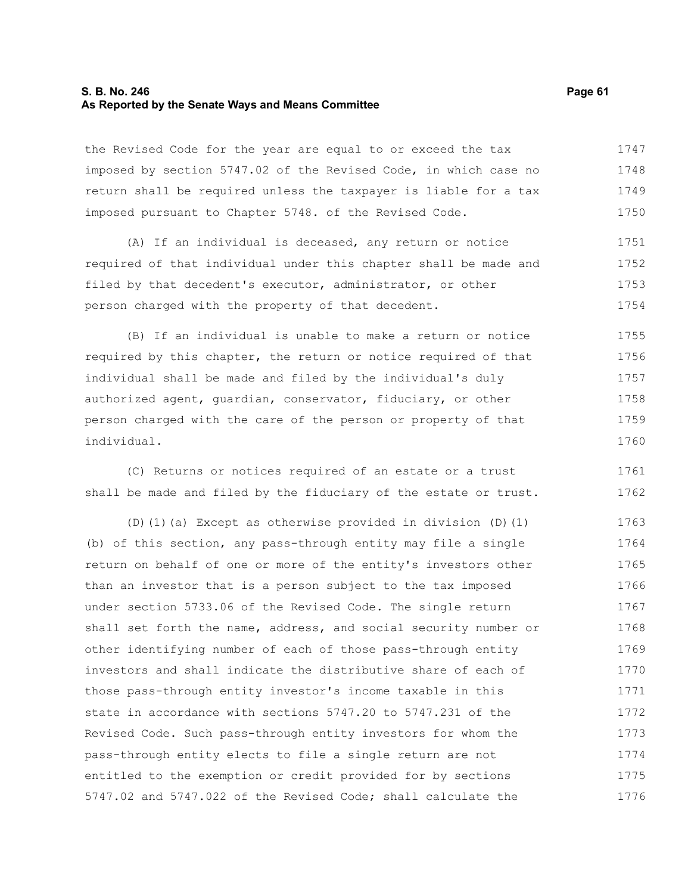### **S. B. No. 246 Page 61 As Reported by the Senate Ways and Means Committee**

the Revised Code for the year are equal to or exceed the tax imposed by section 5747.02 of the Revised Code, in which case no return shall be required unless the taxpayer is liable for a tax imposed pursuant to Chapter 5748. of the Revised Code. 1747 1748 1749 1750

(A) If an individual is deceased, any return or notice required of that individual under this chapter shall be made and filed by that decedent's executor, administrator, or other person charged with the property of that decedent. 1751 1752 1753 1754

(B) If an individual is unable to make a return or notice required by this chapter, the return or notice required of that individual shall be made and filed by the individual's duly authorized agent, guardian, conservator, fiduciary, or other person charged with the care of the person or property of that individual. 1755 1756 1757 1758 1759 1760

(C) Returns or notices required of an estate or a trust shall be made and filed by the fiduciary of the estate or trust. 1761 1762

(D)(1)(a) Except as otherwise provided in division (D)(1) (b) of this section, any pass-through entity may file a single return on behalf of one or more of the entity's investors other than an investor that is a person subject to the tax imposed under section 5733.06 of the Revised Code. The single return shall set forth the name, address, and social security number or other identifying number of each of those pass-through entity investors and shall indicate the distributive share of each of those pass-through entity investor's income taxable in this state in accordance with sections 5747.20 to 5747.231 of the Revised Code. Such pass-through entity investors for whom the pass-through entity elects to file a single return are not entitled to the exemption or credit provided for by sections 5747.02 and 5747.022 of the Revised Code; shall calculate the 1763 1764 1765 1766 1767 1768 1769 1770 1771 1772 1773 1774 1775 1776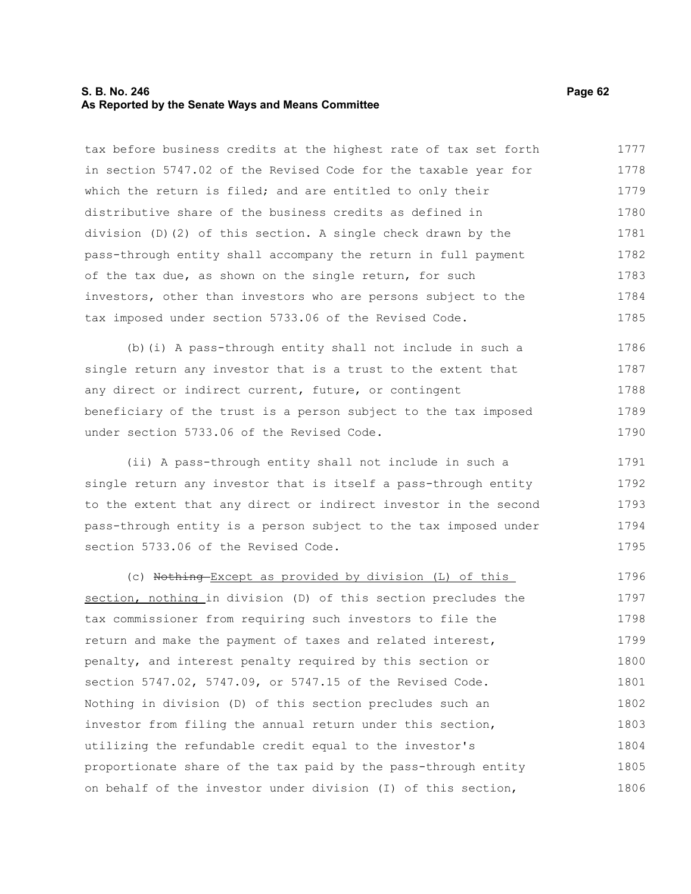### **S. B. No. 246 Page 62 As Reported by the Senate Ways and Means Committee**

tax before business credits at the highest rate of tax set forth in section 5747.02 of the Revised Code for the taxable year for which the return is filed; and are entitled to only their distributive share of the business credits as defined in division (D)(2) of this section. A single check drawn by the pass-through entity shall accompany the return in full payment of the tax due, as shown on the single return, for such investors, other than investors who are persons subject to the tax imposed under section 5733.06 of the Revised Code. 1777 1778 1779 1780 1781 1782 1783 1784 1785

(b)(i) A pass-through entity shall not include in such a single return any investor that is a trust to the extent that any direct or indirect current, future, or contingent beneficiary of the trust is a person subject to the tax imposed under section 5733.06 of the Revised Code. 1786 1787 1788 1789 1790

(ii) A pass-through entity shall not include in such a single return any investor that is itself a pass-through entity to the extent that any direct or indirect investor in the second pass-through entity is a person subject to the tax imposed under section 5733.06 of the Revised Code. 1791 1792 1793 1794 1795

(c) Nothing Except as provided by division (L) of this section, nothing in division (D) of this section precludes the tax commissioner from requiring such investors to file the return and make the payment of taxes and related interest, penalty, and interest penalty required by this section or section 5747.02, 5747.09, or 5747.15 of the Revised Code. Nothing in division (D) of this section precludes such an investor from filing the annual return under this section, utilizing the refundable credit equal to the investor's proportionate share of the tax paid by the pass-through entity on behalf of the investor under division (I) of this section, 1796 1797 1798 1799 1800 1801 1802 1803 1804 1805 1806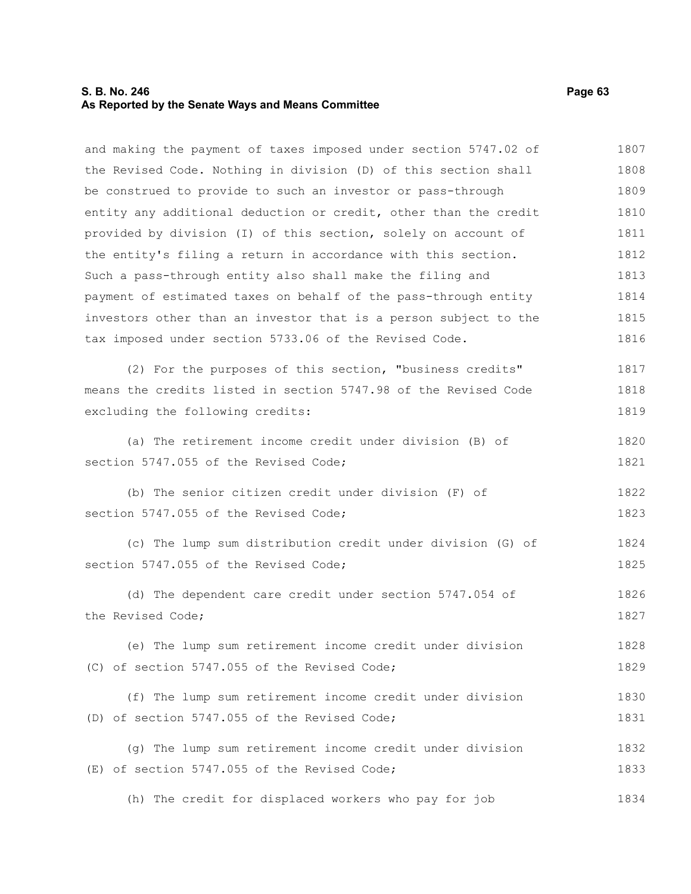### **S. B. No. 246 Page 63 As Reported by the Senate Ways and Means Committee**

and making the payment of taxes imposed under section 5747.02 of the Revised Code. Nothing in division (D) of this section shall be construed to provide to such an investor or pass-through entity any additional deduction or credit, other than the credit provided by division (I) of this section, solely on account of the entity's filing a return in accordance with this section. Such a pass-through entity also shall make the filing and payment of estimated taxes on behalf of the pass-through entity investors other than an investor that is a person subject to the tax imposed under section 5733.06 of the Revised Code. (2) For the purposes of this section, "business credits" means the credits listed in section 5747.98 of the Revised Code excluding the following credits: (a) The retirement income credit under division (B) of section 5747.055 of the Revised Code: (b) The senior citizen credit under division (F) of section 5747.055 of the Revised Code; (c) The lump sum distribution credit under division (G) of section 5747.055 of the Revised Code; (d) The dependent care credit under section 5747.054 of the Revised Code; (e) The lump sum retirement income credit under division (C) of section 5747.055 of the Revised Code; (f) The lump sum retirement income credit under division (D) of section 5747.055 of the Revised Code; (g) The lump sum retirement income credit under division (E) of section 5747.055 of the Revised Code; (h) The credit for displaced workers who pay for job 1807 1808 1809 1810 1811 1812 1813 1814 1815 1816 1817 1818 1819 1820 1821 1822 1823 1824 1825 1826 1827 1828 1829 1830 1831 1832 1833 1834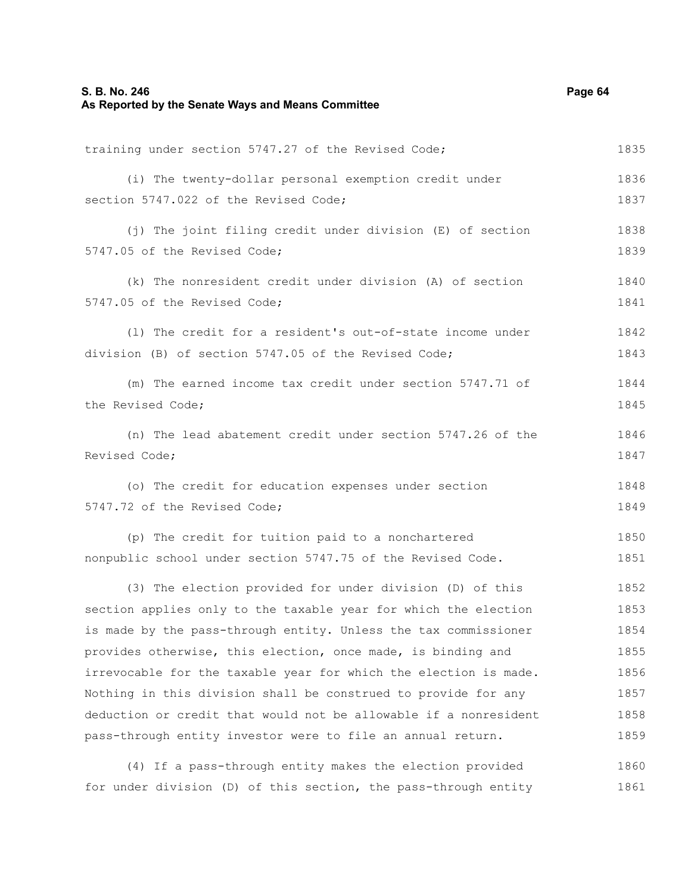### **S. B. No. 246 Page 64 As Reported by the Senate Ways and Means Committee**

training under section 5747.27 of the Revised Code;

(i) The twenty-dollar personal exemption credit under section 5747.022 of the Revised Code; (j) The joint filing credit under division (E) of section 5747.05 of the Revised Code; (k) The nonresident credit under division (A) of section 5747.05 of the Revised Code; (l) The credit for a resident's out-of-state income under division (B) of section 5747.05 of the Revised Code; (m) The earned income tax credit under section 5747.71 of the Revised Code; (n) The lead abatement credit under section 5747.26 of the Revised Code; (o) The credit for education expenses under section 5747.72 of the Revised Code; (p) The credit for tuition paid to a nonchartered

nonpublic school under section 5747.75 of the Revised Code. 1850 1851

(3) The election provided for under division (D) of this section applies only to the taxable year for which the election is made by the pass-through entity. Unless the tax commissioner provides otherwise, this election, once made, is binding and irrevocable for the taxable year for which the election is made. Nothing in this division shall be construed to provide for any deduction or credit that would not be allowable if a nonresident pass-through entity investor were to file an annual return. 1852 1853 1854 1855 1856 1857 1858 1859

(4) If a pass-through entity makes the election provided for under division (D) of this section, the pass-through entity 1860 1861

1835

1836 1837

1838 1839

1840 1841

1842 1843

1844 1845

1846 1847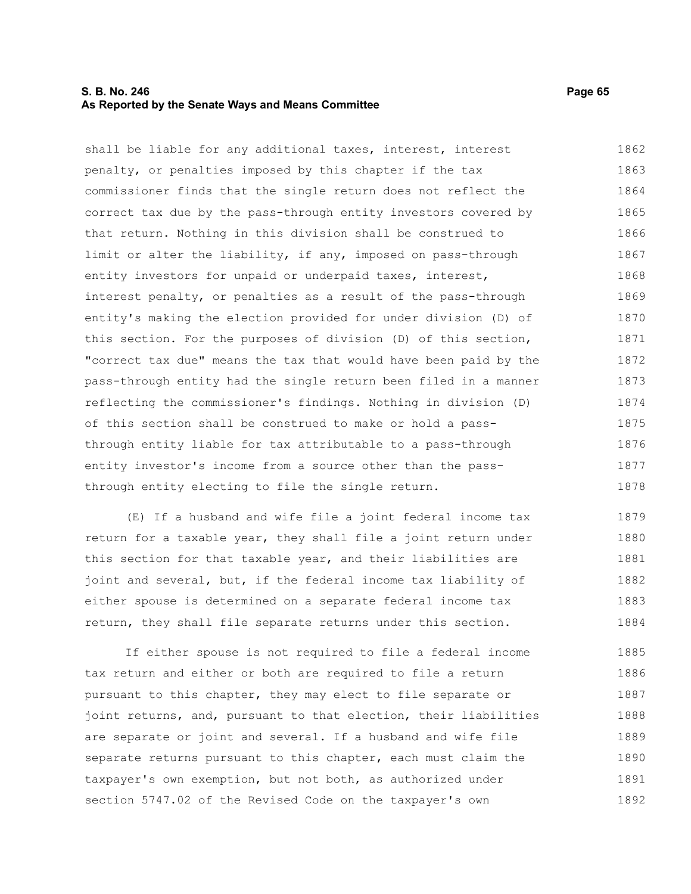### **S. B. No. 246 Page 65 As Reported by the Senate Ways and Means Committee**

shall be liable for any additional taxes, interest, interest penalty, or penalties imposed by this chapter if the tax commissioner finds that the single return does not reflect the correct tax due by the pass-through entity investors covered by that return. Nothing in this division shall be construed to limit or alter the liability, if any, imposed on pass-through entity investors for unpaid or underpaid taxes, interest, interest penalty, or penalties as a result of the pass-through entity's making the election provided for under division (D) of this section. For the purposes of division (D) of this section, "correct tax due" means the tax that would have been paid by the pass-through entity had the single return been filed in a manner reflecting the commissioner's findings. Nothing in division (D) of this section shall be construed to make or hold a passthrough entity liable for tax attributable to a pass-through entity investor's income from a source other than the passthrough entity electing to file the single return. 1862 1863 1864 1865 1866 1867 1868 1869 1870 1871 1872 1873 1874 1875 1876 1877 1878

(E) If a husband and wife file a joint federal income tax return for a taxable year, they shall file a joint return under this section for that taxable year, and their liabilities are joint and several, but, if the federal income tax liability of either spouse is determined on a separate federal income tax return, they shall file separate returns under this section. 1879 1880 1881 1882 1883 1884

If either spouse is not required to file a federal income tax return and either or both are required to file a return pursuant to this chapter, they may elect to file separate or joint returns, and, pursuant to that election, their liabilities are separate or joint and several. If a husband and wife file separate returns pursuant to this chapter, each must claim the taxpayer's own exemption, but not both, as authorized under section 5747.02 of the Revised Code on the taxpayer's own 1885 1886 1887 1888 1889 1890 1891 1892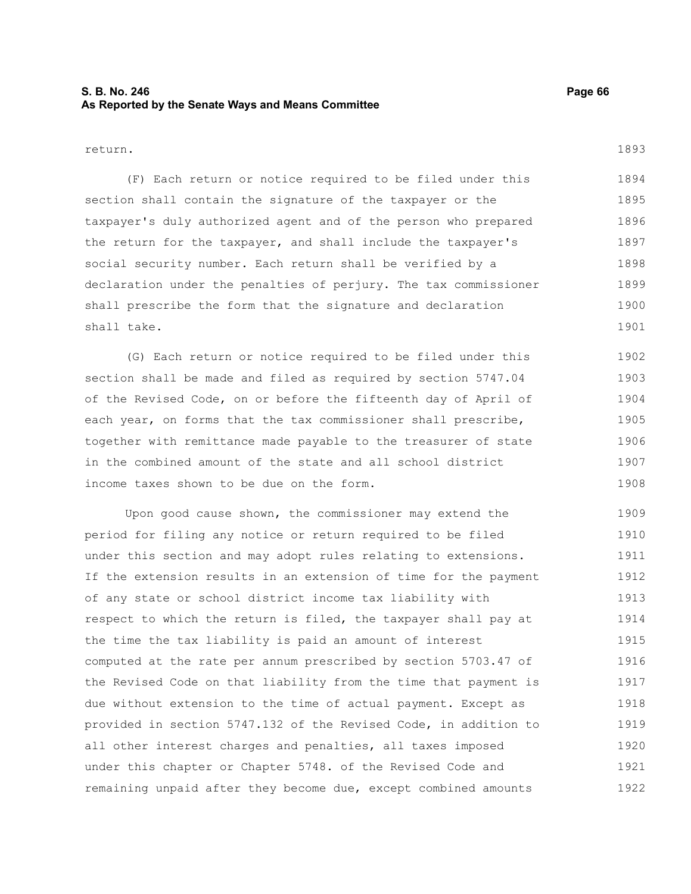### **S. B. No. 246 Page 66 As Reported by the Senate Ways and Means Committee**

#### return.

(F) Each return or notice required to be filed under this section shall contain the signature of the taxpayer or the taxpayer's duly authorized agent and of the person who prepared the return for the taxpayer, and shall include the taxpayer's social security number. Each return shall be verified by a declaration under the penalties of perjury. The tax commissioner shall prescribe the form that the signature and declaration shall take. 1894 1895 1896 1897 1898 1899 1900 1901

(G) Each return or notice required to be filed under this section shall be made and filed as required by section 5747.04 of the Revised Code, on or before the fifteenth day of April of each year, on forms that the tax commissioner shall prescribe, together with remittance made payable to the treasurer of state in the combined amount of the state and all school district income taxes shown to be due on the form. 1902 1903 1904 1905 1906 1907 1908

Upon good cause shown, the commissioner may extend the period for filing any notice or return required to be filed under this section and may adopt rules relating to extensions. If the extension results in an extension of time for the payment of any state or school district income tax liability with respect to which the return is filed, the taxpayer shall pay at the time the tax liability is paid an amount of interest computed at the rate per annum prescribed by section 5703.47 of the Revised Code on that liability from the time that payment is due without extension to the time of actual payment. Except as provided in section 5747.132 of the Revised Code, in addition to all other interest charges and penalties, all taxes imposed under this chapter or Chapter 5748. of the Revised Code and remaining unpaid after they become due, except combined amounts 1909 1910 1911 1912 1913 1914 1915 1916 1917 1918 1919 1920 1921 1922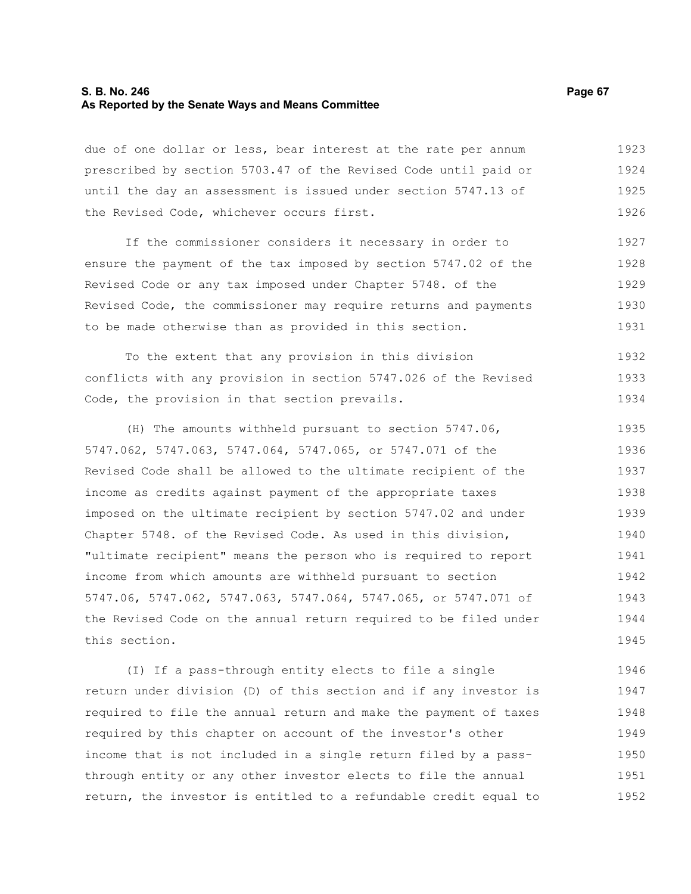### **S. B. No. 246 Page 67 As Reported by the Senate Ways and Means Committee**

due of one dollar or less, bear interest at the rate per annum prescribed by section 5703.47 of the Revised Code until paid or until the day an assessment is issued under section 5747.13 of the Revised Code, whichever occurs first. 1923 1924 1925 1926

If the commissioner considers it necessary in order to ensure the payment of the tax imposed by section 5747.02 of the Revised Code or any tax imposed under Chapter 5748. of the Revised Code, the commissioner may require returns and payments to be made otherwise than as provided in this section. 1927 1928 1929 1930 1931

To the extent that any provision in this division conflicts with any provision in section 5747.026 of the Revised Code, the provision in that section prevails. 1932 1933 1934

(H) The amounts withheld pursuant to section 5747.06, 5747.062, 5747.063, 5747.064, 5747.065, or 5747.071 of the Revised Code shall be allowed to the ultimate recipient of the income as credits against payment of the appropriate taxes imposed on the ultimate recipient by section 5747.02 and under Chapter 5748. of the Revised Code. As used in this division, "ultimate recipient" means the person who is required to report income from which amounts are withheld pursuant to section 5747.06, 5747.062, 5747.063, 5747.064, 5747.065, or 5747.071 of the Revised Code on the annual return required to be filed under this section. 1935 1936 1937 1938 1939 1940 1941 1942 1943 1944 1945

(I) If a pass-through entity elects to file a single return under division (D) of this section and if any investor is required to file the annual return and make the payment of taxes required by this chapter on account of the investor's other income that is not included in a single return filed by a passthrough entity or any other investor elects to file the annual return, the investor is entitled to a refundable credit equal to 1946 1947 1948 1949 1950 1951 1952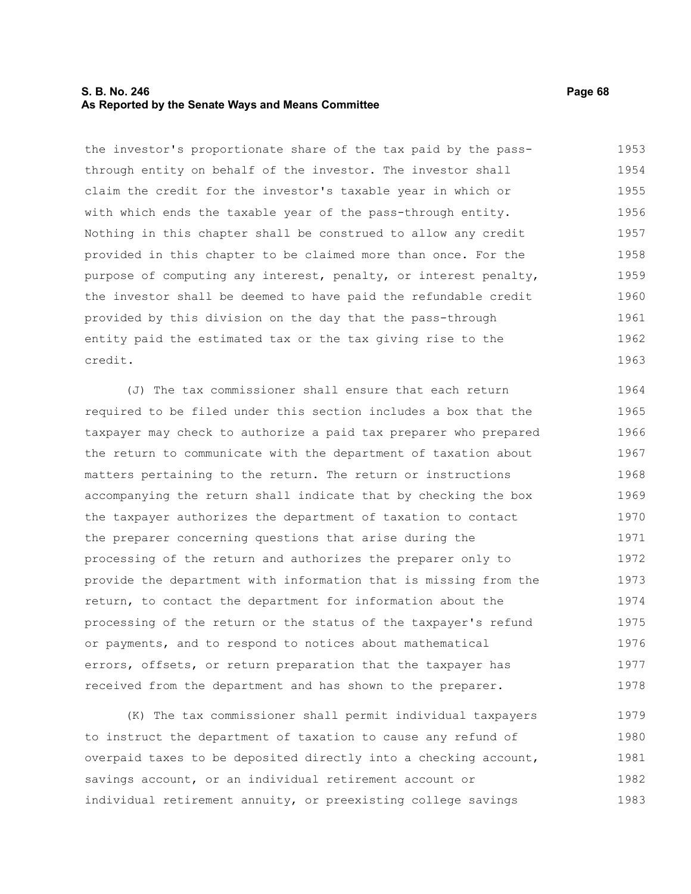### **S. B. No. 246 Page 68 As Reported by the Senate Ways and Means Committee**

the investor's proportionate share of the tax paid by the passthrough entity on behalf of the investor. The investor shall claim the credit for the investor's taxable year in which or with which ends the taxable year of the pass-through entity. Nothing in this chapter shall be construed to allow any credit provided in this chapter to be claimed more than once. For the purpose of computing any interest, penalty, or interest penalty, the investor shall be deemed to have paid the refundable credit provided by this division on the day that the pass-through entity paid the estimated tax or the tax giving rise to the credit. 1953 1954 1955 1956 1957 1958 1959 1960 1961 1962 1963

(J) The tax commissioner shall ensure that each return required to be filed under this section includes a box that the taxpayer may check to authorize a paid tax preparer who prepared the return to communicate with the department of taxation about matters pertaining to the return. The return or instructions accompanying the return shall indicate that by checking the box the taxpayer authorizes the department of taxation to contact the preparer concerning questions that arise during the processing of the return and authorizes the preparer only to provide the department with information that is missing from the return, to contact the department for information about the processing of the return or the status of the taxpayer's refund or payments, and to respond to notices about mathematical errors, offsets, or return preparation that the taxpayer has received from the department and has shown to the preparer. 1964 1965 1966 1967 1968 1969 1970 1971 1972 1973 1974 1975 1976 1977 1978

(K) The tax commissioner shall permit individual taxpayers to instruct the department of taxation to cause any refund of overpaid taxes to be deposited directly into a checking account, savings account, or an individual retirement account or individual retirement annuity, or preexisting college savings 1979 1980 1981 1982 1983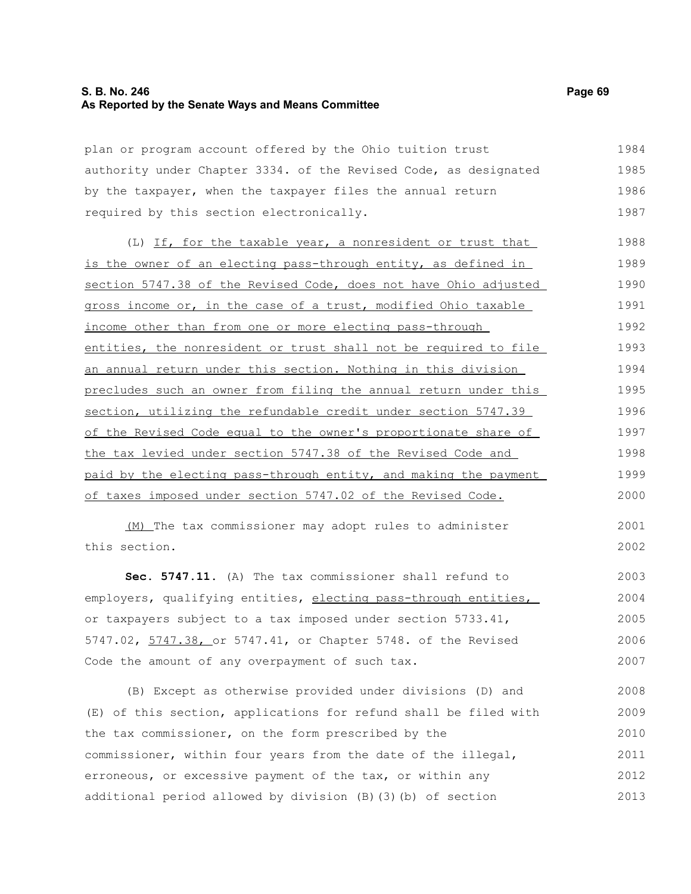### **S. B. No. 246 Page 69 As Reported by the Senate Ways and Means Committee**

plan or program account offered by the Ohio tuition trust authority under Chapter 3334. of the Revised Code, as designated by the taxpayer, when the taxpayer files the annual return required by this section electronically. 1984 1985 1986 1987

(L) If, for the taxable year, a nonresident or trust that is the owner of an electing pass-through entity, as defined in section 5747.38 of the Revised Code, does not have Ohio adjusted gross income or, in the case of a trust, modified Ohio taxable income other than from one or more electing pass-through entities, the nonresident or trust shall not be required to file an annual return under this section. Nothing in this division precludes such an owner from filing the annual return under this section, utilizing the refundable credit under section 5747.39 of the Revised Code equal to the owner's proportionate share of the tax levied under section 5747.38 of the Revised Code and paid by the electing pass-through entity, and making the payment of taxes imposed under section 5747.02 of the Revised Code. 1988 1989 1990 1991 1992 1993 1994 1995 1996 1997 1998 1999 2000

(M) The tax commissioner may adopt rules to administer this section.

**Sec. 5747.11.** (A) The tax commissioner shall refund to employers, qualifying entities, electing pass-through entities, or taxpayers subject to a tax imposed under section 5733.41, 5747.02, 5747.38, or 5747.41, or Chapter 5748. of the Revised Code the amount of any overpayment of such tax. 2003 2004 2005 2006 2007

(B) Except as otherwise provided under divisions (D) and (E) of this section, applications for refund shall be filed with the tax commissioner, on the form prescribed by the commissioner, within four years from the date of the illegal, erroneous, or excessive payment of the tax, or within any additional period allowed by division (B)(3)(b) of section 2008 2009 2010 2011 2012 2013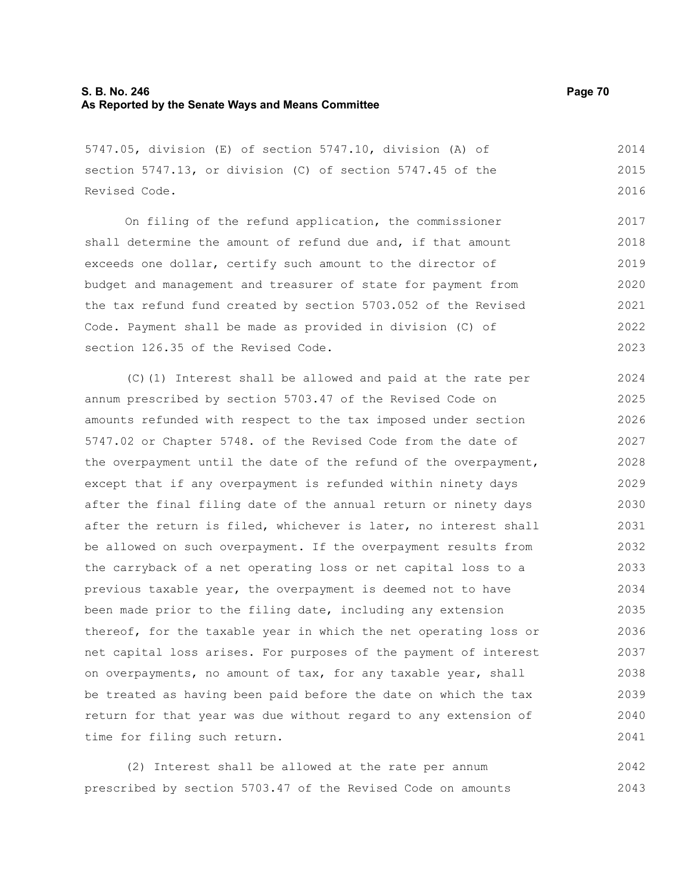### **S. B. No. 246 Page 70 As Reported by the Senate Ways and Means Committee**

5747.05, division (E) of section 5747.10, division (A) of section 5747.13, or division (C) of section 5747.45 of the Revised Code.

On filing of the refund application, the commissioner shall determine the amount of refund due and, if that amount exceeds one dollar, certify such amount to the director of budget and management and treasurer of state for payment from the tax refund fund created by section 5703.052 of the Revised Code. Payment shall be made as provided in division (C) of section 126.35 of the Revised Code. 2017 2018 2019 2020 2021 2022 2023

(C)(1) Interest shall be allowed and paid at the rate per annum prescribed by section 5703.47 of the Revised Code on amounts refunded with respect to the tax imposed under section 5747.02 or Chapter 5748. of the Revised Code from the date of the overpayment until the date of the refund of the overpayment, except that if any overpayment is refunded within ninety days after the final filing date of the annual return or ninety days after the return is filed, whichever is later, no interest shall be allowed on such overpayment. If the overpayment results from the carryback of a net operating loss or net capital loss to a previous taxable year, the overpayment is deemed not to have been made prior to the filing date, including any extension thereof, for the taxable year in which the net operating loss or net capital loss arises. For purposes of the payment of interest on overpayments, no amount of tax, for any taxable year, shall be treated as having been paid before the date on which the tax return for that year was due without regard to any extension of time for filing such return. 2024 2025 2026 2027 2028 2029 2030 2031 2032 2033 2034 2035 2036 2037 2038 2039 2040 2041

(2) Interest shall be allowed at the rate per annum prescribed by section 5703.47 of the Revised Code on amounts 2042 2043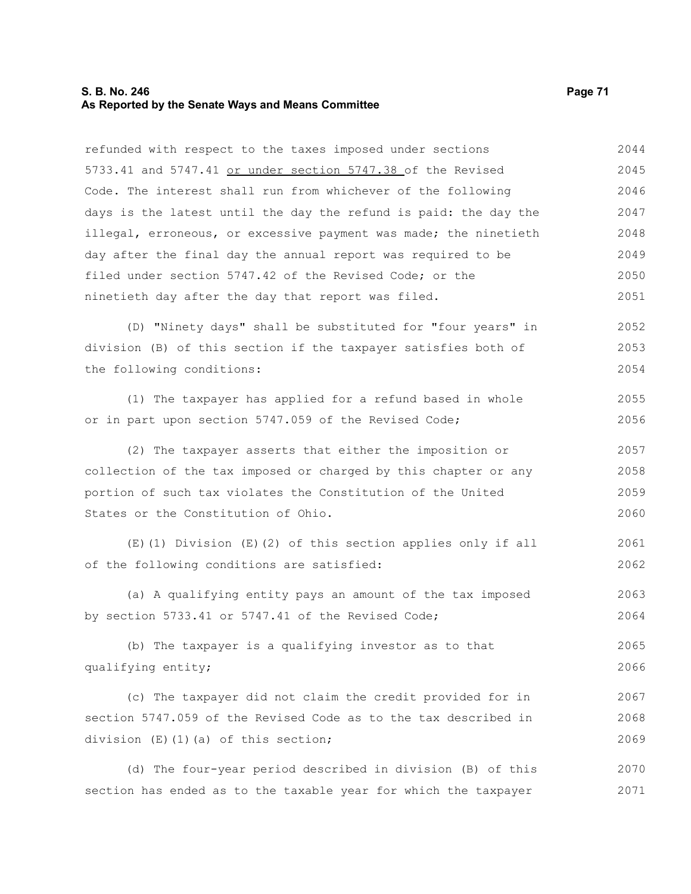### **S. B. No. 246 Page 71 As Reported by the Senate Ways and Means Committee**

refunded with respect to the taxes imposed under sections 5733.41 and 5747.41 or under section 5747.38 of the Revised Code. The interest shall run from whichever of the following days is the latest until the day the refund is paid: the day the illegal, erroneous, or excessive payment was made; the ninetieth day after the final day the annual report was required to be filed under section 5747.42 of the Revised Code; or the ninetieth day after the day that report was filed. (D) "Ninety days" shall be substituted for "four years" in division (B) of this section if the taxpayer satisfies both of the following conditions: (1) The taxpayer has applied for a refund based in whole or in part upon section 5747.059 of the Revised Code; (2) The taxpayer asserts that either the imposition or collection of the tax imposed or charged by this chapter or any portion of such tax violates the Constitution of the United States or the Constitution of Ohio. (E)(1) Division (E)(2) of this section applies only if all of the following conditions are satisfied: (a) A qualifying entity pays an amount of the tax imposed by section 5733.41 or 5747.41 of the Revised Code; (b) The taxpayer is a qualifying investor as to that qualifying entity; (c) The taxpayer did not claim the credit provided for in section 5747.059 of the Revised Code as to the tax described in division (E)(1)(a) of this section; (d) The four-year period described in division (B) of this 2044 2045 2046 2047 2048 2049 2050 2051 2052 2053 2054 2055 2056 2057 2058 2059 2060 2061 2062 2063 2064 2065 2066 2067 2068 2069 2070

section has ended as to the taxable year for which the taxpayer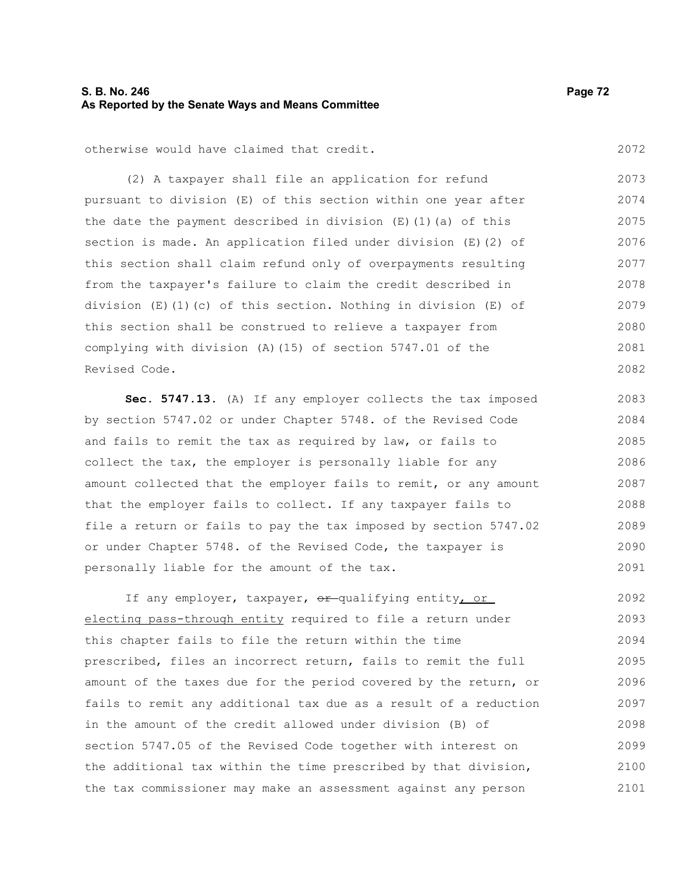### **S. B. No. 246 Page 72 As Reported by the Senate Ways and Means Committee**

otherwise would have claimed that credit.

(2) A taxpayer shall file an application for refund pursuant to division (E) of this section within one year after the date the payment described in division  $(E)$  (1)(a) of this section is made. An application filed under division (E)(2) of this section shall claim refund only of overpayments resulting from the taxpayer's failure to claim the credit described in division  $(E)(1)(c)$  of this section. Nothing in division  $(E)$  of this section shall be construed to relieve a taxpayer from complying with division (A)(15) of section 5747.01 of the Revised Code. 2073 2074 2075 2076 2077 2078 2079 2080 2081 2082

**Sec. 5747.13.** (A) If any employer collects the tax imposed by section 5747.02 or under Chapter 5748. of the Revised Code and fails to remit the tax as required by law, or fails to collect the tax, the employer is personally liable for any amount collected that the employer fails to remit, or any amount that the employer fails to collect. If any taxpayer fails to file a return or fails to pay the tax imposed by section 5747.02 or under Chapter 5748. of the Revised Code, the taxpayer is personally liable for the amount of the tax. 2083 2084 2085 2086 2087 2088 2089 2090 2091

If any employer, taxpayer,  $\theta$ r-qualifying entity, or electing pass-through entity required to file a return under this chapter fails to file the return within the time prescribed, files an incorrect return, fails to remit the full amount of the taxes due for the period covered by the return, or fails to remit any additional tax due as a result of a reduction in the amount of the credit allowed under division (B) of section 5747.05 of the Revised Code together with interest on the additional tax within the time prescribed by that division, the tax commissioner may make an assessment against any person 2092 2093 2094 2095 2096 2097 2098 2099 2100 2101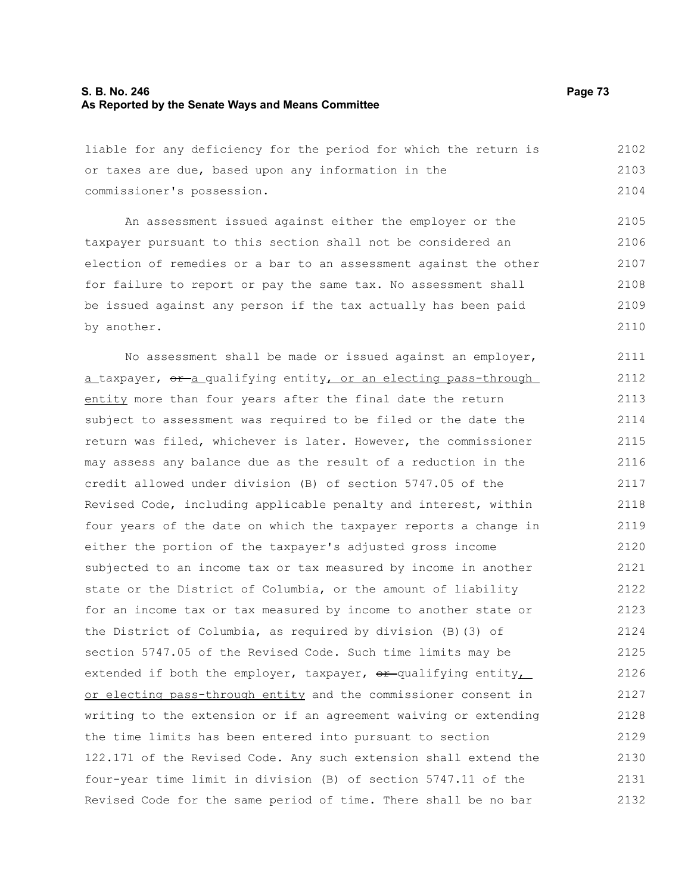## **S. B. No. 246 Page 73 As Reported by the Senate Ways and Means Committee**

liable for any deficiency for the period for which the return is or taxes are due, based upon any information in the commissioner's possession. 2102 2103 2104

An assessment issued against either the employer or the taxpayer pursuant to this section shall not be considered an election of remedies or a bar to an assessment against the other for failure to report or pay the same tax. No assessment shall be issued against any person if the tax actually has been paid by another. 2105 2106 2107 2108 2109 2110

No assessment shall be made or issued against an employer, a taxpayer,  $\sigma$  a qualifying entity, or an electing pass-through entity more than four years after the final date the return subject to assessment was required to be filed or the date the return was filed, whichever is later. However, the commissioner may assess any balance due as the result of a reduction in the credit allowed under division (B) of section 5747.05 of the Revised Code, including applicable penalty and interest, within four years of the date on which the taxpayer reports a change in either the portion of the taxpayer's adjusted gross income subjected to an income tax or tax measured by income in another state or the District of Columbia, or the amount of liability for an income tax or tax measured by income to another state or the District of Columbia, as required by division (B)(3) of section 5747.05 of the Revised Code. Such time limits may be extended if both the employer, taxpayer,  $\theta$ r-qualifying entity, or electing pass-through entity and the commissioner consent in writing to the extension or if an agreement waiving or extending the time limits has been entered into pursuant to section 122.171 of the Revised Code. Any such extension shall extend the four-year time limit in division (B) of section 5747.11 of the Revised Code for the same period of time. There shall be no bar 2111 2112 2113 2114 2115 2116 2117 2118 2119 2120 2121 2122 2123 2124 2125 2126 2127 2128 2129 2130 2131 2132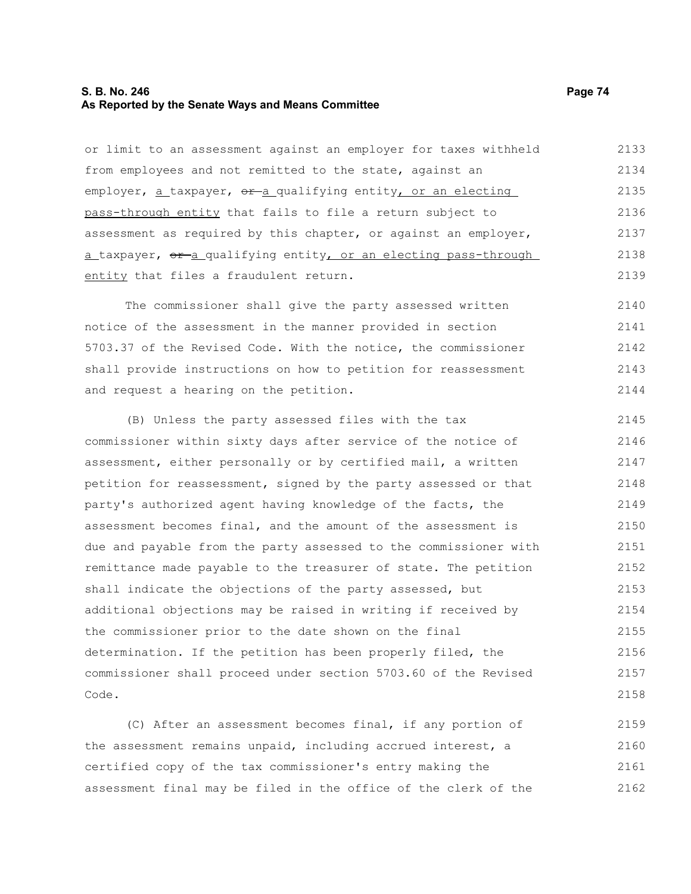#### **S. B. No. 246 Page 74 As Reported by the Senate Ways and Means Committee**

or limit to an assessment against an employer for taxes withheld from employees and not remitted to the state, against an employer,  $a$  taxpayer,  $e^{a}$  qualifying entity, or an electing pass-through entity that fails to file a return subject to assessment as required by this chapter, or against an employer, a taxpayer, or a qualifying entity, or an electing pass-through entity that files a fraudulent return. 2133 2134 2135 2136 2137 2138 2139

The commissioner shall give the party assessed written notice of the assessment in the manner provided in section 5703.37 of the Revised Code. With the notice, the commissioner shall provide instructions on how to petition for reassessment and request a hearing on the petition. 2140 2141 2142 2143 2144

(B) Unless the party assessed files with the tax commissioner within sixty days after service of the notice of assessment, either personally or by certified mail, a written petition for reassessment, signed by the party assessed or that party's authorized agent having knowledge of the facts, the assessment becomes final, and the amount of the assessment is due and payable from the party assessed to the commissioner with remittance made payable to the treasurer of state. The petition shall indicate the objections of the party assessed, but additional objections may be raised in writing if received by the commissioner prior to the date shown on the final determination. If the petition has been properly filed, the commissioner shall proceed under section 5703.60 of the Revised Code. 2145 2146 2147 2148 2149 2150 2151 2152 2153 2154 2155 2156 2157 2158

(C) After an assessment becomes final, if any portion of the assessment remains unpaid, including accrued interest, a certified copy of the tax commissioner's entry making the assessment final may be filed in the office of the clerk of the 2159 2160 2161 2162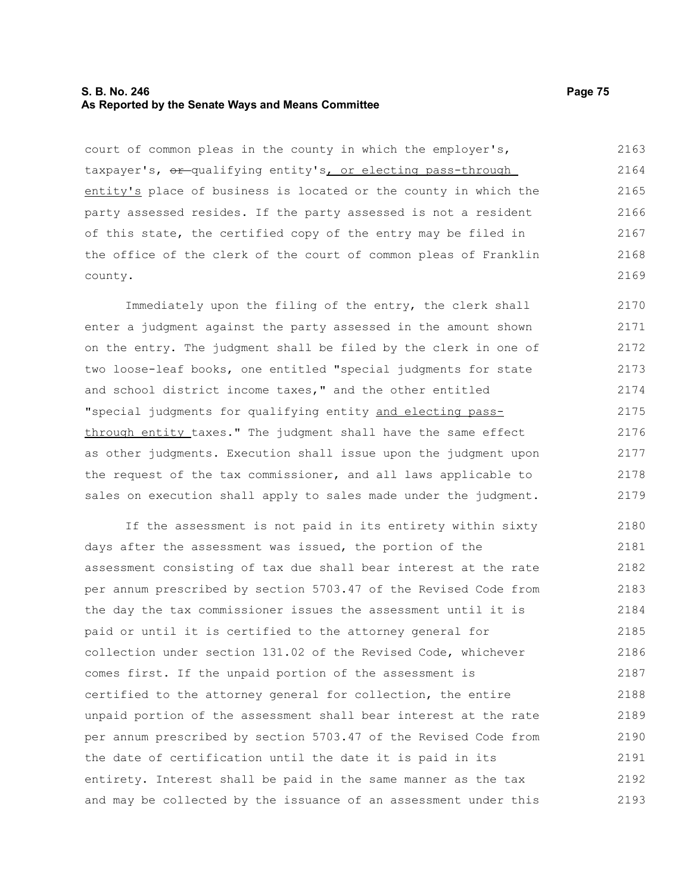### **S. B. No. 246 Page 75 As Reported by the Senate Ways and Means Committee**

court of common pleas in the county in which the employer's, taxpayer's,  $er$ -qualifying entity's, or electing pass-through entity's place of business is located or the county in which the party assessed resides. If the party assessed is not a resident of this state, the certified copy of the entry may be filed in the office of the clerk of the court of common pleas of Franklin county. 2163 2164 2165 2166 2167 2168 2169

Immediately upon the filing of the entry, the clerk shall enter a judgment against the party assessed in the amount shown on the entry. The judgment shall be filed by the clerk in one of two loose-leaf books, one entitled "special judgments for state and school district income taxes," and the other entitled "special judgments for qualifying entity and electing passthrough entity taxes." The judgment shall have the same effect as other judgments. Execution shall issue upon the judgment upon the request of the tax commissioner, and all laws applicable to sales on execution shall apply to sales made under the judgment. 2170 2171 2172 2173 2174 2175 2176 2177 2178 2179

If the assessment is not paid in its entirety within sixty days after the assessment was issued, the portion of the assessment consisting of tax due shall bear interest at the rate per annum prescribed by section 5703.47 of the Revised Code from the day the tax commissioner issues the assessment until it is paid or until it is certified to the attorney general for collection under section 131.02 of the Revised Code, whichever comes first. If the unpaid portion of the assessment is certified to the attorney general for collection, the entire unpaid portion of the assessment shall bear interest at the rate per annum prescribed by section 5703.47 of the Revised Code from the date of certification until the date it is paid in its entirety. Interest shall be paid in the same manner as the tax and may be collected by the issuance of an assessment under this 2180 2181 2182 2183 2184 2185 2186 2187 2188 2189 2190 2191 2192 2193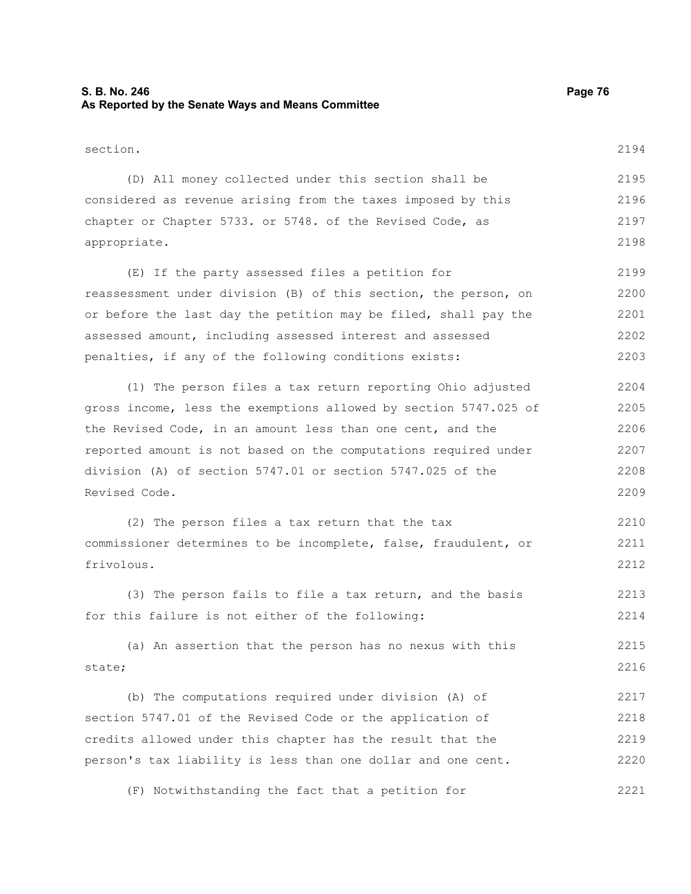# **S. B. No. 246 Page 76 As Reported by the Senate Ways and Means Committee**

| section.                                                         | 2194 |
|------------------------------------------------------------------|------|
| (D) All money collected under this section shall be              | 2195 |
| considered as revenue arising from the taxes imposed by this     | 2196 |
| chapter or Chapter 5733. or 5748. of the Revised Code, as        | 2197 |
| appropriate.                                                     | 2198 |
| (E) If the party assessed files a petition for                   | 2199 |
| reassessment under division (B) of this section, the person, on  | 2200 |
| or before the last day the petition may be filed, shall pay the  | 2201 |
| assessed amount, including assessed interest and assessed        | 2202 |
| penalties, if any of the following conditions exists:            | 2203 |
| (1) The person files a tax return reporting Ohio adjusted        | 2204 |
| gross income, less the exemptions allowed by section 5747.025 of | 2205 |
| the Revised Code, in an amount less than one cent, and the       | 2206 |
| reported amount is not based on the computations required under  | 2207 |
| division (A) of section 5747.01 or section 5747.025 of the       | 2208 |
| Revised Code.                                                    | 2209 |
| (2) The person files a tax return that the tax                   | 2210 |
| commissioner determines to be incomplete, false, fraudulent, or  | 2211 |
| frivolous.                                                       | 2212 |
| (3) The person fails to file a tax return, and the basis         | 2213 |
| for this failure is not either of the following:                 | 2214 |
| (a) An assertion that the person has no nexus with this          | 2215 |
| state;                                                           | 2216 |
| (b) The computations required under division (A) of              | 2217 |
| section 5747.01 of the Revised Code or the application of        | 2218 |
| credits allowed under this chapter has the result that the       | 2219 |
| person's tax liability is less than one dollar and one cent.     | 2220 |

(F) Notwithstanding the fact that a petition for 2221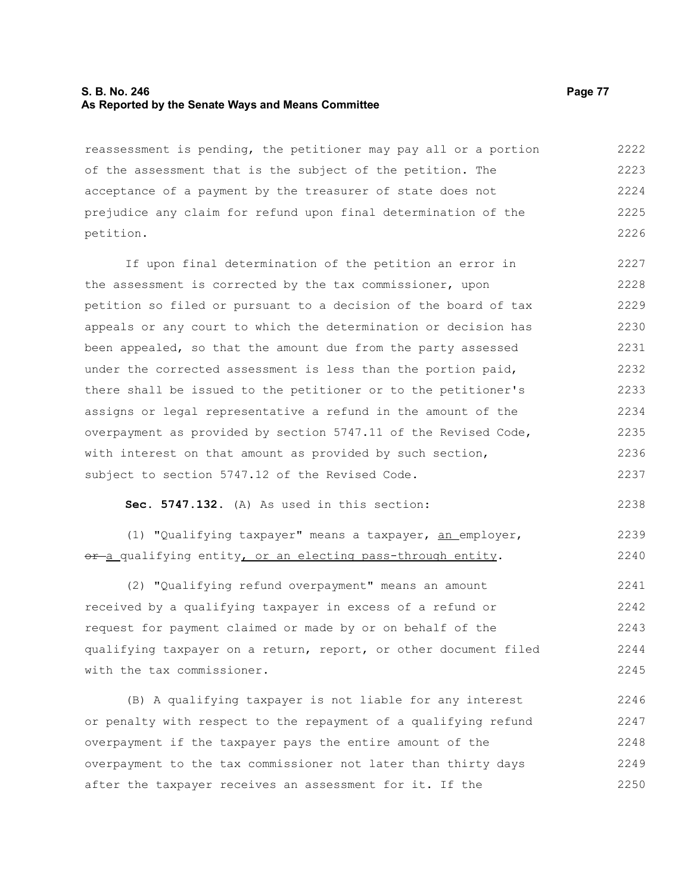#### **S. B. No. 246 Page 77 As Reported by the Senate Ways and Means Committee**

reassessment is pending, the petitioner may pay all or a portion of the assessment that is the subject of the petition. The acceptance of a payment by the treasurer of state does not prejudice any claim for refund upon final determination of the petition. 2222 2223 2224 2225 2226

If upon final determination of the petition an error in the assessment is corrected by the tax commissioner, upon petition so filed or pursuant to a decision of the board of tax appeals or any court to which the determination or decision has been appealed, so that the amount due from the party assessed under the corrected assessment is less than the portion paid, there shall be issued to the petitioner or to the petitioner's assigns or legal representative a refund in the amount of the overpayment as provided by section 5747.11 of the Revised Code, with interest on that amount as provided by such section, subject to section 5747.12 of the Revised Code. 2227 2228 2229 2230 2231 2232 2233 2234 2235 2236 2237

**Sec. 5747.132.** (A) As used in this section:

(1) "Qualifying taxpayer" means a taxpayer, an employer, or-a qualifying entity, or an electing pass-through entity. 2239 2240

(2) "Qualifying refund overpayment" means an amount received by a qualifying taxpayer in excess of a refund or request for payment claimed or made by or on behalf of the qualifying taxpayer on a return, report, or other document filed with the tax commissioner. 2241 2242 2243 2244 2245

(B) A qualifying taxpayer is not liable for any interest or penalty with respect to the repayment of a qualifying refund overpayment if the taxpayer pays the entire amount of the overpayment to the tax commissioner not later than thirty days after the taxpayer receives an assessment for it. If the 2246 2247 2248 2249 2250

2238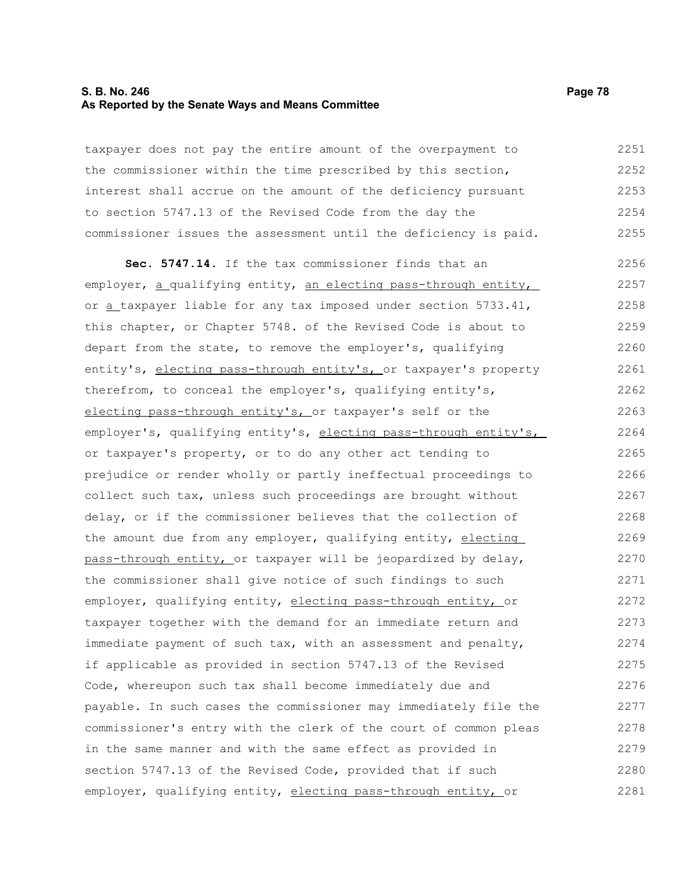#### **S. B. No. 246 Page 78 As Reported by the Senate Ways and Means Committee**

taxpayer does not pay the entire amount of the overpayment to the commissioner within the time prescribed by this section, interest shall accrue on the amount of the deficiency pursuant to section 5747.13 of the Revised Code from the day the commissioner issues the assessment until the deficiency is paid. 2251 2252 2253 2254 2255

**Sec. 5747.14.** If the tax commissioner finds that an employer, a qualifying entity, an electing pass-through entity, or a taxpayer liable for any tax imposed under section 5733.41, this chapter, or Chapter 5748. of the Revised Code is about to depart from the state, to remove the employer's, qualifying entity's, electing pass-through entity's, or taxpayer's property therefrom, to conceal the employer's, qualifying entity's, electing pass-through entity's, or taxpayer's self or the employer's, qualifying entity's, electing pass-through entity's, or taxpayer's property, or to do any other act tending to prejudice or render wholly or partly ineffectual proceedings to collect such tax, unless such proceedings are brought without delay, or if the commissioner believes that the collection of the amount due from any employer, qualifying entity, electing pass-through entity, or taxpayer will be jeopardized by delay, the commissioner shall give notice of such findings to such employer, qualifying entity, electing pass-through entity, or taxpayer together with the demand for an immediate return and immediate payment of such tax, with an assessment and penalty, if applicable as provided in section 5747.13 of the Revised Code, whereupon such tax shall become immediately due and payable. In such cases the commissioner may immediately file the commissioner's entry with the clerk of the court of common pleas in the same manner and with the same effect as provided in section 5747.13 of the Revised Code, provided that if such employer, qualifying entity, electing pass-through entity, or 2256 2257 2258 2259 2260 2261 2262 2263 2264 2265 2266 2267 2268 2269 2270 2271 2272 2273 2274 2275 2276 2277 2278 2279 2280 2281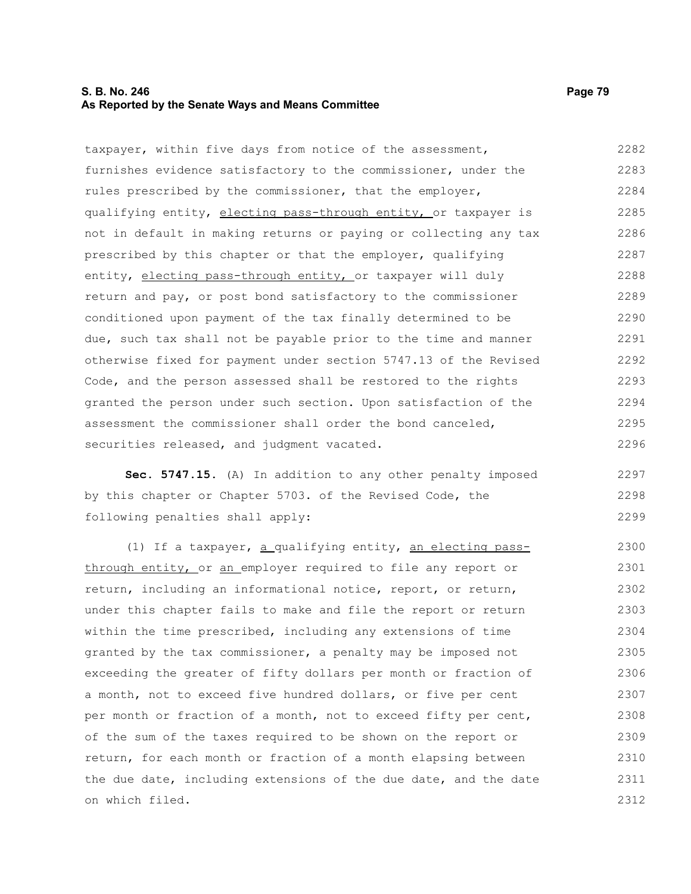## **S. B. No. 246 Page 79 As Reported by the Senate Ways and Means Committee**

taxpayer, within five days from notice of the assessment, furnishes evidence satisfactory to the commissioner, under the rules prescribed by the commissioner, that the employer, qualifying entity, electing pass-through entity, or taxpayer is not in default in making returns or paying or collecting any tax prescribed by this chapter or that the employer, qualifying entity, electing pass-through entity, or taxpayer will duly return and pay, or post bond satisfactory to the commissioner conditioned upon payment of the tax finally determined to be due, such tax shall not be payable prior to the time and manner otherwise fixed for payment under section 5747.13 of the Revised Code, and the person assessed shall be restored to the rights granted the person under such section. Upon satisfaction of the assessment the commissioner shall order the bond canceled, securities released, and judgment vacated. 2282 2283 2284 2285 2286 2287 2288 2289 2290 2291 2292 2293 2294 2295 2296

**Sec. 5747.15.** (A) In addition to any other penalty imposed by this chapter or Chapter 5703. of the Revised Code, the following penalties shall apply:

(1) If a taxpayer, a qualifying entity, an electing passthrough entity, or an employer required to file any report or return, including an informational notice, report, or return, under this chapter fails to make and file the report or return within the time prescribed, including any extensions of time granted by the tax commissioner, a penalty may be imposed not exceeding the greater of fifty dollars per month or fraction of a month, not to exceed five hundred dollars, or five per cent per month or fraction of a month, not to exceed fifty per cent, of the sum of the taxes required to be shown on the report or return, for each month or fraction of a month elapsing between the due date, including extensions of the due date, and the date on which filed. 2300 2301 2302 2303 2304 2305 2306 2307 2308 2309 2310 2311 2312

2297 2298 2299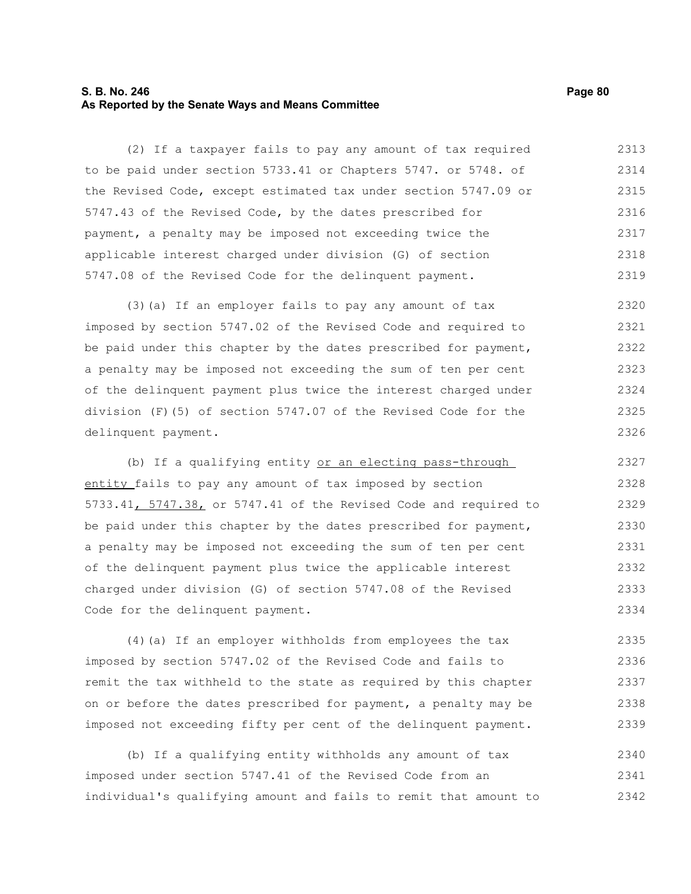### **S. B. No. 246 Page 80 As Reported by the Senate Ways and Means Committee**

(2) If a taxpayer fails to pay any amount of tax required to be paid under section 5733.41 or Chapters 5747. or 5748. of the Revised Code, except estimated tax under section 5747.09 or 5747.43 of the Revised Code, by the dates prescribed for payment, a penalty may be imposed not exceeding twice the applicable interest charged under division (G) of section 5747.08 of the Revised Code for the delinquent payment. 2313 2314 2315 2316 2317 2318 2319

(3)(a) If an employer fails to pay any amount of tax imposed by section 5747.02 of the Revised Code and required to be paid under this chapter by the dates prescribed for payment, a penalty may be imposed not exceeding the sum of ten per cent of the delinquent payment plus twice the interest charged under division (F)(5) of section 5747.07 of the Revised Code for the delinquent payment. 2320 2321 2322 2323 2324 2325 2326

(b) If a qualifying entity or an electing pass-through entity fails to pay any amount of tax imposed by section 5733.41, 5747.38, or 5747.41 of the Revised Code and required to be paid under this chapter by the dates prescribed for payment, a penalty may be imposed not exceeding the sum of ten per cent of the delinquent payment plus twice the applicable interest charged under division (G) of section 5747.08 of the Revised Code for the delinquent payment. 2327 2328 2329 2330 2331 2332 2333 2334

(4)(a) If an employer withholds from employees the tax imposed by section 5747.02 of the Revised Code and fails to remit the tax withheld to the state as required by this chapter on or before the dates prescribed for payment, a penalty may be imposed not exceeding fifty per cent of the delinquent payment. 2335 2336 2337 2338 2339

(b) If a qualifying entity withholds any amount of tax imposed under section 5747.41 of the Revised Code from an individual's qualifying amount and fails to remit that amount to 2340 2341 2342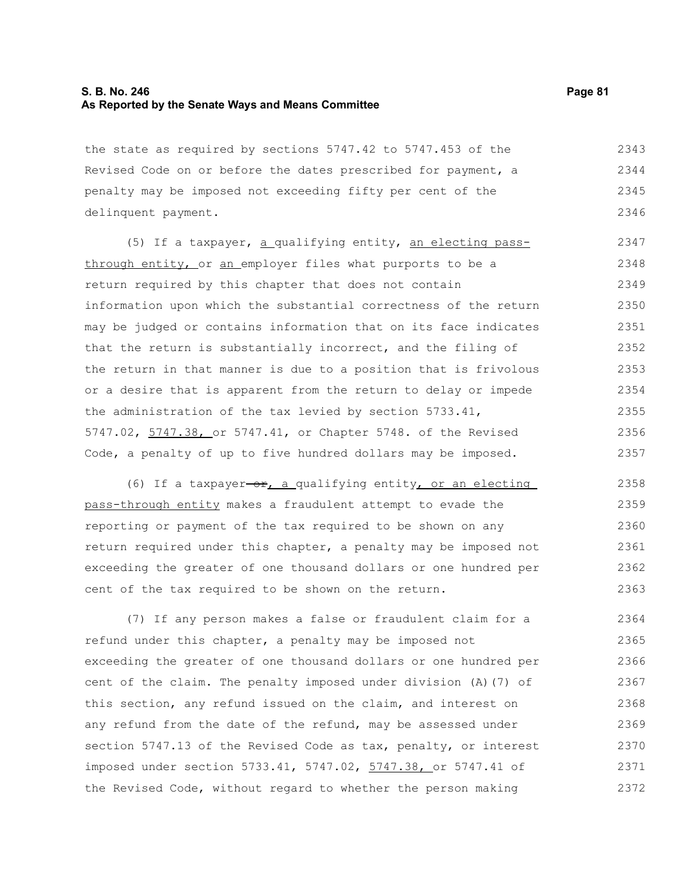## **S. B. No. 246 Page 81 As Reported by the Senate Ways and Means Committee**

the state as required by sections 5747.42 to 5747.453 of the Revised Code on or before the dates prescribed for payment, a penalty may be imposed not exceeding fifty per cent of the delinquent payment. 2343 2344 2345 2346

(5) If a taxpayer, a qualifying entity, an electing passthrough entity, or an employer files what purports to be a return required by this chapter that does not contain information upon which the substantial correctness of the return may be judged or contains information that on its face indicates that the return is substantially incorrect, and the filing of the return in that manner is due to a position that is frivolous or a desire that is apparent from the return to delay or impede the administration of the tax levied by section 5733.41, 5747.02, 5747.38, or 5747.41, or Chapter 5748. of the Revised Code, a penalty of up to five hundred dollars may be imposed. 2347 2348 2349 2350 2351 2352 2353 2354 2355 2356 2357

(6) If a taxpayer-or, a qualifying entity, or an electing pass-through entity makes a fraudulent attempt to evade the reporting or payment of the tax required to be shown on any return required under this chapter, a penalty may be imposed not exceeding the greater of one thousand dollars or one hundred per cent of the tax required to be shown on the return. 2358 2359 2360 2361 2362 2363

(7) If any person makes a false or fraudulent claim for a refund under this chapter, a penalty may be imposed not exceeding the greater of one thousand dollars or one hundred per cent of the claim. The penalty imposed under division (A)(7) of this section, any refund issued on the claim, and interest on any refund from the date of the refund, may be assessed under section 5747.13 of the Revised Code as tax, penalty, or interest imposed under section 5733.41, 5747.02, 5747.38, or 5747.41 of the Revised Code, without regard to whether the person making 2364 2365 2366 2367 2368 2369 2370 2371 2372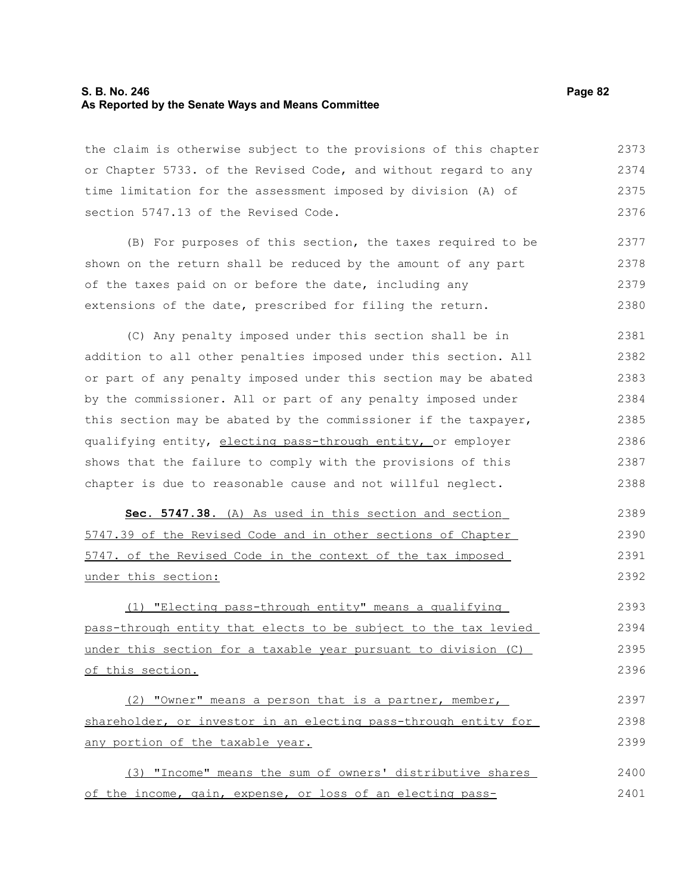### **S. B. No. 246 Page 82 As Reported by the Senate Ways and Means Committee**

the claim is otherwise subject to the provisions of this chapter or Chapter 5733. of the Revised Code, and without regard to any time limitation for the assessment imposed by division (A) of section 5747.13 of the Revised Code. 2373 2374 2375 2376

(B) For purposes of this section, the taxes required to be shown on the return shall be reduced by the amount of any part of the taxes paid on or before the date, including any extensions of the date, prescribed for filing the return. 2377 2378 2379 2380

(C) Any penalty imposed under this section shall be in addition to all other penalties imposed under this section. All or part of any penalty imposed under this section may be abated by the commissioner. All or part of any penalty imposed under this section may be abated by the commissioner if the taxpayer, qualifying entity, electing pass-through entity, or employer shows that the failure to comply with the provisions of this chapter is due to reasonable cause and not willful neglect. 2381 2382 2383 2384 2385 2386 2387 2388

 **Sec. 5747.38.** (A) As used in this section and section 5747.39 of the Revised Code and in other sections of Chapter 5747. of the Revised Code in the context of the tax imposed under this section: 2389 2390 2391 2392

(1) "Electing pass-through entity" means a qualifying pass-through entity that elects to be subject to the tax levied under this section for a taxable year pursuant to division (C) of this section. 2393 2394 2395 2396

(2) "Owner" means a person that is a partner, member, shareholder, or investor in an electing pass-through entity for any portion of the taxable year. 2397 2398 2399

(3) "Income" means the sum of owners' distributive shares of the income, gain, expense, or loss of an electing pass-2400 2401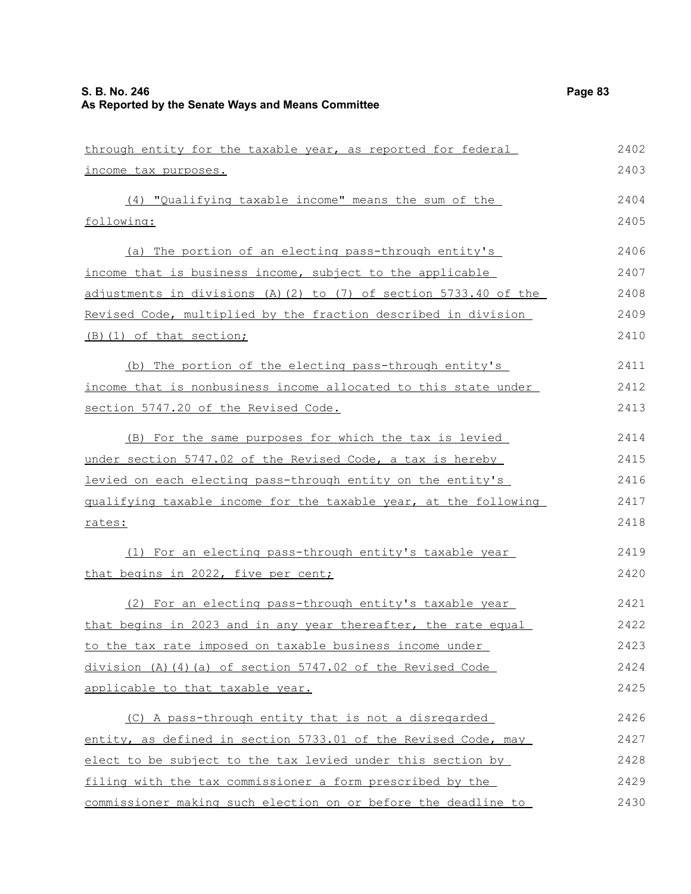| through entity for the taxable year, as reported for federal     | 2402 |
|------------------------------------------------------------------|------|
| income tax purposes.                                             | 2403 |
| (4) "Qualifying taxable income" means the sum of the             | 2404 |
| following:                                                       | 2405 |
| (a) The portion of an electing pass-through entity's             | 2406 |
| income that is business income, subject to the applicable        | 2407 |
| adjustments in divisions (A)(2) to (7) of section 5733.40 of the | 2408 |
| Revised Code, multiplied by the fraction described in division   | 2409 |
| (B) (1) of that section;                                         | 2410 |
| (b) The portion of the electing pass-through entity's            | 2411 |
| income that is nonbusiness income allocated to this state under  | 2412 |
| section 5747.20 of the Revised Code.                             | 2413 |
| (B) For the same purposes for which the tax is levied            | 2414 |
| under section 5747.02 of the Revised Code, a tax is hereby       | 2415 |
| levied on each electing pass-through entity on the entity's      | 2416 |
| gualifying taxable income for the taxable year, at the following | 2417 |
| <u>rates:</u>                                                    | 2418 |
| (1) For an electing pass-through entity's taxable year           | 2419 |
| that begins in 2022, five per cent;                              | 2420 |
| (2) For an electing pass-through entity's taxable year           | 2421 |
| that begins in 2023 and in any year thereafter, the rate equal   | 2422 |
| to the tax rate imposed on taxable business income under         | 2423 |
| division (A) (4) (a) of section 5747.02 of the Revised Code      | 2424 |
| applicable to that taxable year.                                 | 2425 |
| (C) A pass-through entity that is not a disregarded              | 2426 |
| entity, as defined in section 5733.01 of the Revised Code, may   | 2427 |
| elect to be subject to the tax levied under this section by      | 2428 |
| filing with the tax commissioner a form prescribed by the        | 2429 |
| commissioner making such election on or before the deadline to   | 2430 |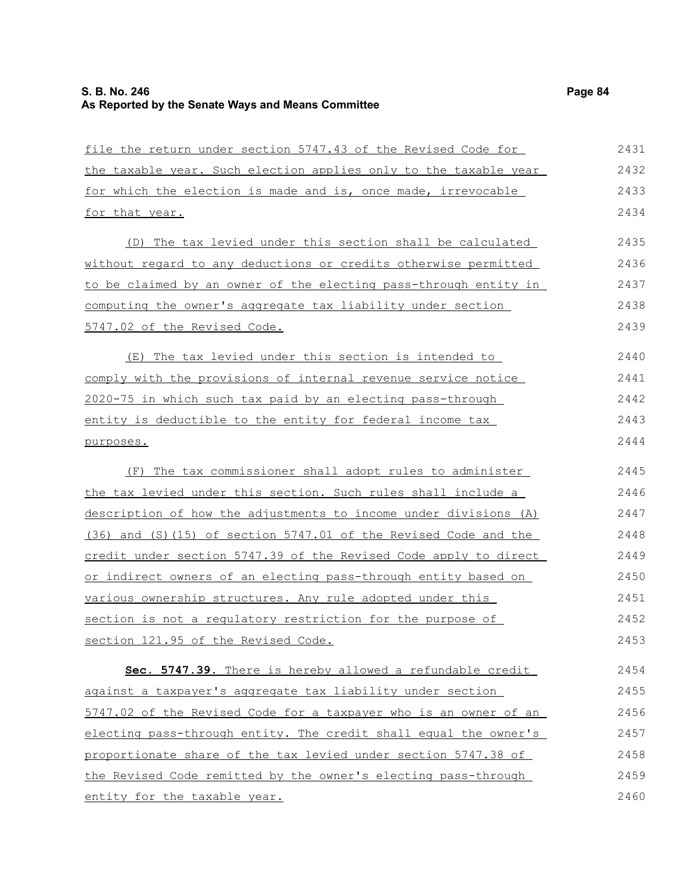# **S. B. No. 246 Page 84 As Reported by the Senate Ways and Means Committee**

| file the return under section 5747.43 of the Revised Code for    | 2431 |
|------------------------------------------------------------------|------|
| the taxable year. Such election applies only to the taxable year | 2432 |
| for which the election is made and is, once made, irrevocable    | 2433 |
| for that year.                                                   | 2434 |
| (D) The tax levied under this section shall be calculated        | 2435 |
| without regard to any deductions or credits otherwise permitted  | 2436 |
| to be claimed by an owner of the electing pass-through entity in | 2437 |
| computing the owner's aggregate tax liability under section      | 2438 |
| 5747.02 of the Revised Code.                                     | 2439 |
| (E) The tax levied under this section is intended to             | 2440 |
| comply with the provisions of internal revenue service notice    | 2441 |
| 2020-75 in which such tax paid by an electing pass-through       | 2442 |
| entity is deductible to the entity for federal income tax        | 2443 |
| purposes.                                                        | 2444 |
| (F) The tax commissioner shall adopt rules to administer         | 2445 |
| the tax levied under this section. Such rules shall include a    | 2446 |
| description of how the adjustments to income under divisions (A) | 2447 |
| (36) and (S) (15) of section 5747.01 of the Revised Code and the | 2448 |
| credit under section 5747.39 of the Revised Code apply to direct | 2449 |
| or indirect owners of an electing pass-through entity based on   | 2450 |
| various ownership structures. Any rule adopted under this        | 2451 |
| section is not a regulatory restriction for the purpose of       | 2452 |
| section 121.95 of the Revised Code.                              | 2453 |
| Sec. 5747.39. There is hereby allowed a refundable credit        | 2454 |
| against a taxpayer's aggregate tax liability under section       | 2455 |
| 5747.02 of the Revised Code for a taxpayer who is an owner of an | 2456 |
| electing pass-through entity. The credit shall equal the owner's | 2457 |
| proportionate share of the tax levied under section 5747.38 of   | 2458 |
| the Revised Code remitted by the owner's electing pass-through   | 2459 |
| entity for the taxable year.                                     | 2460 |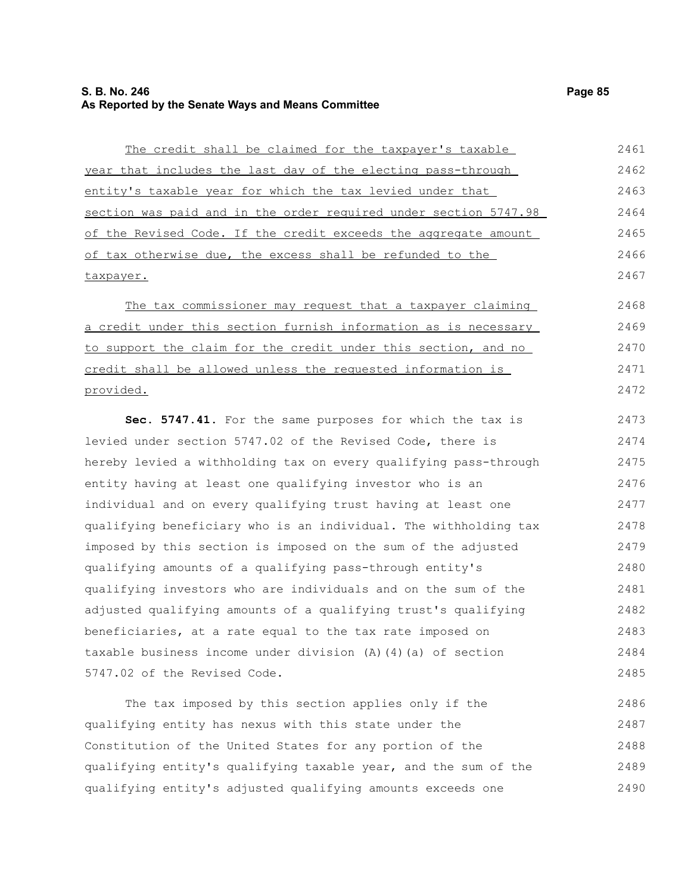## **S. B. No. 246 Page 85 As Reported by the Senate Ways and Means Committee**

The credit shall be claimed for the taxpayer's taxable year that includes the last day of the electing pass-through entity's taxable year for which the tax levied under that section was paid and in the order required under section 5747.98 of the Revised Code. If the credit exceeds the aggregate amount of tax otherwise due, the excess shall be refunded to the taxpayer. 2461 2462 2463 2464 2465 2466 2467

The tax commissioner may request that a taxpayer claiming a credit under this section furnish information as is necessary to support the claim for the credit under this section, and no credit shall be allowed unless the requested information is provided. 2468 2469 2470 2471 2472

**Sec. 5747.41.** For the same purposes for which the tax is levied under section 5747.02 of the Revised Code, there is hereby levied a withholding tax on every qualifying pass-through entity having at least one qualifying investor who is an individual and on every qualifying trust having at least one qualifying beneficiary who is an individual. The withholding tax imposed by this section is imposed on the sum of the adjusted qualifying amounts of a qualifying pass-through entity's qualifying investors who are individuals and on the sum of the adjusted qualifying amounts of a qualifying trust's qualifying beneficiaries, at a rate equal to the tax rate imposed on taxable business income under division (A)(4)(a) of section 5747.02 of the Revised Code. 2473 2474 2475 2476 2477 2478 2479 2480 2481 2482 2483 2484 2485

The tax imposed by this section applies only if the qualifying entity has nexus with this state under the Constitution of the United States for any portion of the qualifying entity's qualifying taxable year, and the sum of the qualifying entity's adjusted qualifying amounts exceeds one 2486 2487 2488 2489 2490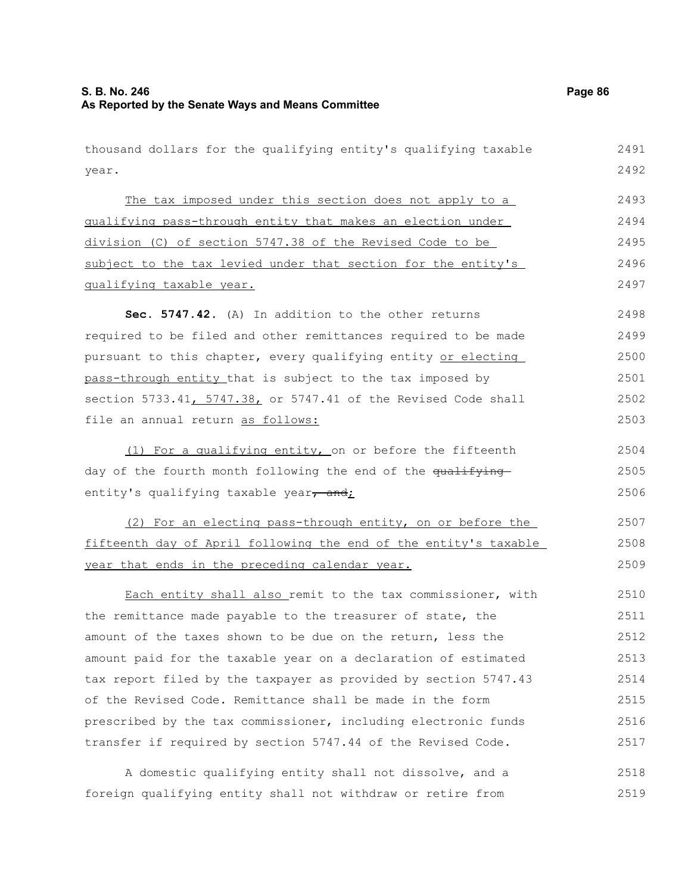year.

The tax imposed under this section does not apply to a qualifying pass-through entity that makes an election under division (C) of section 5747.38 of the Revised Code to be subject to the tax levied under that section for the entity's qualifying taxable year. **Sec. 5747.42.** (A) In addition to the other returns

required to be filed and other remittances required to be made pursuant to this chapter, every qualifying entity or electing pass-through entity that is subject to the tax imposed by section 5733.41, 5747.38, or 5747.41 of the Revised Code shall file an annual return as follows: 2498 2499 2500 2501 2502 2503

(1) For a qualifying entity, on or before the fifteenth day of the fourth month following the end of the qualifying entity's qualifying taxable year, and; 2504 2505 2506

(2) For an electing pass-through entity, on or before the fifteenth day of April following the end of the entity's taxable year that ends in the preceding calendar year. 2507 2508 2509

Each entity shall also remit to the tax commissioner, with the remittance made payable to the treasurer of state, the amount of the taxes shown to be due on the return, less the amount paid for the taxable year on a declaration of estimated tax report filed by the taxpayer as provided by section 5747.43 of the Revised Code. Remittance shall be made in the form prescribed by the tax commissioner, including electronic funds transfer if required by section 5747.44 of the Revised Code. 2510 2511 2512 2513 2514 2515 2516 2517

A domestic qualifying entity shall not dissolve, and a foreign qualifying entity shall not withdraw or retire from 2518 2519

2491 2492

thousand dollars for the qualifying entity's qualifying taxable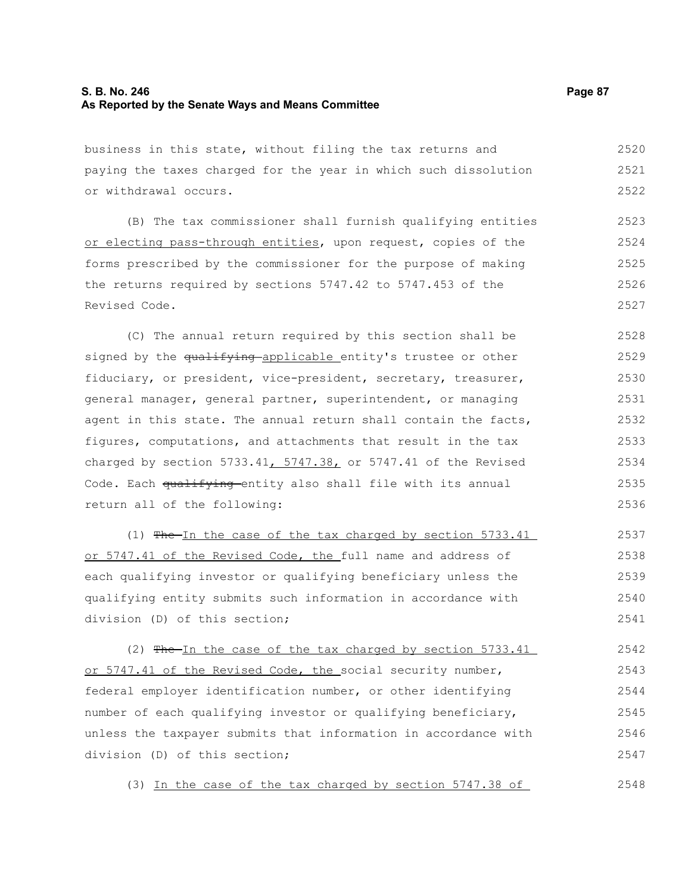## **S. B. No. 246 Page 87 As Reported by the Senate Ways and Means Committee**

business in this state, without filing the tax returns and paying the taxes charged for the year in which such dissolution or withdrawal occurs. 2520 2521 2522

(B) The tax commissioner shall furnish qualifying entities or electing pass-through entities, upon request, copies of the forms prescribed by the commissioner for the purpose of making the returns required by sections 5747.42 to 5747.453 of the Revised Code. 2523 2524 2525 2526 2527

(C) The annual return required by this section shall be signed by the qualifying applicable entity's trustee or other fiduciary, or president, vice-president, secretary, treasurer, general manager, general partner, superintendent, or managing agent in this state. The annual return shall contain the facts, figures, computations, and attachments that result in the tax charged by section 5733.41,  $5747.38$ , or 5747.41 of the Revised Code. Each qualifying entity also shall file with its annual return all of the following: 2528 2529 2530 2531 2532 2533 2534 2535 2536

(1) The In the case of the tax charged by section 5733.41 or 5747.41 of the Revised Code, the full name and address of each qualifying investor or qualifying beneficiary unless the qualifying entity submits such information in accordance with division (D) of this section; 2537 2538 2539 2540 2541

(2)  $Fhe-In$  the case of the tax charged by section 5733.41 or 5747.41 of the Revised Code, the social security number, federal employer identification number, or other identifying number of each qualifying investor or qualifying beneficiary, unless the taxpayer submits that information in accordance with division (D) of this section; 2542 2543 2544 2545 2546 2547

(3) In the case of the tax charged by section 5747.38 of

2548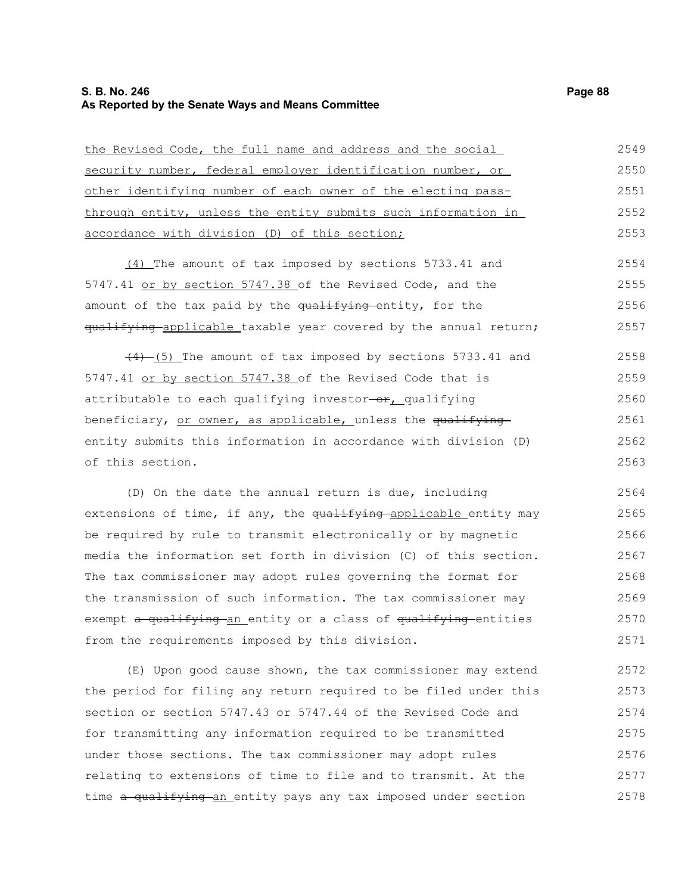#### **S. B. No. 246 Page 88 As Reported by the Senate Ways and Means Committee**

| the Revised Code, the full name and address and the social       | 2549 |
|------------------------------------------------------------------|------|
| security number, federal employer identification number, or      | 2550 |
| other identifying number of each owner of the electing pass-     | 2551 |
| through entity, unless the entity submits such information in    | 2552 |
| accordance with division (D) of this section;                    | 2553 |
| $(4)$ The amount of tax imposed by sections 5733.41 and          | 2554 |
| 5747.41 or by section 5747.38 of the Revised Code, and the       | 2555 |
| amount of the tax paid by the qualifying entity, for the         | 2556 |
| qualifying applicable taxable year covered by the annual return; | 2557 |
| $(4)$ (5) The amount of tax imposed by sections 5733.41 and      | 2558 |
| 5747.41 or by section 5747.38 of the Revised Code that is        | 2559 |
| attributable to each qualifying investor-or, qualifying          | 2560 |
| beneficiary, or owner, as applicable, unless the qualifying      | 2561 |
| entity submits this information in accordance with division (D)  | 2562 |
| of this section.                                                 | 2563 |
| (D) On the date the annual return is due, including              | 2564 |
| extensions of time, if any, the qualifying applicable entity may | 2565 |
| be required by rule to transmit electronically or by magnetic    | 2566 |
|                                                                  |      |

media the information set forth in division (C) of this section. The tax commissioner may adopt rules governing the format for the transmission of such information. The tax commissioner may exempt a qualifying an entity or a class of qualifying entities from the requirements imposed by this division. 2567 2568 2569 2570 2571

(E) Upon good cause shown, the tax commissioner may extend the period for filing any return required to be filed under this section or section 5747.43 or 5747.44 of the Revised Code and for transmitting any information required to be transmitted under those sections. The tax commissioner may adopt rules relating to extensions of time to file and to transmit. At the time a qualifying an entity pays any tax imposed under section 2572 2573 2574 2575 2576 2577 2578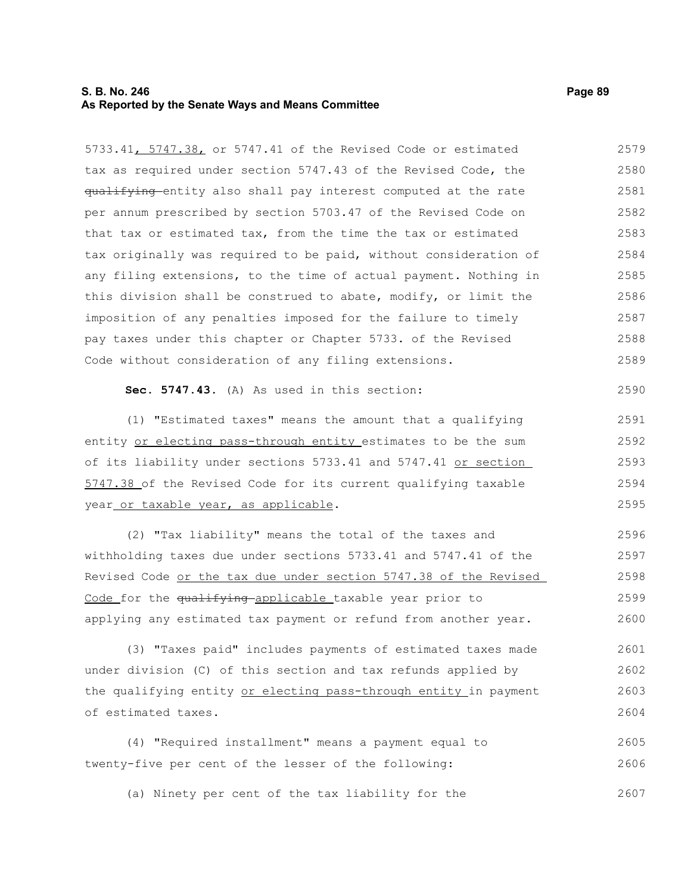#### **S. B. No. 246 Page 89 As Reported by the Senate Ways and Means Committee**

5733.41, 5747.38, or 5747.41 of the Revised Code or estimated tax as required under section 5747.43 of the Revised Code, the qualifying entity also shall pay interest computed at the rate per annum prescribed by section 5703.47 of the Revised Code on that tax or estimated tax, from the time the tax or estimated tax originally was required to be paid, without consideration of any filing extensions, to the time of actual payment. Nothing in this division shall be construed to abate, modify, or limit the imposition of any penalties imposed for the failure to timely pay taxes under this chapter or Chapter 5733. of the Revised Code without consideration of any filing extensions. 2579 2580 2581 2582 2583 2584 2585 2586 2587 2588 2589

**Sec. 5747.43.** (A) As used in this section:

(1) "Estimated taxes" means the amount that a qualifying entity or electing pass-through entity estimates to be the sum of its liability under sections 5733.41 and 5747.41 or section 5747.38 of the Revised Code for its current qualifying taxable year or taxable year, as applicable. 2593

(2) "Tax liability" means the total of the taxes and withholding taxes due under sections 5733.41 and 5747.41 of the Revised Code or the tax due under section 5747.38 of the Revised Code for the qualifying applicable taxable year prior to applying any estimated tax payment or refund from another year. 2596 2597 2598 2599 2600

(3) "Taxes paid" includes payments of estimated taxes made under division (C) of this section and tax refunds applied by the qualifying entity or electing pass-through entity in payment of estimated taxes. 2601 2602 2603 2604

(4) "Required installment" means a payment equal to twenty-five per cent of the lesser of the following: 2605 2606

(a) Ninety per cent of the tax liability for the 2607

2590

2591 2592

2594 2595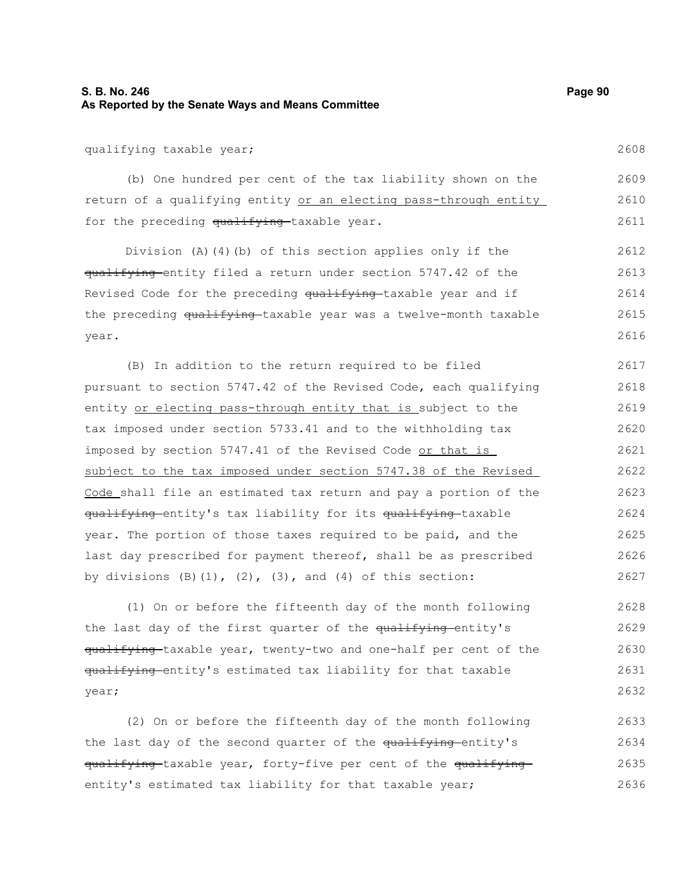## **S. B. No. 246 Page 90 As Reported by the Senate Ways and Means Committee**

qualifying taxable year;

(b) One hundred per cent of the tax liability shown on the return of a qualifying entity or an electing pass-through entity for the preceding qualifying taxable year. 2609 2610 2611

Division (A)(4)(b) of this section applies only if the qualifying entity filed a return under section 5747.42 of the Revised Code for the preceding qualifying taxable year and if the preceding qualifying taxable year was a twelve-month taxable year. 2612 2613 2614 2615 2616

(B) In addition to the return required to be filed pursuant to section 5747.42 of the Revised Code, each qualifying entity or electing pass-through entity that is subject to the tax imposed under section 5733.41 and to the withholding tax imposed by section 5747.41 of the Revised Code or that is subject to the tax imposed under section 5747.38 of the Revised Code shall file an estimated tax return and pay a portion of the qualifying entity's tax liability for its qualifying taxable year. The portion of those taxes required to be paid, and the last day prescribed for payment thereof, shall be as prescribed by divisions  $(B)$ (1),  $(2)$ ,  $(3)$ , and  $(4)$  of this section: 2617 2618 2619 2620 2621 2622 2623 2624 2625 2626 2627

(1) On or before the fifteenth day of the month following the last day of the first quarter of the qualifying entity's qualifying-taxable year, twenty-two and one-half per cent of the qualifying entity's estimated tax liability for that taxable year; 2628 2629 2630 2631 2632

(2) On or before the fifteenth day of the month following the last day of the second quarter of the qualifying-entity's qualifying taxable year, forty-five per cent of the qualifying entity's estimated tax liability for that taxable year; 2633 2634 2635 2636

2608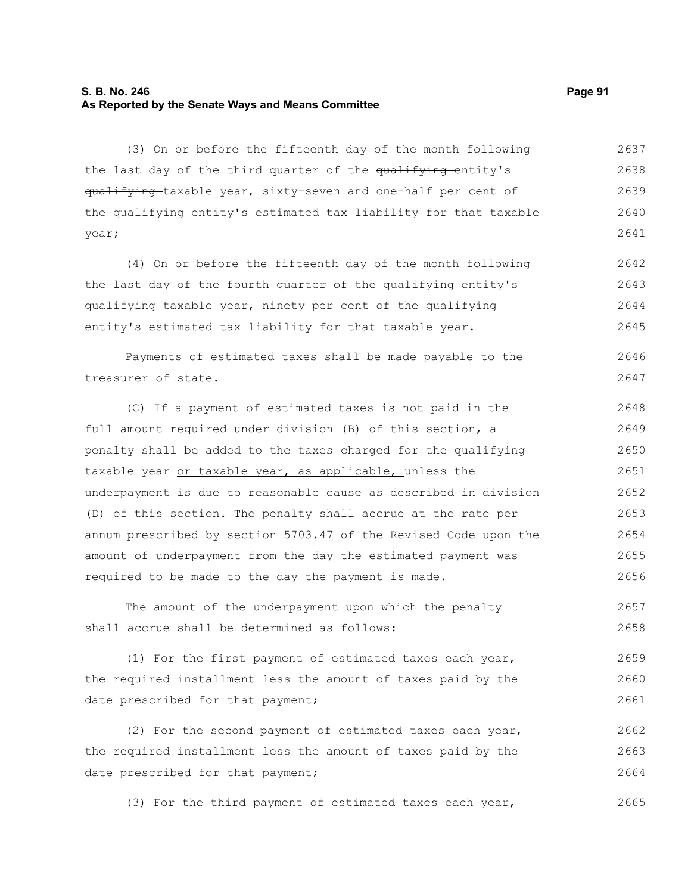#### **S. B. No. 246 Page 91 As Reported by the Senate Ways and Means Committee**

(3) On or before the fifteenth day of the month following the last day of the third quarter of the qualifying-entity's qualifying taxable year, sixty-seven and one-half per cent of the qualifying entity's estimated tax liability for that taxable year; 2637 2638 2639 2640 2641

(4) On or before the fifteenth day of the month following the last day of the fourth quarter of the qualifying-entity's qualifying-taxable year, ninety per cent of the qualifyingentity's estimated tax liability for that taxable year. 2642 2643 2644 2645

Payments of estimated taxes shall be made payable to the treasurer of state. 2646 2647

(C) If a payment of estimated taxes is not paid in the full amount required under division (B) of this section, a penalty shall be added to the taxes charged for the qualifying taxable year or taxable year, as applicable, unless the underpayment is due to reasonable cause as described in division (D) of this section. The penalty shall accrue at the rate per annum prescribed by section 5703.47 of the Revised Code upon the amount of underpayment from the day the estimated payment was required to be made to the day the payment is made. 2648 2649 2650 2651 2652 2653 2654 2655 2656

The amount of the underpayment upon which the penalty shall accrue shall be determined as follows: 2657 2658

(1) For the first payment of estimated taxes each year, the required installment less the amount of taxes paid by the date prescribed for that payment; 2659 2660 2661

(2) For the second payment of estimated taxes each year, the required installment less the amount of taxes paid by the date prescribed for that payment; 2662 2663 2664

(3) For the third payment of estimated taxes each year, 2665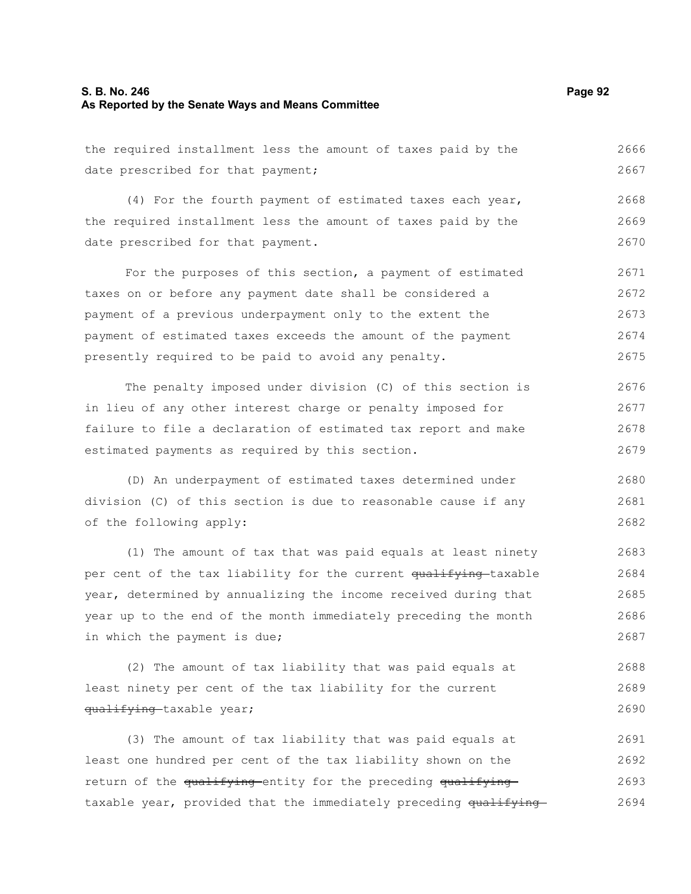#### **S. B. No. 246 Page 92 As Reported by the Senate Ways and Means Committee**

the required installment less the amount of taxes paid by the date prescribed for that payment; 2666 2667

(4) For the fourth payment of estimated taxes each year, the required installment less the amount of taxes paid by the date prescribed for that payment. 2668 2669 2670

For the purposes of this section, a payment of estimated taxes on or before any payment date shall be considered a payment of a previous underpayment only to the extent the payment of estimated taxes exceeds the amount of the payment presently required to be paid to avoid any penalty. 2671 2672 2673 2674 2675

The penalty imposed under division (C) of this section is in lieu of any other interest charge or penalty imposed for failure to file a declaration of estimated tax report and make estimated payments as required by this section. 2676 2677 2678 2679

(D) An underpayment of estimated taxes determined under division (C) of this section is due to reasonable cause if any of the following apply: 2680 2681 2682

(1) The amount of tax that was paid equals at least ninety per cent of the tax liability for the current qualifying-taxable year, determined by annualizing the income received during that year up to the end of the month immediately preceding the month in which the payment is due; 2683 2684 2685 2686 2687

(2) The amount of tax liability that was paid equals at least ninety per cent of the tax liability for the current qualifying-taxable year; 2688 2689 2690

(3) The amount of tax liability that was paid equals at least one hundred per cent of the tax liability shown on the return of the qualifying entity for the preceding qualifying taxable year, provided that the immediately preceding qualifying 2691 2692 2693 2694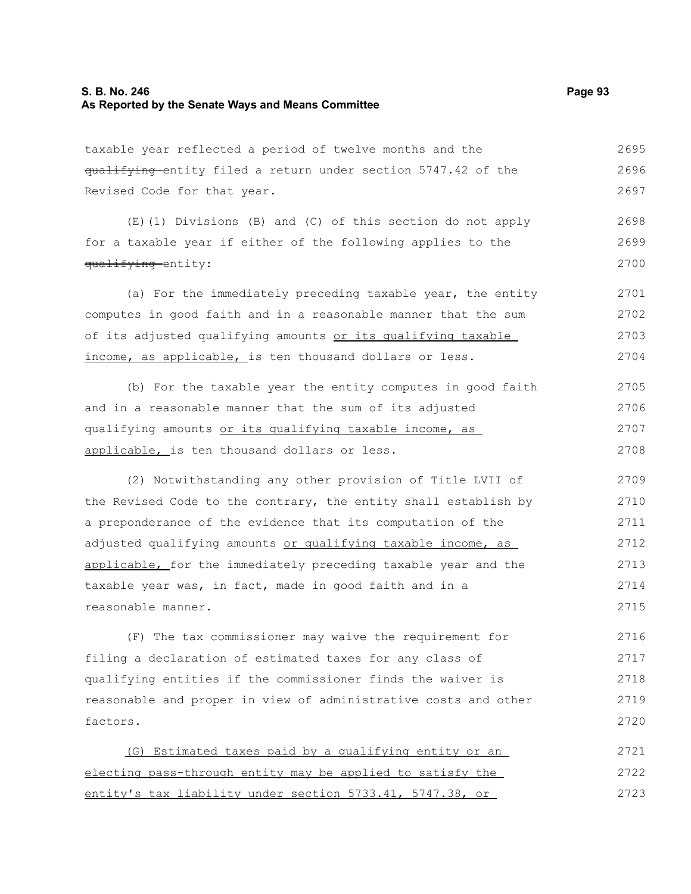### **S. B. No. 246 Page 93 As Reported by the Senate Ways and Means Committee**

taxable year reflected a period of twelve months and the qualifying entity filed a return under section 5747.42 of the Revised Code for that year. 2695 2696 2697

(E)(1) Divisions (B) and (C) of this section do not apply for a taxable year if either of the following applies to the qualifying entity: 2698 2699 2700

(a) For the immediately preceding taxable year, the entity computes in good faith and in a reasonable manner that the sum of its adjusted qualifying amounts or its qualifying taxable income, as applicable, is ten thousand dollars or less. 2701 2702 2703 2704

(b) For the taxable year the entity computes in good faith and in a reasonable manner that the sum of its adjusted qualifying amounts or its qualifying taxable income, as applicable, is ten thousand dollars or less. 2705 2706 2707 2708

(2) Notwithstanding any other provision of Title LVII of the Revised Code to the contrary, the entity shall establish by a preponderance of the evidence that its computation of the adjusted qualifying amounts or qualifying taxable income, as applicable, for the immediately preceding taxable year and the taxable year was, in fact, made in good faith and in a reasonable manner. 2709 2710 2711 2712 2713 2714 2715

(F) The tax commissioner may waive the requirement for filing a declaration of estimated taxes for any class of qualifying entities if the commissioner finds the waiver is reasonable and proper in view of administrative costs and other factors. 2716 2717 2718 2719 2720

(G) Estimated taxes paid by a qualifying entity or an electing pass-through entity may be applied to satisfy the entity's tax liability under section 5733.41, 5747.38, or 2721 2722 2723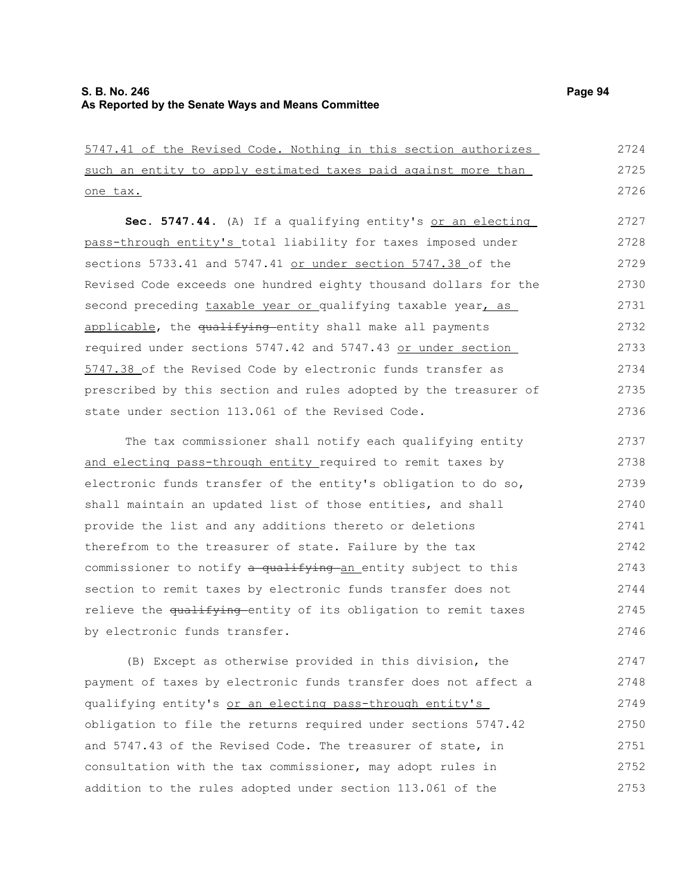5747.41 of the Revised Code. Nothing in this section authorizes such an entity to apply estimated taxes paid against more than one tax. Sec. 5747.44. (A) If a qualifying entity's or an electing pass-through entity's total liability for taxes imposed under sections 5733.41 and 5747.41 or under section 5747.38 of the Revised Code exceeds one hundred eighty thousand dollars for the second preceding taxable year or qualifying taxable year, as applicable, the qualifying entity shall make all payments required under sections 5747.42 and 5747.43 or under section 5747.38 of the Revised Code by electronic funds transfer as prescribed by this section and rules adopted by the treasurer of state under section 113.061 of the Revised Code. The tax commissioner shall notify each qualifying entity and electing pass-through entity required to remit taxes by electronic funds transfer of the entity's obligation to do so, shall maintain an updated list of those entities, and shall provide the list and any additions thereto or deletions therefrom to the treasurer of state. Failure by the tax commissioner to notify a qualifying an entity subject to this section to remit taxes by electronic funds transfer does not 2724 2725 2726 2727 2728 2729 2730 2731 2732 2733 2734 2735 2736 2737 2738 2739 2740 2741 2742 2743 2744

relieve the qualifying entity of its obligation to remit taxes by electronic funds transfer. 2745 2746

(B) Except as otherwise provided in this division, the payment of taxes by electronic funds transfer does not affect a qualifying entity's or an electing pass-through entity's obligation to file the returns required under sections 5747.42 and 5747.43 of the Revised Code. The treasurer of state, in consultation with the tax commissioner, may adopt rules in addition to the rules adopted under section 113.061 of the 2747 2748 2749 2750 2751 2752 2753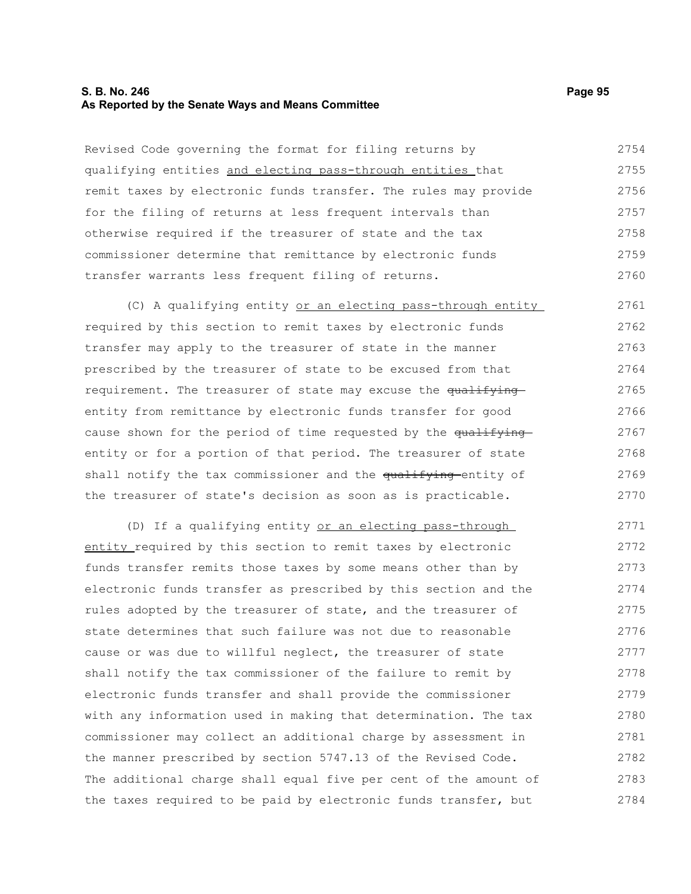#### **S. B. No. 246 Page 95 As Reported by the Senate Ways and Means Committee**

Revised Code governing the format for filing returns by qualifying entities and electing pass-through entities that remit taxes by electronic funds transfer. The rules may provide for the filing of returns at less frequent intervals than otherwise required if the treasurer of state and the tax commissioner determine that remittance by electronic funds transfer warrants less frequent filing of returns. 2754 2755 2756 2757 2758 2759 2760

(C) A qualifying entity or an electing pass-through entity required by this section to remit taxes by electronic funds transfer may apply to the treasurer of state in the manner prescribed by the treasurer of state to be excused from that requirement. The treasurer of state may excuse the qualifying entity from remittance by electronic funds transfer for good cause shown for the period of time requested by the qualifying entity or for a portion of that period. The treasurer of state shall notify the tax commissioner and the qualifying entity of the treasurer of state's decision as soon as is practicable. 2761 2762 2763 2764 2765 2766 2767 2768 2769 2770

(D) If a qualifying entity or an electing pass-through entity required by this section to remit taxes by electronic funds transfer remits those taxes by some means other than by electronic funds transfer as prescribed by this section and the rules adopted by the treasurer of state, and the treasurer of state determines that such failure was not due to reasonable cause or was due to willful neglect, the treasurer of state shall notify the tax commissioner of the failure to remit by electronic funds transfer and shall provide the commissioner with any information used in making that determination. The tax commissioner may collect an additional charge by assessment in the manner prescribed by section 5747.13 of the Revised Code. The additional charge shall equal five per cent of the amount of the taxes required to be paid by electronic funds transfer, but 2771 2772 2773 2774 2775 2776 2777 2778 2779 2780 2781 2782 2783 2784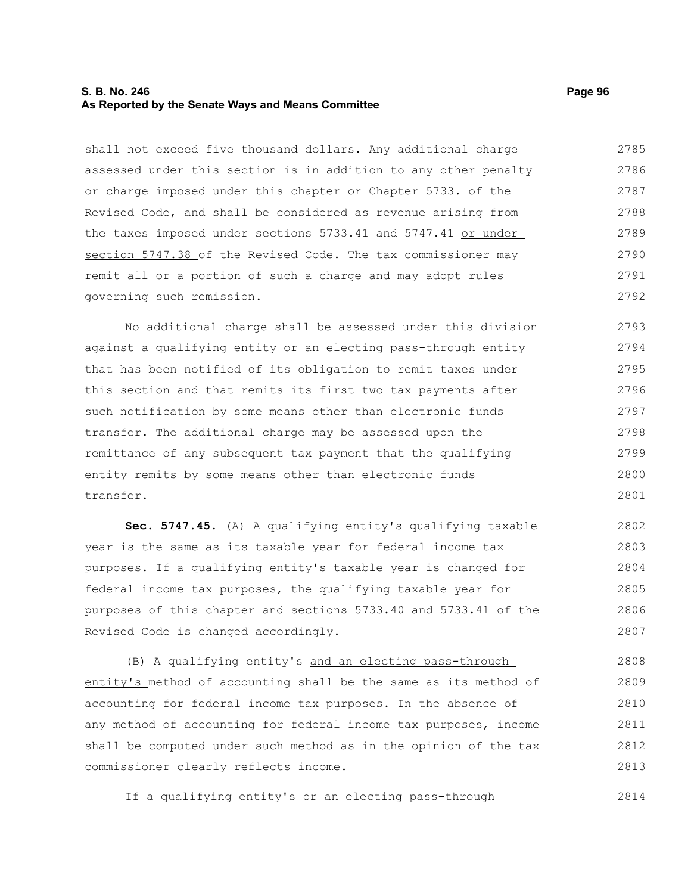#### **S. B. No. 246 Page 96 As Reported by the Senate Ways and Means Committee**

shall not exceed five thousand dollars. Any additional charge assessed under this section is in addition to any other penalty or charge imposed under this chapter or Chapter 5733. of the Revised Code, and shall be considered as revenue arising from the taxes imposed under sections 5733.41 and 5747.41 or under section 5747.38 of the Revised Code. The tax commissioner may remit all or a portion of such a charge and may adopt rules governing such remission. 2785 2786 2787 2788 2789 2790 2791 2792

No additional charge shall be assessed under this division against a qualifying entity or an electing pass-through entity that has been notified of its obligation to remit taxes under this section and that remits its first two tax payments after such notification by some means other than electronic funds transfer. The additional charge may be assessed upon the remittance of any subsequent tax payment that the qualifying entity remits by some means other than electronic funds transfer. 2793 2794 2795 2796 2797 2798 2799 2800 2801

**Sec. 5747.45.** (A) A qualifying entity's qualifying taxable year is the same as its taxable year for federal income tax purposes. If a qualifying entity's taxable year is changed for federal income tax purposes, the qualifying taxable year for purposes of this chapter and sections 5733.40 and 5733.41 of the Revised Code is changed accordingly. 2802 2803 2804 2805 2806 2807

(B) A qualifying entity's and an electing pass-through entity's method of accounting shall be the same as its method of accounting for federal income tax purposes. In the absence of any method of accounting for federal income tax purposes, income shall be computed under such method as in the opinion of the tax commissioner clearly reflects income. 2808 2809 2810 2811 2812 2813

If a qualifying entity's or an electing pass-through 2814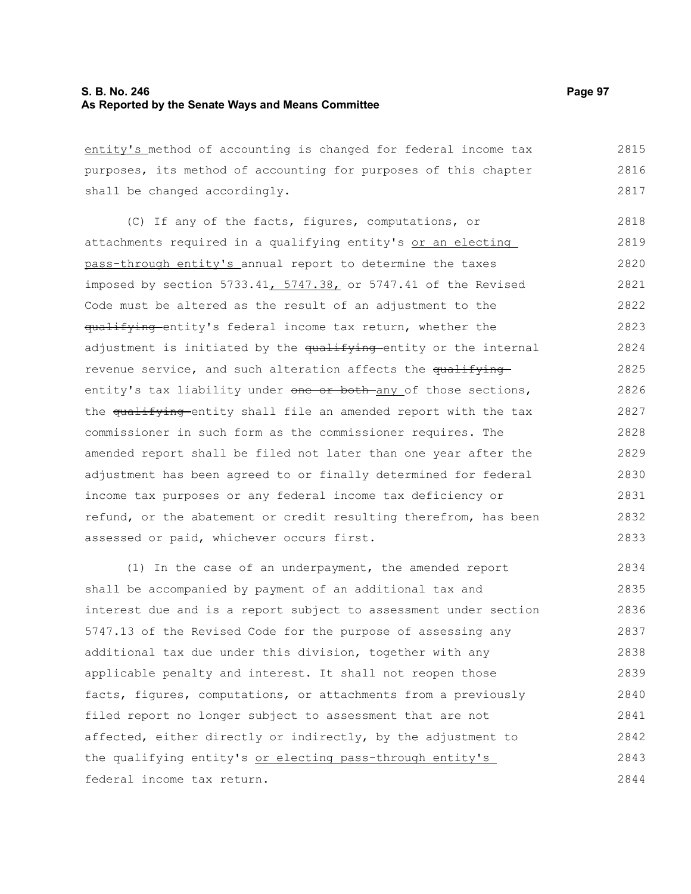entity's method of accounting is changed for federal income tax purposes, its method of accounting for purposes of this chapter shall be changed accordingly. 2815 2816 2817

(C) If any of the facts, figures, computations, or attachments required in a qualifying entity's or an electing pass-through entity's annual report to determine the taxes imposed by section 5733.41,  $5747.38$ , or 5747.41 of the Revised Code must be altered as the result of an adjustment to the qualifying entity's federal income tax return, whether the adjustment is initiated by the qualifying-entity or the internal revenue service, and such alteration affects the qualifying entity's tax liability under one or both any of those sections, the qualifying entity shall file an amended report with the tax commissioner in such form as the commissioner requires. The amended report shall be filed not later than one year after the adjustment has been agreed to or finally determined for federal income tax purposes or any federal income tax deficiency or refund, or the abatement or credit resulting therefrom, has been assessed or paid, whichever occurs first. 2818 2819 2820 2821 2822 2823 2824 2825 2826 2827 2828 2829 2830 2831 2832 2833

(1) In the case of an underpayment, the amended report shall be accompanied by payment of an additional tax and interest due and is a report subject to assessment under section 5747.13 of the Revised Code for the purpose of assessing any additional tax due under this division, together with any applicable penalty and interest. It shall not reopen those facts, figures, computations, or attachments from a previously filed report no longer subject to assessment that are not affected, either directly or indirectly, by the adjustment to the qualifying entity's or electing pass-through entity's federal income tax return. 2834 2835 2836 2837 2838 2839 2840 2841 2842 2843 2844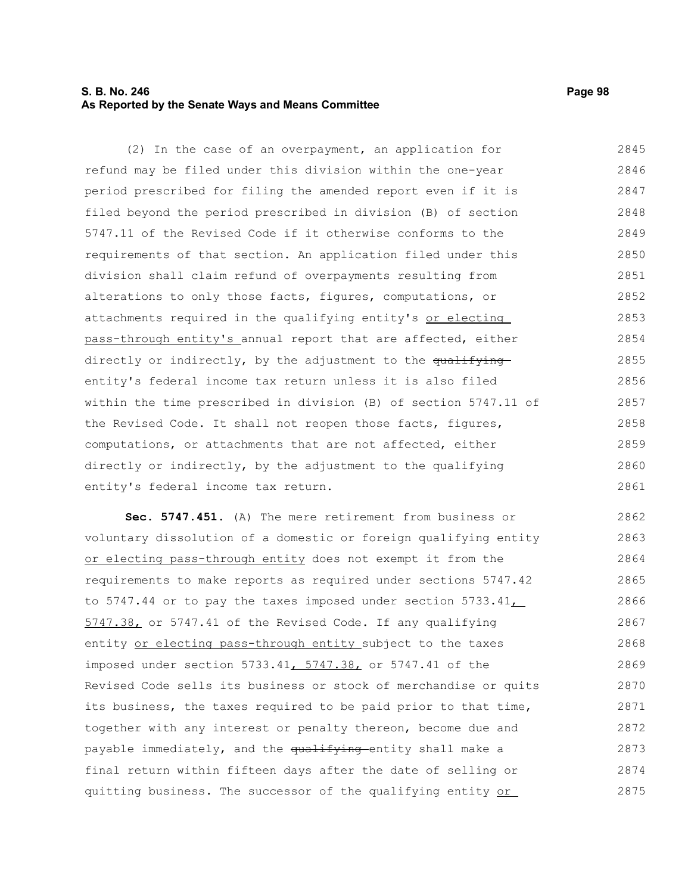## **S. B. No. 246 Page 98 As Reported by the Senate Ways and Means Committee**

(2) In the case of an overpayment, an application for refund may be filed under this division within the one-year period prescribed for filing the amended report even if it is filed beyond the period prescribed in division (B) of section 5747.11 of the Revised Code if it otherwise conforms to the requirements of that section. An application filed under this division shall claim refund of overpayments resulting from alterations to only those facts, figures, computations, or attachments required in the qualifying entity's or electing pass-through entity's annual report that are affected, either directly or indirectly, by the adjustment to the qualifying entity's federal income tax return unless it is also filed within the time prescribed in division (B) of section 5747.11 of the Revised Code. It shall not reopen those facts, figures, computations, or attachments that are not affected, either directly or indirectly, by the adjustment to the qualifying entity's federal income tax return. 2845 2846 2847 2848 2849 2850 2851 2852 2853 2854 2855 2856 2857 2858 2859 2860 2861

**Sec. 5747.451.** (A) The mere retirement from business or voluntary dissolution of a domestic or foreign qualifying entity or electing pass-through entity does not exempt it from the requirements to make reports as required under sections 5747.42 to 5747.44 or to pay the taxes imposed under section 5733.41, 5747.38, or 5747.41 of the Revised Code. If any qualifying entity or electing pass-through entity subject to the taxes imposed under section 5733.41, 5747.38, or 5747.41 of the Revised Code sells its business or stock of merchandise or quits its business, the taxes required to be paid prior to that time, together with any interest or penalty thereon, become due and payable immediately, and the qualifying entity shall make a final return within fifteen days after the date of selling or quitting business. The successor of the qualifying entity or 2862 2863 2864 2865 2866 2867 2868 2869 2870 2871 2872 2873 2874 2875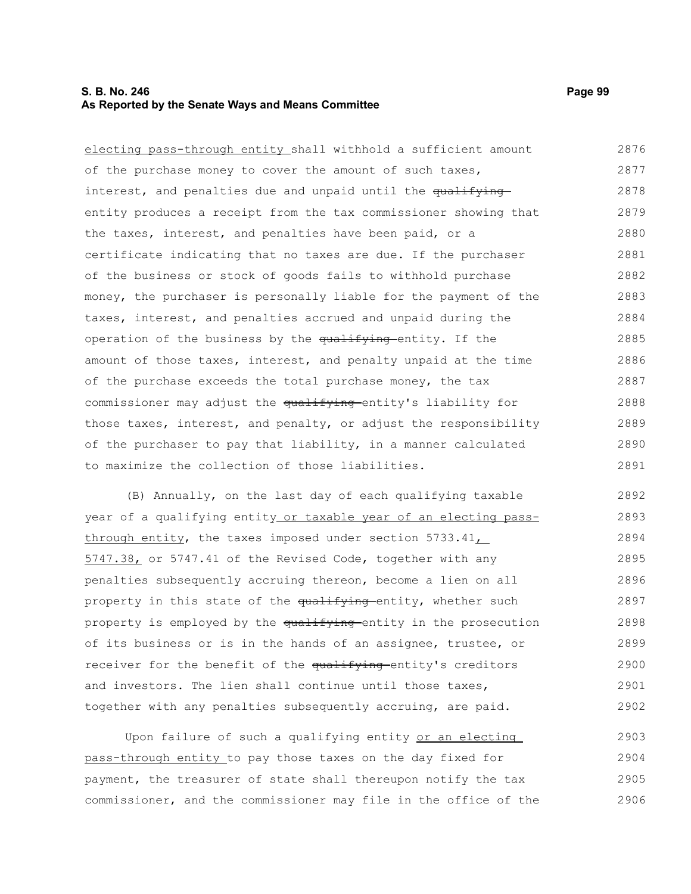### **S. B. No. 246 Page 99 As Reported by the Senate Ways and Means Committee**

electing pass-through entity shall withhold a sufficient amount of the purchase money to cover the amount of such taxes, interest, and penalties due and unpaid until the qualifying entity produces a receipt from the tax commissioner showing that the taxes, interest, and penalties have been paid, or a certificate indicating that no taxes are due. If the purchaser of the business or stock of goods fails to withhold purchase money, the purchaser is personally liable for the payment of the taxes, interest, and penalties accrued and unpaid during the operation of the business by the qualifying entity. If the amount of those taxes, interest, and penalty unpaid at the time of the purchase exceeds the total purchase money, the tax commissioner may adjust the qualifying entity's liability for those taxes, interest, and penalty, or adjust the responsibility of the purchaser to pay that liability, in a manner calculated to maximize the collection of those liabilities. 2876 2877 2878 2879 2880 2881 2882 2883 2884 2885 2886 2887 2888 2889 2890 2891

(B) Annually, on the last day of each qualifying taxable year of a qualifying entity or taxable year of an electing passthrough entity, the taxes imposed under section  $5733.41\_\_$ 5747.38, or 5747.41 of the Revised Code, together with any penalties subsequently accruing thereon, become a lien on all property in this state of the qualifying entity, whether such property is employed by the qualifying entity in the prosecution of its business or is in the hands of an assignee, trustee, or receiver for the benefit of the qualifying entity's creditors and investors. The lien shall continue until those taxes, together with any penalties subsequently accruing, are paid. 2892 2893 2894 2895 2896 2897 2898 2899 2900 2901 2902

Upon failure of such a qualifying entity or an electing pass-through entity to pay those taxes on the day fixed for payment, the treasurer of state shall thereupon notify the tax commissioner, and the commissioner may file in the office of the 2903 2904 2905 2906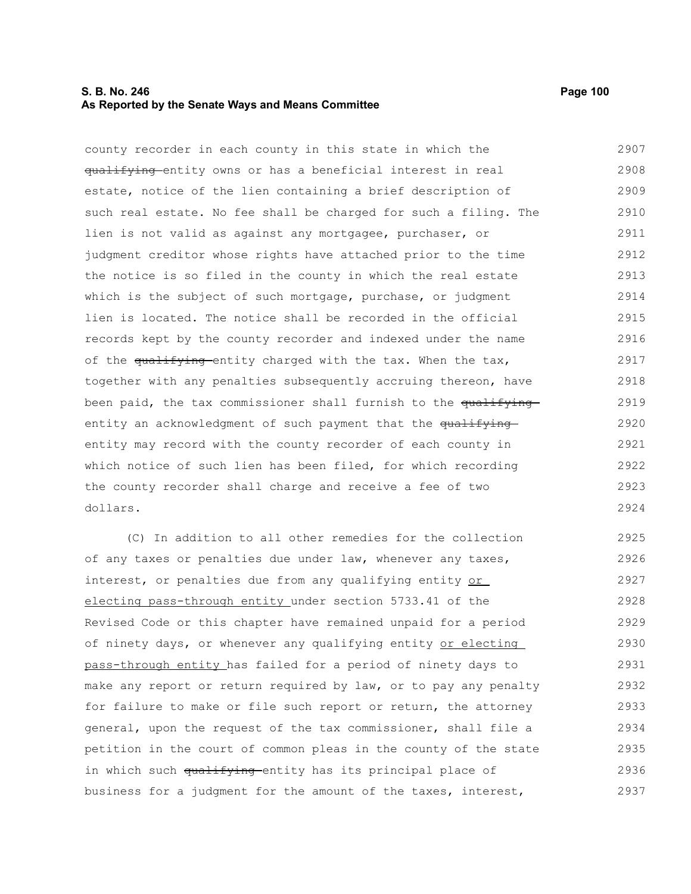### **S. B. No. 246** Page 100 **As Reported by the Senate Ways and Means Committee**

county recorder in each county in this state in which the qualifying entity owns or has a beneficial interest in real estate, notice of the lien containing a brief description of such real estate. No fee shall be charged for such a filing. The lien is not valid as against any mortgagee, purchaser, or judgment creditor whose rights have attached prior to the time the notice is so filed in the county in which the real estate which is the subject of such mortgage, purchase, or judgment lien is located. The notice shall be recorded in the official records kept by the county recorder and indexed under the name of the qualifying entity charged with the tax. When the tax, together with any penalties subsequently accruing thereon, have been paid, the tax commissioner shall furnish to the qualifyingentity an acknowledgment of such payment that the qualifying entity may record with the county recorder of each county in which notice of such lien has been filed, for which recording the county recorder shall charge and receive a fee of two dollars. 2907 2908 2909 2910 2911 2912 2913 2914 2915 2916 2917 2918 2919 2920 2921 2922 2923 2924

(C) In addition to all other remedies for the collection of any taxes or penalties due under law, whenever any taxes, interest, or penalties due from any qualifying entity or electing pass-through entity under section 5733.41 of the Revised Code or this chapter have remained unpaid for a period of ninety days, or whenever any qualifying entity or electing pass-through entity has failed for a period of ninety days to make any report or return required by law, or to pay any penalty for failure to make or file such report or return, the attorney general, upon the request of the tax commissioner, shall file a petition in the court of common pleas in the county of the state in which such qualifying entity has its principal place of business for a judgment for the amount of the taxes, interest, 2925 2926 2927 2928 2929 2930 2931 2932 2933 2934 2935 2936 2937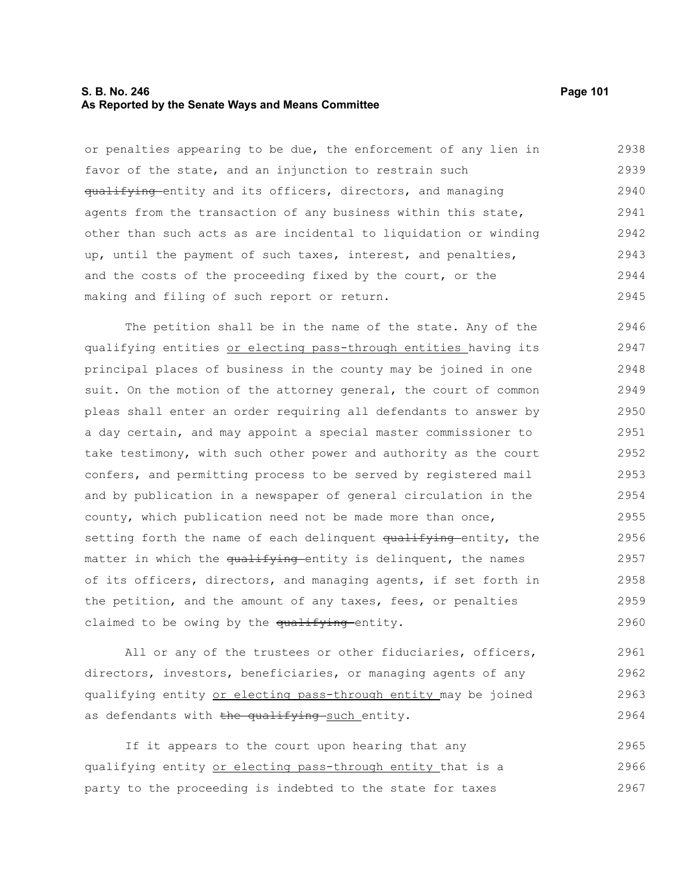### **S. B. No. 246** Page 101 **As Reported by the Senate Ways and Means Committee**

or penalties appearing to be due, the enforcement of any lien in favor of the state, and an injunction to restrain such qualifying entity and its officers, directors, and managing agents from the transaction of any business within this state, other than such acts as are incidental to liquidation or winding up, until the payment of such taxes, interest, and penalties, and the costs of the proceeding fixed by the court, or the making and filing of such report or return. 2938 2939 2940 2941 2942 2943 2944 2945

The petition shall be in the name of the state. Any of the qualifying entities or electing pass-through entities having its principal places of business in the county may be joined in one suit. On the motion of the attorney general, the court of common pleas shall enter an order requiring all defendants to answer by a day certain, and may appoint a special master commissioner to take testimony, with such other power and authority as the court confers, and permitting process to be served by registered mail and by publication in a newspaper of general circulation in the county, which publication need not be made more than once, setting forth the name of each delinquent qualifying entity, the matter in which the qualifying entity is delinquent, the names of its officers, directors, and managing agents, if set forth in the petition, and the amount of any taxes, fees, or penalties claimed to be owing by the qualifying entity. 2946 2947 2948 2949 2950 2951 2952 2953 2954 2955 2956 2957 2958 2959 2960

All or any of the trustees or other fiduciaries, officers, directors, investors, beneficiaries, or managing agents of any qualifying entity or electing pass-through entity may be joined as defendants with the qualifying such entity. 2961 2962 2963 2964

If it appears to the court upon hearing that any qualifying entity or electing pass-through entity that is a party to the proceeding is indebted to the state for taxes 2965 2966 2967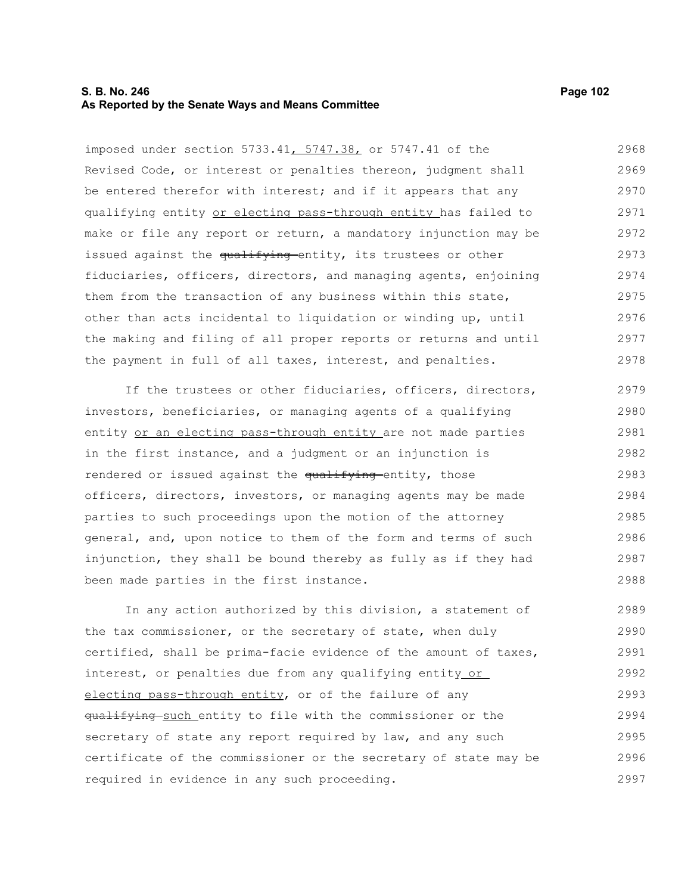### **S. B. No. 246** Page 102 **As Reported by the Senate Ways and Means Committee**

imposed under section 5733.41, 5747.38, or 5747.41 of the Revised Code, or interest or penalties thereon, judgment shall be entered therefor with interest; and if it appears that any qualifying entity or electing pass-through entity has failed to make or file any report or return, a mandatory injunction may be issued against the qualifying entity, its trustees or other fiduciaries, officers, directors, and managing agents, enjoining them from the transaction of any business within this state, other than acts incidental to liquidation or winding up, until the making and filing of all proper reports or returns and until the payment in full of all taxes, interest, and penalties. 2968 2969 2970 2971 2972 2973 2974 2975 2976 2977 2978

If the trustees or other fiduciaries, officers, directors, investors, beneficiaries, or managing agents of a qualifying entity or an electing pass-through entity are not made parties in the first instance, and a judgment or an injunction is rendered or issued against the qualifying entity, those officers, directors, investors, or managing agents may be made parties to such proceedings upon the motion of the attorney general, and, upon notice to them of the form and terms of such injunction, they shall be bound thereby as fully as if they had been made parties in the first instance. 2979 2980 2981 2982 2983 2984 2985 2986 2987 2988

In any action authorized by this division, a statement of the tax commissioner, or the secretary of state, when duly certified, shall be prima-facie evidence of the amount of taxes, interest, or penalties due from any qualifying entity or electing pass-through entity, or of the failure of any qualifying such entity to file with the commissioner or the secretary of state any report required by law, and any such certificate of the commissioner or the secretary of state may be required in evidence in any such proceeding. 2989 2990 2991 2992 2993 2994 2995 2996 2997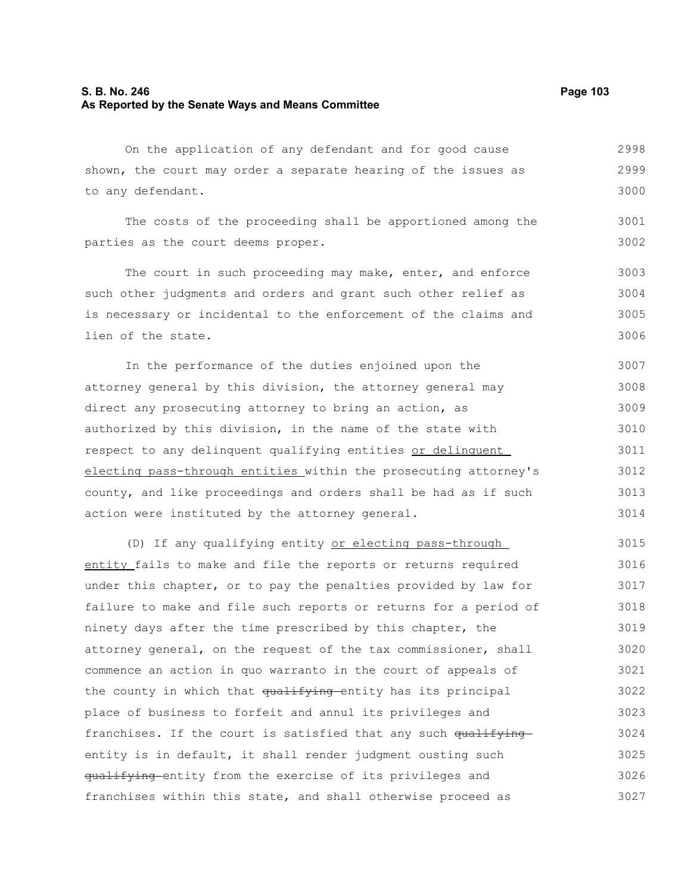## **S. B. No. 246** Page 103 **As Reported by the Senate Ways and Means Committee**

On the application of any defendant and for good cause shown, the court may order a separate hearing of the issues as to any defendant. 2998 2999 3000

The costs of the proceeding shall be apportioned among the parties as the court deems proper. 3002

The court in such proceeding may make, enter, and enforce such other judgments and orders and grant such other relief as is necessary or incidental to the enforcement of the claims and lien of the state. 3003 3004 3005 3006

In the performance of the duties enjoined upon the attorney general by this division, the attorney general may direct any prosecuting attorney to bring an action, as authorized by this division, in the name of the state with respect to any delinquent qualifying entities or delinquent electing pass-through entities within the prosecuting attorney's county, and like proceedings and orders shall be had as if such action were instituted by the attorney general. 3007 3008 3009 3010 3011 3012 3013 3014

(D) If any qualifying entity or electing pass-through entity fails to make and file the reports or returns required under this chapter, or to pay the penalties provided by law for failure to make and file such reports or returns for a period of ninety days after the time prescribed by this chapter, the attorney general, on the request of the tax commissioner, shall commence an action in quo warranto in the court of appeals of the county in which that qualifying entity has its principal place of business to forfeit and annul its privileges and franchises. If the court is satisfied that any such  $qu$ <sup>ifying</sup> entity is in default, it shall render judgment ousting such qualifying entity from the exercise of its privileges and franchises within this state, and shall otherwise proceed as 3015 3016 3017 3018 3019 3020 3021 3022 3023 3024 3025 3026 3027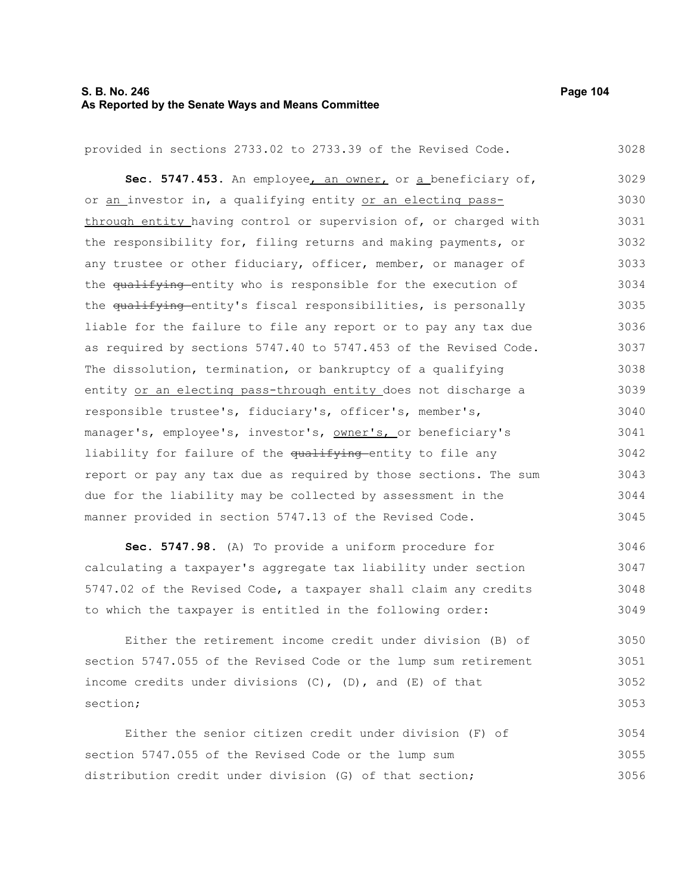# **S. B. No. 246** Page 104 **As Reported by the Senate Ways and Means Committee**

| provided in sections 2733.02 to 2733.39 of the Revised Code.     | 3028 |
|------------------------------------------------------------------|------|
| Sec. 5747.453. An employee, an owner, or a beneficiary of,       | 3029 |
| or an investor in, a qualifying entity or an electing pass-      | 3030 |
| through entity having control or supervision of, or charged with | 3031 |
| the responsibility for, filing returns and making payments, or   | 3032 |
| any trustee or other fiduciary, officer, member, or manager of   | 3033 |
| the qualifying entity who is responsible for the execution of    | 3034 |
| the qualifying entity's fiscal responsibilities, is personally   | 3035 |
| liable for the failure to file any report or to pay any tax due  | 3036 |
| as required by sections 5747.40 to 5747.453 of the Revised Code. | 3037 |
| The dissolution, termination, or bankruptcy of a qualifying      | 3038 |
| entity or an electing pass-through entity does not discharge a   | 3039 |
| responsible trustee's, fiduciary's, officer's, member's,         | 3040 |
| manager's, employee's, investor's, owner's, or beneficiary's     | 3041 |
| liability for failure of the qualifying entity to file any       | 3042 |
| report or pay any tax due as required by those sections. The sum | 3043 |
| due for the liability may be collected by assessment in the      | 3044 |
| manner provided in section 5747.13 of the Revised Code.          | 3045 |
| Sec. 5747.98. (A) To provide a uniform procedure for             | 3046 |
| calculating a taxpayer's aggregate tax liability under section   | 3047 |
| 5747.02 of the Revised Code, a taxpayer shall claim any credits  | 3048 |
| to which the taxpayer is entitled in the following order:        | 3049 |

Either the retirement income credit under division (B) of section 5747.055 of the Revised Code or the lump sum retirement income credits under divisions (C), (D), and (E) of that section; 3050 3051 3052 3053

Either the senior citizen credit under division (F) of section 5747.055 of the Revised Code or the lump sum distribution credit under division (G) of that section; 3054 3055 3056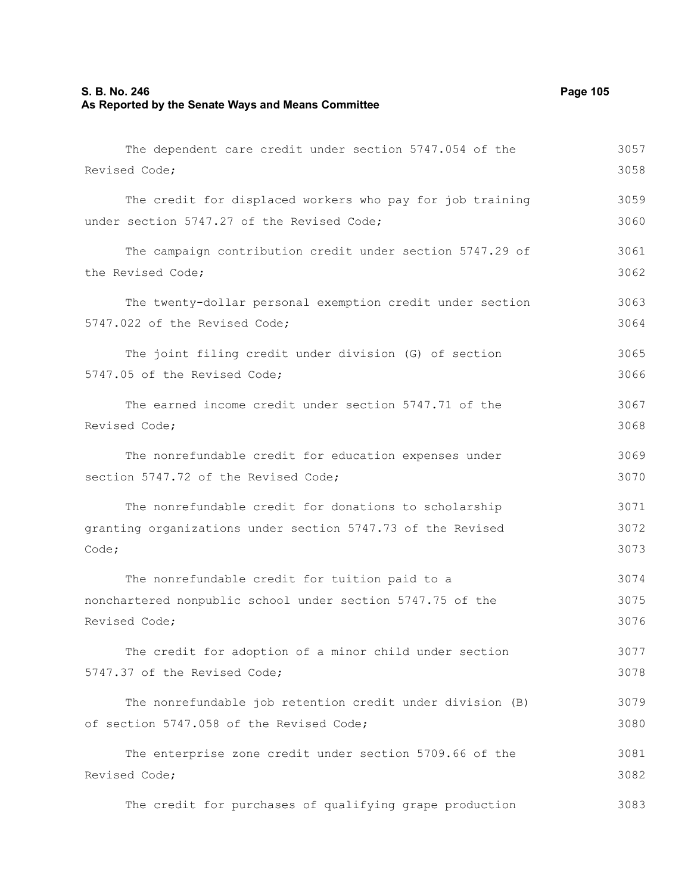## **S. B. No. 246** Page 105 **As Reported by the Senate Ways and Means Committee**

The dependent care credit under section 5747.054 of the Revised Code; The credit for displaced workers who pay for job training under section 5747.27 of the Revised Code; The campaign contribution credit under section 5747.29 of the Revised Code; The twenty-dollar personal exemption credit under section 5747.022 of the Revised Code; The joint filing credit under division (G) of section 5747.05 of the Revised Code; The earned income credit under section 5747.71 of the Revised Code; The nonrefundable credit for education expenses under section 5747.72 of the Revised Code; The nonrefundable credit for donations to scholarship granting organizations under section 5747.73 of the Revised Code; The nonrefundable credit for tuition paid to a nonchartered nonpublic school under section 5747.75 of the Revised Code; The credit for adoption of a minor child under section 5747.37 of the Revised Code; The nonrefundable job retention credit under division (B) of section 5747.058 of the Revised Code; The enterprise zone credit under section 5709.66 of the Revised Code; 3057 3058 3059 3060 3061 3062 3063 3064 3065 3066 3067 3068 3069 3070 3071 3072 3073 3074 3075 3076 3077 3078 3079 3080 3081 3082

The credit for purchases of qualifying grape production 3083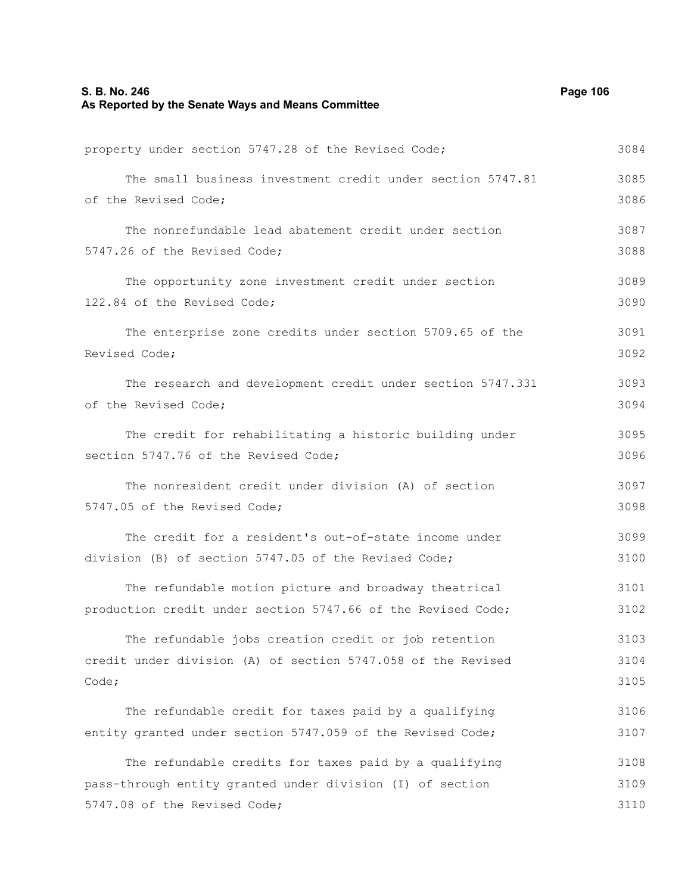# **S. B. No. 246 Page 106 As Reported by the Senate Ways and Means Committee**

| property under section 5747.28 of the Revised Code;          | 3084 |
|--------------------------------------------------------------|------|
| The small business investment credit under section 5747.81   | 3085 |
| of the Revised Code;                                         | 3086 |
| The nonrefundable lead abatement credit under section        | 3087 |
| 5747.26 of the Revised Code;                                 | 3088 |
| The opportunity zone investment credit under section         | 3089 |
| 122.84 of the Revised Code;                                  | 3090 |
| The enterprise zone credits under section 5709.65 of the     | 3091 |
| Revised Code;                                                | 3092 |
| The research and development credit under section 5747.331   | 3093 |
| of the Revised Code;                                         | 3094 |
| The credit for rehabilitating a historic building under      | 3095 |
| section 5747.76 of the Revised Code;                         | 3096 |
| The nonresident credit under division (A) of section         | 3097 |
| 5747.05 of the Revised Code;                                 | 3098 |
| The credit for a resident's out-of-state income under        | 3099 |
| division (B) of section 5747.05 of the Revised Code;         | 3100 |
| The refundable motion picture and broadway theatrical        | 3101 |
| production credit under section 5747.66 of the Revised Code; | 3102 |
| The refundable jobs creation credit or job retention         | 3103 |
| credit under division (A) of section 5747.058 of the Revised | 3104 |
| Code;                                                        | 3105 |
| The refundable credit for taxes paid by a qualifying         | 3106 |
| entity granted under section 5747.059 of the Revised Code;   | 3107 |
| The refundable credits for taxes paid by a qualifying        | 3108 |
| pass-through entity granted under division (I) of section    | 3109 |
| 5747.08 of the Revised Code;                                 | 3110 |